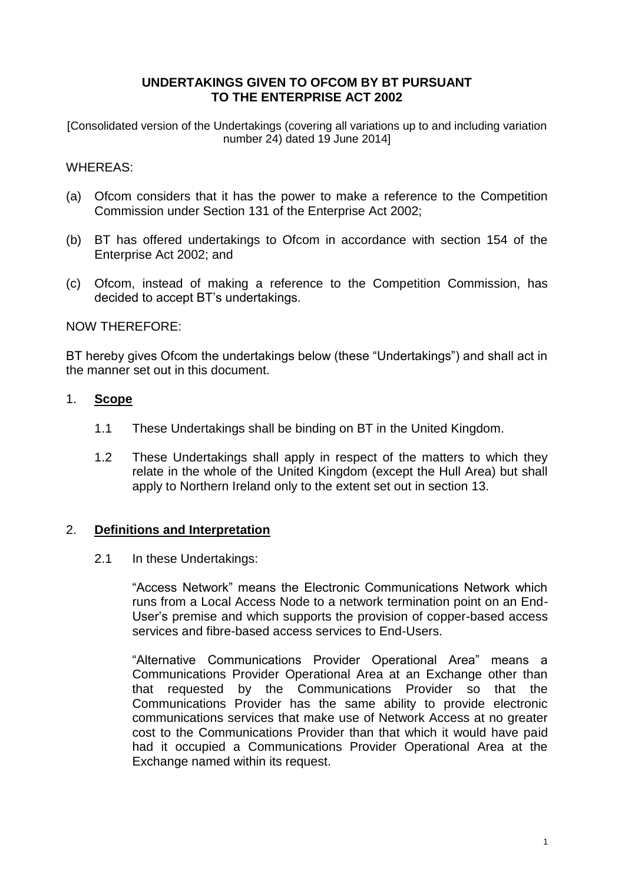## **UNDERTAKINGS GIVEN TO OFCOM BY BT PURSUANT TO THE ENTERPRISE ACT 2002**

[Consolidated version of the Undertakings (covering all variations up to and including variation number 24) dated 19 June 2014]

## WHEREAS:

- (a) Ofcom considers that it has the power to make a reference to the Competition Commission under Section 131 of the Enterprise Act 2002;
- (b) BT has offered undertakings to Ofcom in accordance with section 154 of the Enterprise Act 2002; and
- (c) Ofcom, instead of making a reference to the Competition Commission, has decided to accept BT's undertakings.

## NOW THEREFORE:

BT hereby gives Ofcom the undertakings below (these "Undertakings") and shall act in the manner set out in this document.

## 1. **Scope**

- 1.1 These Undertakings shall be binding on BT in the United Kingdom.
- 1.2 These Undertakings shall apply in respect of the matters to which they relate in the whole of the United Kingdom (except the Hull Area) but shall apply to Northern Ireland only to the extent set out in section 13.

## 2. **Definitions and Interpretation**

2.1 In these Undertakings:

"Access Network" means the Electronic Communications Network which runs from a Local Access Node to a network termination point on an End-User's premise and which supports the provision of copper-based access services and fibre-based access services to End-Users.

"Alternative Communications Provider Operational Area" means a Communications Provider Operational Area at an Exchange other than that requested by the Communications Provider so that the Communications Provider has the same ability to provide electronic communications services that make use of Network Access at no greater cost to the Communications Provider than that which it would have paid had it occupied a Communications Provider Operational Area at the Exchange named within its request.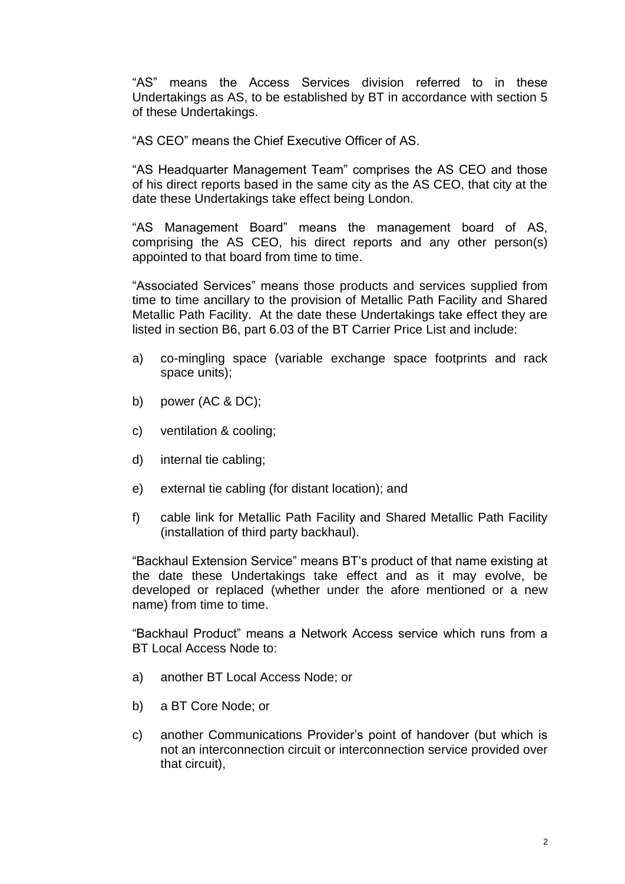"AS" means the Access Services division referred to in these Undertakings as AS, to be established by BT in accordance with section 5 of these Undertakings.

"AS CEO" means the Chief Executive Officer of AS.

"AS Headquarter Management Team" comprises the AS CEO and those of his direct reports based in the same city as the AS CEO, that city at the date these Undertakings take effect being London.

"AS Management Board" means the management board of AS, comprising the AS CEO, his direct reports and any other person(s) appointed to that board from time to time.

"Associated Services" means those products and services supplied from time to time ancillary to the provision of Metallic Path Facility and Shared Metallic Path Facility. At the date these Undertakings take effect they are listed in section B6, part 6.03 of the BT Carrier Price List and include:

- a) co-mingling space (variable exchange space footprints and rack space units);
- b) power (AC & DC);
- c) ventilation & cooling;
- d) internal tie cabling;
- e) external tie cabling (for distant location); and
- f) cable link for Metallic Path Facility and Shared Metallic Path Facility (installation of third party backhaul).

"Backhaul Extension Service" means BT's product of that name existing at the date these Undertakings take effect and as it may evolve, be developed or replaced (whether under the afore mentioned or a new name) from time to time.

"Backhaul Product" means a Network Access service which runs from a BT Local Access Node to:

- a) another BT Local Access Node; or
- b) a BT Core Node; or
- c) another Communications Provider's point of handover (but which is not an interconnection circuit or interconnection service provided over that circuit),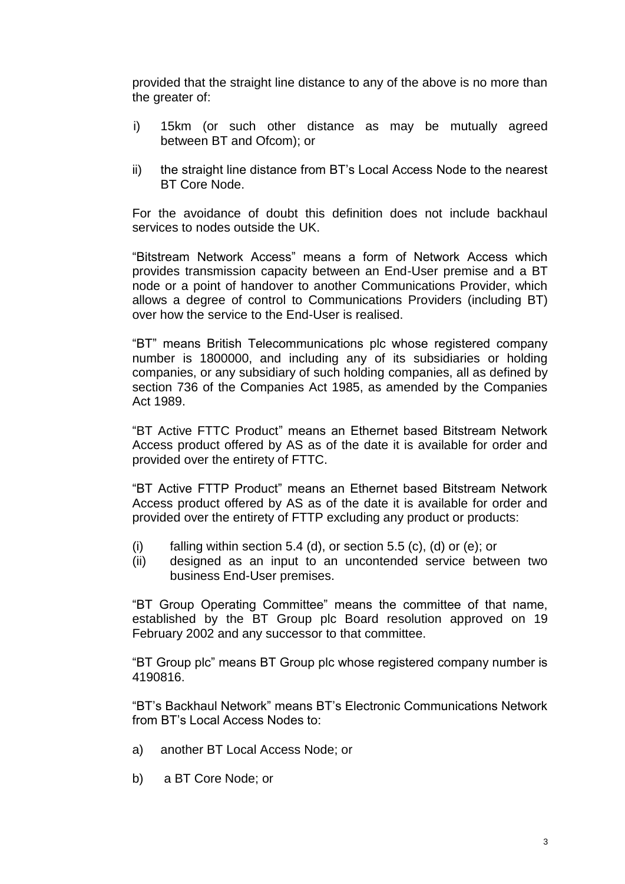provided that the straight line distance to any of the above is no more than the greater of:

- i) 15km (or such other distance as may be mutually agreed between BT and Ofcom); or
- ii) the straight line distance from BT's Local Access Node to the nearest BT Core Node.

For the avoidance of doubt this definition does not include backhaul services to nodes outside the UK.

"Bitstream Network Access" means a form of Network Access which provides transmission capacity between an End-User premise and a BT node or a point of handover to another Communications Provider, which allows a degree of control to Communications Providers (including BT) over how the service to the End-User is realised.

"BT" means British Telecommunications plc whose registered company number is 1800000, and including any of its subsidiaries or holding companies, or any subsidiary of such holding companies, all as defined by section 736 of the Companies Act 1985, as amended by the Companies Act 1989.

"BT Active FTTC Product" means an Ethernet based Bitstream Network Access product offered by AS as of the date it is available for order and provided over the entirety of FTTC.

"BT Active FTTP Product" means an Ethernet based Bitstream Network Access product offered by AS as of the date it is available for order and provided over the entirety of FTTP excluding any product or products:

- (i) falling within section 5.4 (d), or section 5.5 (c), (d) or (e); or
- (ii) designed as an input to an uncontended service between two business End-User premises.

"BT Group Operating Committee" means the committee of that name, established by the BT Group plc Board resolution approved on 19 February 2002 and any successor to that committee.

"BT Group plc" means BT Group plc whose registered company number is 4190816.

"BT's Backhaul Network" means BT's Electronic Communications Network from BT's Local Access Nodes to:

- a) another BT Local Access Node; or
- b) a BT Core Node; or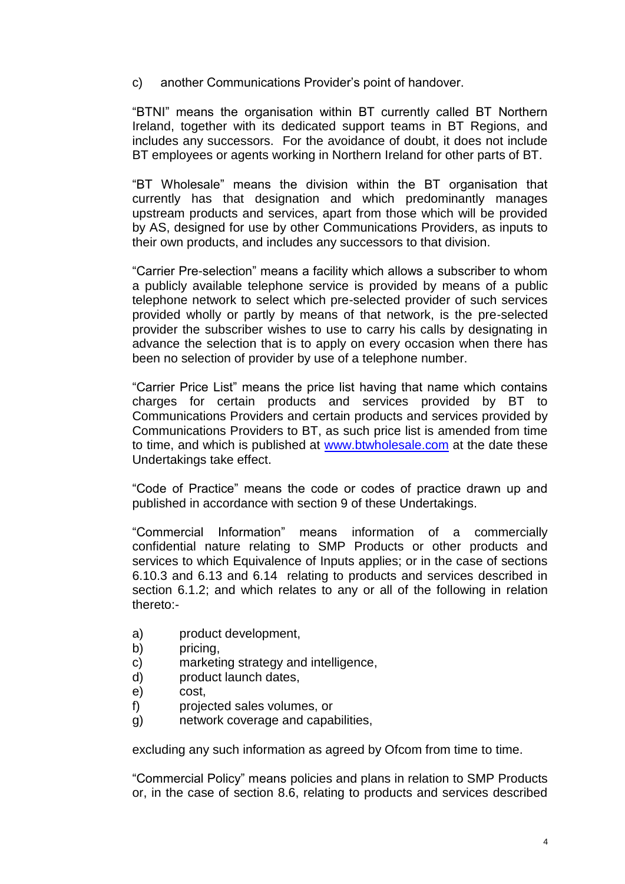c) another Communications Provider's point of handover.

"BTNI" means the organisation within BT currently called BT Northern Ireland, together with its dedicated support teams in BT Regions, and includes any successors. For the avoidance of doubt, it does not include BT employees or agents working in Northern Ireland for other parts of BT.

"BT Wholesale" means the division within the BT organisation that currently has that designation and which predominantly manages upstream products and services, apart from those which will be provided by AS, designed for use by other Communications Providers, as inputs to their own products, and includes any successors to that division.

"Carrier Pre-selection" means a facility which allows a subscriber to whom a publicly available telephone service is provided by means of a public telephone network to select which pre-selected provider of such services provided wholly or partly by means of that network, is the pre-selected provider the subscriber wishes to use to carry his calls by designating in advance the selection that is to apply on every occasion when there has been no selection of provider by use of a telephone number.

"Carrier Price List" means the price list having that name which contains charges for certain products and services provided by BT to Communications Providers and certain products and services provided by Communications Providers to BT, as such price list is amended from time to time, and which is published at [www.btwholesale.com](http://www.btwholesale.com/) at the date these Undertakings take effect.

"Code of Practice" means the code or codes of practice drawn up and published in accordance with section 9 of these Undertakings.

"Commercial Information" means information of a commercially confidential nature relating to SMP Products or other products and services to which Equivalence of Inputs applies; or in the case of sections 6.10.3 and 6.13 and 6.14 relating to products and services described in section 6.1.2; and which relates to any or all of the following in relation thereto:-

- a) product development,
- b) pricing,
- c) marketing strategy and intelligence,
- d) product launch dates,
- e) cost,
- f) projected sales volumes, or
- g) network coverage and capabilities,

excluding any such information as agreed by Ofcom from time to time.

"Commercial Policy" means policies and plans in relation to SMP Products or, in the case of section 8.6, relating to products and services described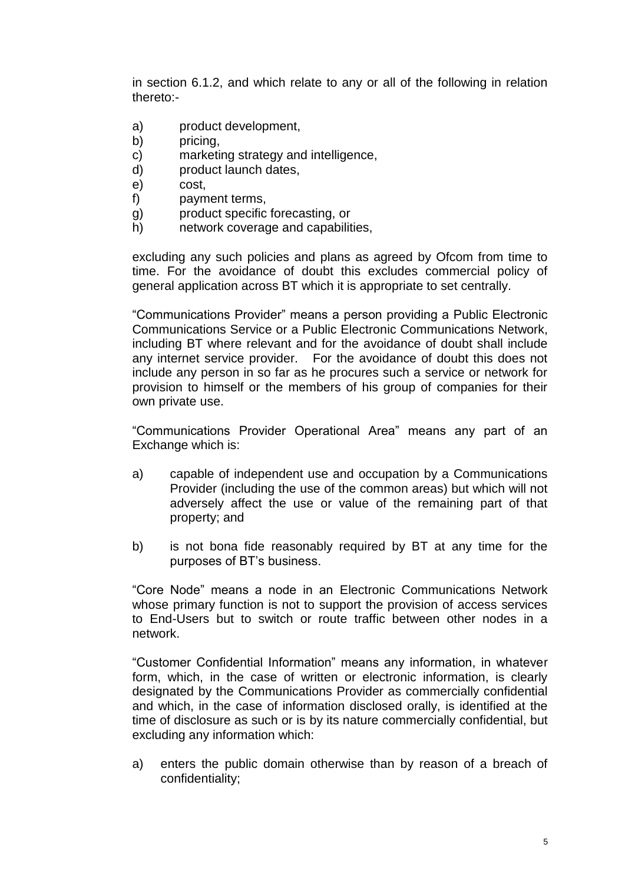in section 6.1.2, and which relate to any or all of the following in relation thereto:-

- a) product development,
- b) pricing,
- c) marketing strategy and intelligence,
- d) product launch dates,
- e) cost,
- f) payment terms,
- g) product specific forecasting, or
- h) network coverage and capabilities,

excluding any such policies and plans as agreed by Ofcom from time to time. For the avoidance of doubt this excludes commercial policy of general application across BT which it is appropriate to set centrally.

"Communications Provider" means a person providing a Public Electronic Communications Service or a Public Electronic Communications Network, including BT where relevant and for the avoidance of doubt shall include any internet service provider. For the avoidance of doubt this does not include any person in so far as he procures such a service or network for provision to himself or the members of his group of companies for their own private use.

"Communications Provider Operational Area" means any part of an Exchange which is:

- a) capable of independent use and occupation by a Communications Provider (including the use of the common areas) but which will not adversely affect the use or value of the remaining part of that property; and
- b) is not bona fide reasonably required by BT at any time for the purposes of BT's business.

"Core Node" means a node in an Electronic Communications Network whose primary function is not to support the provision of access services to End-Users but to switch or route traffic between other nodes in a network.

"Customer Confidential Information" means any information, in whatever form, which, in the case of written or electronic information, is clearly designated by the Communications Provider as commercially confidential and which, in the case of information disclosed orally, is identified at the time of disclosure as such or is by its nature commercially confidential, but excluding any information which:

a) enters the public domain otherwise than by reason of a breach of confidentiality;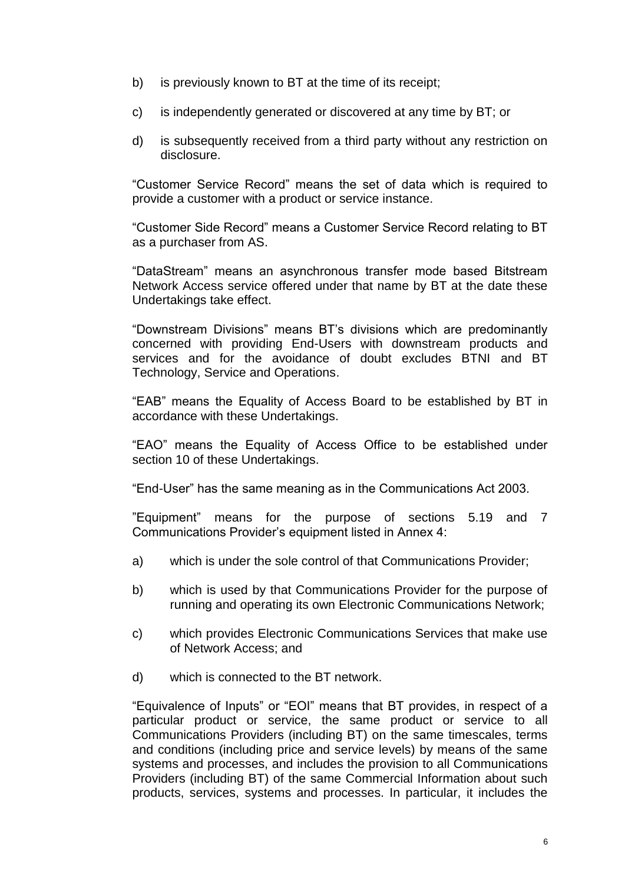- b) is previously known to BT at the time of its receipt;
- c) is independently generated or discovered at any time by BT; or
- d) is subsequently received from a third party without any restriction on disclosure.

"Customer Service Record" means the set of data which is required to provide a customer with a product or service instance.

"Customer Side Record" means a Customer Service Record relating to BT as a purchaser from AS.

"DataStream" means an asynchronous transfer mode based Bitstream Network Access service offered under that name by BT at the date these Undertakings take effect.

"Downstream Divisions" means BT's divisions which are predominantly concerned with providing End-Users with downstream products and services and for the avoidance of doubt excludes BTNI and BT Technology, Service and Operations.

"EAB" means the Equality of Access Board to be established by BT in accordance with these Undertakings.

"EAO" means the Equality of Access Office to be established under section 10 of these Undertakings.

"End-User" has the same meaning as in the Communications Act 2003.

"Equipment" means for the purpose of sections 5.19 and 7 Communications Provider's equipment listed in Annex 4:

- a) which is under the sole control of that Communications Provider;
- b) which is used by that Communications Provider for the purpose of running and operating its own Electronic Communications Network;
- c) which provides Electronic Communications Services that make use of Network Access; and
- d) which is connected to the BT network.

"Equivalence of Inputs" or "EOI" means that BT provides, in respect of a particular product or service, the same product or service to all Communications Providers (including BT) on the same timescales, terms and conditions (including price and service levels) by means of the same systems and processes, and includes the provision to all Communications Providers (including BT) of the same Commercial Information about such products, services, systems and processes. In particular, it includes the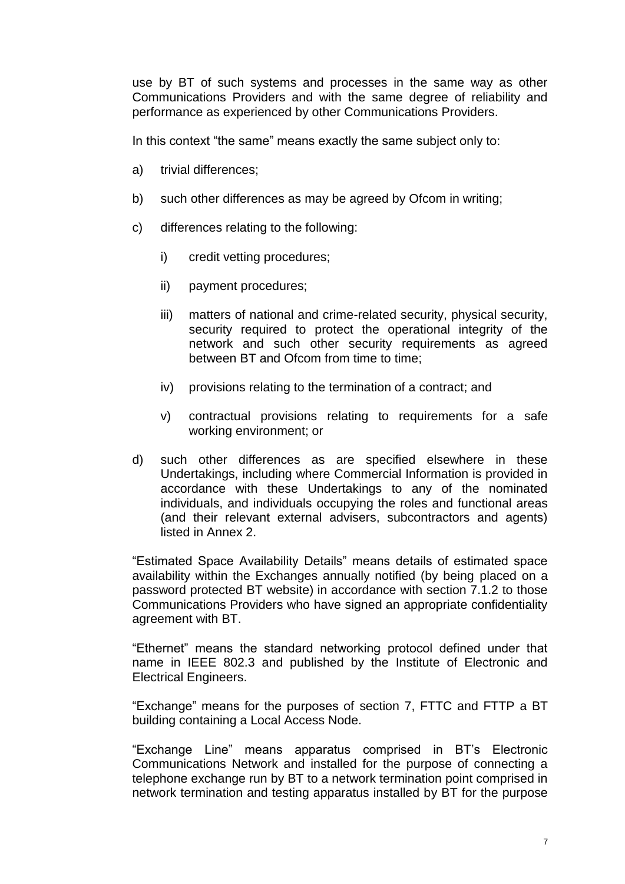use by BT of such systems and processes in the same way as other Communications Providers and with the same degree of reliability and performance as experienced by other Communications Providers.

In this context "the same" means exactly the same subject only to:

- a) trivial differences;
- b) such other differences as may be agreed by Ofcom in writing;
- c) differences relating to the following:
	- i) credit vetting procedures;
	- ii) payment procedures;
	- iii) matters of national and crime-related security, physical security, security required to protect the operational integrity of the network and such other security requirements as agreed between BT and Ofcom from time to time;
	- iv) provisions relating to the termination of a contract; and
	- v) contractual provisions relating to requirements for a safe working environment; or
- d) such other differences as are specified elsewhere in these Undertakings, including where Commercial Information is provided in accordance with these Undertakings to any of the nominated individuals, and individuals occupying the roles and functional areas (and their relevant external advisers, subcontractors and agents) listed in Annex 2.

"Estimated Space Availability Details" means details of estimated space availability within the Exchanges annually notified (by being placed on a password protected BT website) in accordance with section 7.1.2 to those Communications Providers who have signed an appropriate confidentiality agreement with BT.

"Ethernet" means the standard networking protocol defined under that name in IEEE 802.3 and published by the Institute of Electronic and Electrical Engineers.

"Exchange" means for the purposes of section 7, FTTC and FTTP a BT building containing a Local Access Node.

"Exchange Line" means apparatus comprised in BT's Electronic Communications Network and installed for the purpose of connecting a telephone exchange run by BT to a network termination point comprised in network termination and testing apparatus installed by BT for the purpose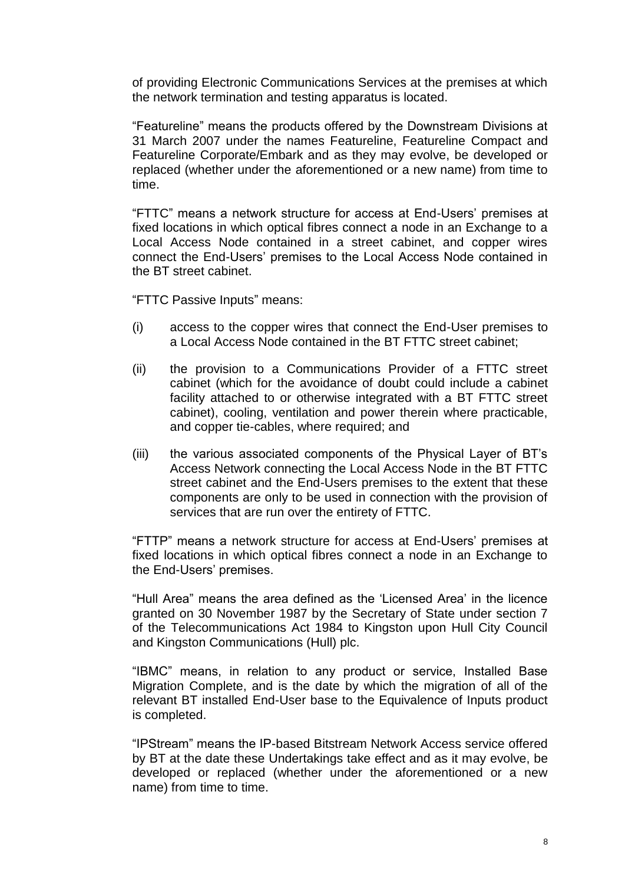of providing Electronic Communications Services at the premises at which the network termination and testing apparatus is located.

"Featureline" means the products offered by the Downstream Divisions at 31 March 2007 under the names Featureline, Featureline Compact and Featureline Corporate/Embark and as they may evolve, be developed or replaced (whether under the aforementioned or a new name) from time to time.

"FTTC" means a network structure for access at End-Users' premises at fixed locations in which optical fibres connect a node in an Exchange to a Local Access Node contained in a street cabinet, and copper wires connect the End-Users' premises to the Local Access Node contained in the BT street cabinet.

"FTTC Passive Inputs" means:

- (i) access to the copper wires that connect the End-User premises to a Local Access Node contained in the BT FTTC street cabinet;
- (ii) the provision to a Communications Provider of a FTTC street cabinet (which for the avoidance of doubt could include a cabinet facility attached to or otherwise integrated with a BT FTTC street cabinet), cooling, ventilation and power therein where practicable, and copper tie-cables, where required; and
- (iii) the various associated components of the Physical Layer of BT's Access Network connecting the Local Access Node in the BT FTTC street cabinet and the End-Users premises to the extent that these components are only to be used in connection with the provision of services that are run over the entirety of FTTC.

"FTTP" means a network structure for access at End-Users' premises at fixed locations in which optical fibres connect a node in an Exchange to the End-Users' premises.

"Hull Area" means the area defined as the 'Licensed Area' in the licence granted on 30 November 1987 by the Secretary of State under section 7 of the Telecommunications Act 1984 to Kingston upon Hull City Council and Kingston Communications (Hull) plc.

"IBMC" means, in relation to any product or service, Installed Base Migration Complete, and is the date by which the migration of all of the relevant BT installed End-User base to the Equivalence of Inputs product is completed.

"IPStream" means the IP-based Bitstream Network Access service offered by BT at the date these Undertakings take effect and as it may evolve, be developed or replaced (whether under the aforementioned or a new name) from time to time.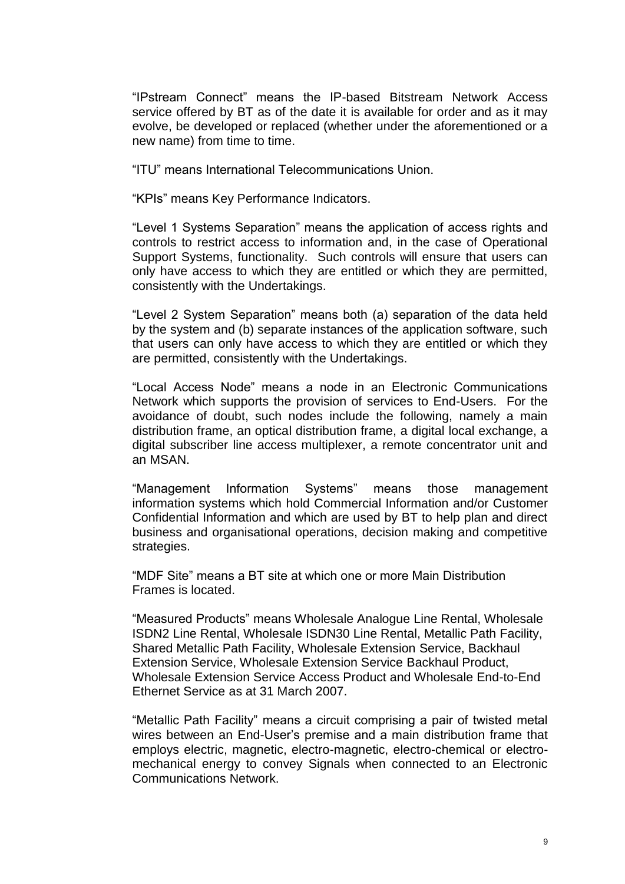"IPstream Connect" means the IP-based Bitstream Network Access service offered by BT as of the date it is available for order and as it may evolve, be developed or replaced (whether under the aforementioned or a new name) from time to time.

"ITU" means International Telecommunications Union.

"KPIs" means Key Performance Indicators.

"Level 1 Systems Separation" means the application of access rights and controls to restrict access to information and, in the case of Operational Support Systems, functionality. Such controls will ensure that users can only have access to which they are entitled or which they are permitted, consistently with the Undertakings.

"Level 2 System Separation" means both (a) separation of the data held by the system and (b) separate instances of the application software, such that users can only have access to which they are entitled or which they are permitted, consistently with the Undertakings.

"Local Access Node" means a node in an Electronic Communications Network which supports the provision of services to End-Users. For the avoidance of doubt, such nodes include the following, namely a main distribution frame, an optical distribution frame, a digital local exchange, a digital subscriber line access multiplexer, a remote concentrator unit and an MSAN.

"Management Information Systems" means those management information systems which hold Commercial Information and/or Customer Confidential Information and which are used by BT to help plan and direct business and organisational operations, decision making and competitive strategies.

"MDF Site" means a BT site at which one or more Main Distribution Frames is located.

"Measured Products" means Wholesale Analogue Line Rental, Wholesale ISDN2 Line Rental, Wholesale ISDN30 Line Rental, Metallic Path Facility, Shared Metallic Path Facility, Wholesale Extension Service, Backhaul Extension Service, Wholesale Extension Service Backhaul Product, Wholesale Extension Service Access Product and Wholesale End-to-End Ethernet Service as at 31 March 2007.

"Metallic Path Facility" means a circuit comprising a pair of twisted metal wires between an End-User's premise and a main distribution frame that employs electric, magnetic, electro-magnetic, electro-chemical or electromechanical energy to convey Signals when connected to an Electronic Communications Network.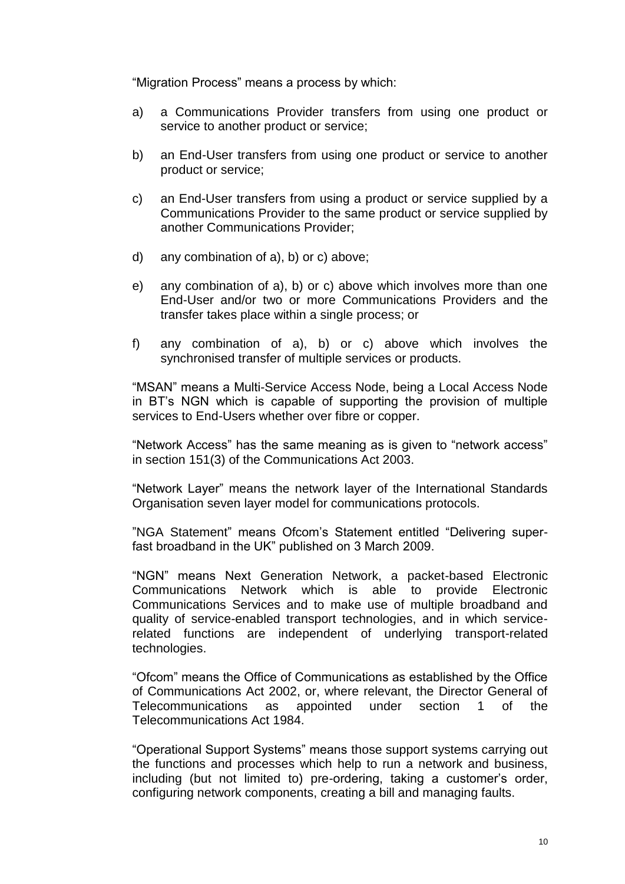"Migration Process" means a process by which:

- a) a Communications Provider transfers from using one product or service to another product or service;
- b) an End-User transfers from using one product or service to another product or service;
- c) an End-User transfers from using a product or service supplied by a Communications Provider to the same product or service supplied by another Communications Provider;
- d) any combination of a), b) or c) above;
- e) any combination of a), b) or c) above which involves more than one End-User and/or two or more Communications Providers and the transfer takes place within a single process; or
- f) any combination of a), b) or c) above which involves the synchronised transfer of multiple services or products.

"MSAN" means a Multi-Service Access Node, being a Local Access Node in BT's NGN which is capable of supporting the provision of multiple services to End-Users whether over fibre or copper.

"Network Access" has the same meaning as is given to "network access" in section 151(3) of the Communications Act 2003.

"Network Layer" means the network layer of the International Standards Organisation seven layer model for communications protocols.

"NGA Statement" means Ofcom's Statement entitled "Delivering superfast broadband in the UK" published on 3 March 2009.

"NGN" means Next Generation Network, a packet-based Electronic Communications Network which is able to provide Electronic Communications Services and to make use of multiple broadband and quality of service-enabled transport technologies, and in which servicerelated functions are independent of underlying transport-related technologies.

"Ofcom" means the Office of Communications as established by the Office of Communications Act 2002, or, where relevant, the Director General of Telecommunications as appointed under section 1 of the Telecommunications Act 1984.

"Operational Support Systems" means those support systems carrying out the functions and processes which help to run a network and business, including (but not limited to) pre-ordering, taking a customer's order, configuring network components, creating a bill and managing faults.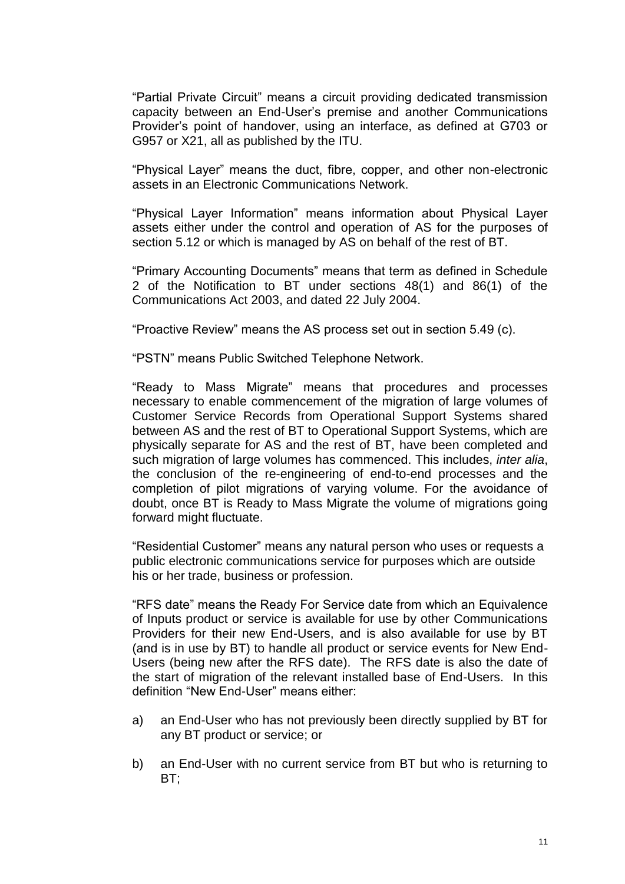"Partial Private Circuit" means a circuit providing dedicated transmission capacity between an End-User's premise and another Communications Provider's point of handover, using an interface, as defined at G703 or G957 or X21, all as published by the ITU.

"Physical Layer" means the duct, fibre, copper, and other non-electronic assets in an Electronic Communications Network.

"Physical Layer Information" means information about Physical Layer assets either under the control and operation of AS for the purposes of section 5.12 or which is managed by AS on behalf of the rest of BT.

"Primary Accounting Documents" means that term as defined in Schedule 2 of the Notification to BT under sections 48(1) and 86(1) of the Communications Act 2003, and dated 22 July 2004.

"Proactive Review" means the AS process set out in section 5.49 (c).

"PSTN" means Public Switched Telephone Network.

"Ready to Mass Migrate" means that procedures and processes necessary to enable commencement of the migration of large volumes of Customer Service Records from Operational Support Systems shared between AS and the rest of BT to Operational Support Systems, which are physically separate for AS and the rest of BT, have been completed and such migration of large volumes has commenced. This includes, *inter alia*, the conclusion of the re-engineering of end-to-end processes and the completion of pilot migrations of varying volume. For the avoidance of doubt, once BT is Ready to Mass Migrate the volume of migrations going forward might fluctuate.

"Residential Customer" means any natural person who uses or requests a public electronic communications service for purposes which are outside his or her trade, business or profession.

"RFS date" means the Ready For Service date from which an Equivalence of Inputs product or service is available for use by other Communications Providers for their new End-Users, and is also available for use by BT (and is in use by BT) to handle all product or service events for New End-Users (being new after the RFS date). The RFS date is also the date of the start of migration of the relevant installed base of End-Users. In this definition "New End-User" means either:

- a) an End-User who has not previously been directly supplied by BT for any BT product or service; or
- b) an End-User with no current service from BT but who is returning to  $BT:$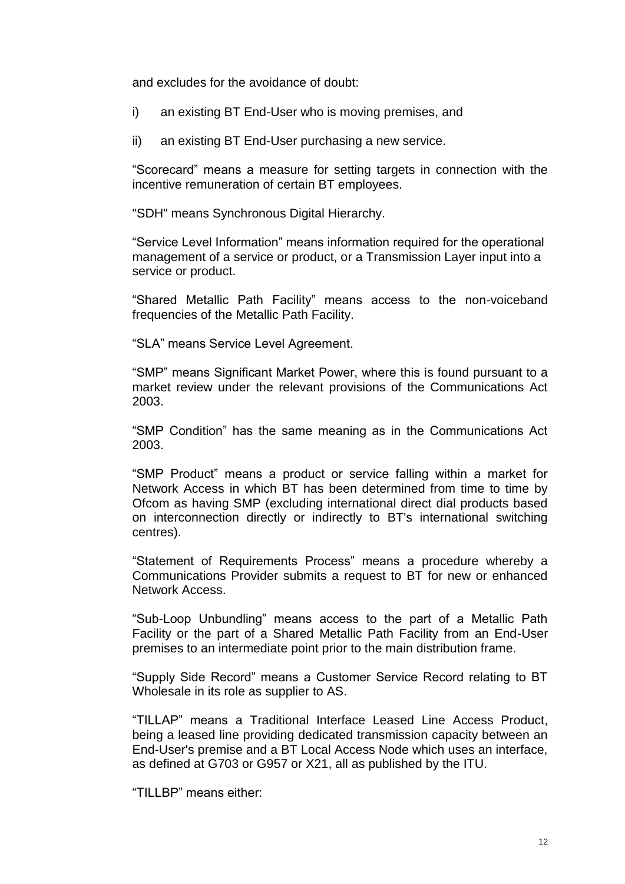and excludes for the avoidance of doubt:

- i) an existing BT End-User who is moving premises, and
- ii) an existing BT End-User purchasing a new service.

"Scorecard" means a measure for setting targets in connection with the incentive remuneration of certain BT employees.

"SDH" means Synchronous Digital Hierarchy.

"Service Level Information" means information required for the operational management of a service or product, or a Transmission Layer input into a service or product.

"Shared Metallic Path Facility" means access to the non-voiceband frequencies of the Metallic Path Facility.

"SLA" means Service Level Agreement.

"SMP" means Significant Market Power, where this is found pursuant to a market review under the relevant provisions of the Communications Act 2003.

"SMP Condition" has the same meaning as in the Communications Act 2003.

"SMP Product" means a product or service falling within a market for Network Access in which BT has been determined from time to time by Ofcom as having SMP (excluding international direct dial products based on interconnection directly or indirectly to BT's international switching centres).

"Statement of Requirements Process" means a procedure whereby a Communications Provider submits a request to BT for new or enhanced Network Access.

"Sub-Loop Unbundling" means access to the part of a Metallic Path Facility or the part of a Shared Metallic Path Facility from an End-User premises to an intermediate point prior to the main distribution frame.

"Supply Side Record" means a Customer Service Record relating to BT Wholesale in its role as supplier to AS.

"TILLAP" means a Traditional Interface Leased Line Access Product, being a leased line providing dedicated transmission capacity between an End-User's premise and a BT Local Access Node which uses an interface, as defined at G703 or G957 or X21, all as published by the ITU.

"TILLBP" means either: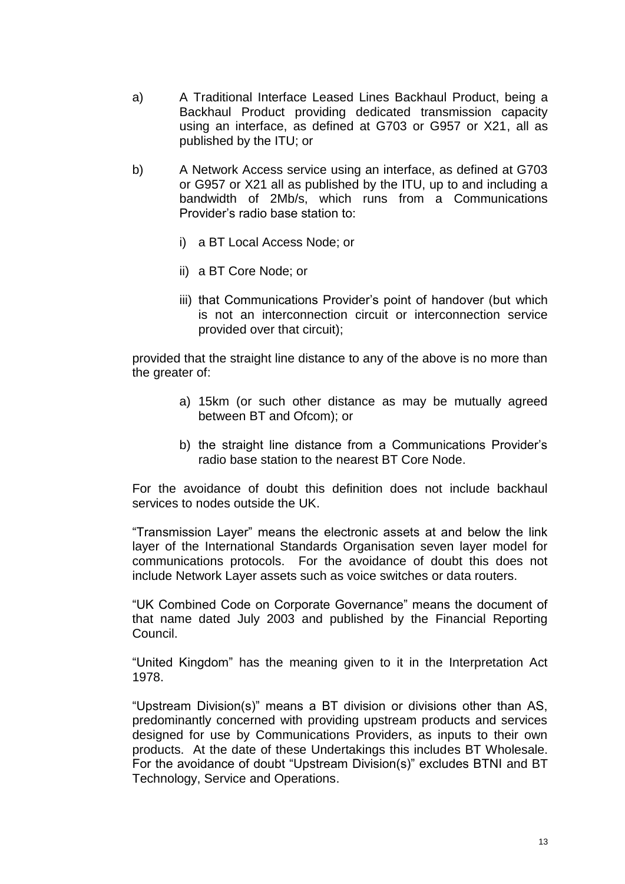- a) A Traditional Interface Leased Lines Backhaul Product, being a Backhaul Product providing dedicated transmission capacity using an interface, as defined at G703 or G957 or X21, all as published by the ITU; or
- b) A Network Access service using an interface, as defined at G703 or G957 or X21 all as published by the ITU, up to and including a bandwidth of 2Mb/s, which runs from a Communications Provider's radio base station to:
	- i) a BT Local Access Node; or
	- ii) a BT Core Node; or
	- iii) that Communications Provider's point of handover (but which is not an interconnection circuit or interconnection service provided over that circuit);

provided that the straight line distance to any of the above is no more than the greater of:

- a) 15km (or such other distance as may be mutually agreed between BT and Ofcom); or
- b) the straight line distance from a Communications Provider's radio base station to the nearest BT Core Node.

For the avoidance of doubt this definition does not include backhaul services to nodes outside the UK.

"Transmission Layer" means the electronic assets at and below the link layer of the International Standards Organisation seven layer model for communications protocols. For the avoidance of doubt this does not include Network Layer assets such as voice switches or data routers.

"UK Combined Code on Corporate Governance" means the document of that name dated July 2003 and published by the Financial Reporting Council.

"United Kingdom" has the meaning given to it in the Interpretation Act 1978.

"Upstream Division(s)" means a BT division or divisions other than AS, predominantly concerned with providing upstream products and services designed for use by Communications Providers, as inputs to their own products. At the date of these Undertakings this includes BT Wholesale. For the avoidance of doubt "Upstream Division(s)" excludes BTNI and BT Technology, Service and Operations.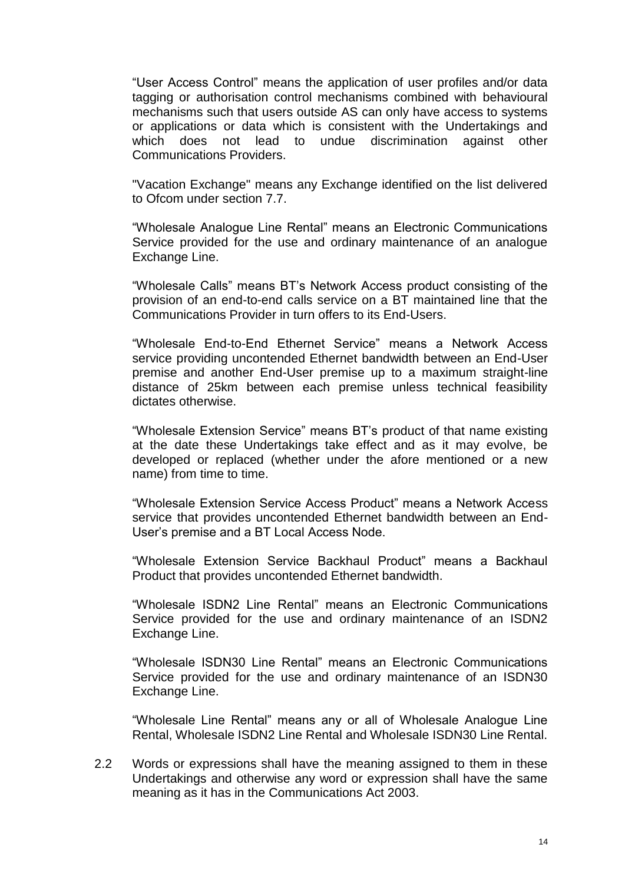"User Access Control" means the application of user profiles and/or data tagging or authorisation control mechanisms combined with behavioural mechanisms such that users outside AS can only have access to systems or applications or data which is consistent with the Undertakings and which does not lead to undue discrimination against other undue discrimination against other Communications Providers.

"Vacation Exchange" means any Exchange identified on the list delivered to Ofcom under section 7.7.

"Wholesale Analogue Line Rental" means an Electronic Communications Service provided for the use and ordinary maintenance of an analogue Exchange Line.

"Wholesale Calls" means BT's Network Access product consisting of the provision of an end-to-end calls service on a BT maintained line that the Communications Provider in turn offers to its End-Users.

"Wholesale End-to-End Ethernet Service" means a Network Access service providing uncontended Ethernet bandwidth between an End-User premise and another End-User premise up to a maximum straight-line distance of 25km between each premise unless technical feasibility dictates otherwise.

"Wholesale Extension Service" means BT's product of that name existing at the date these Undertakings take effect and as it may evolve, be developed or replaced (whether under the afore mentioned or a new name) from time to time.

"Wholesale Extension Service Access Product" means a Network Access service that provides uncontended Ethernet bandwidth between an End-User's premise and a BT Local Access Node.

"Wholesale Extension Service Backhaul Product" means a Backhaul Product that provides uncontended Ethernet bandwidth.

"Wholesale ISDN2 Line Rental" means an Electronic Communications Service provided for the use and ordinary maintenance of an ISDN2 Exchange Line.

"Wholesale ISDN30 Line Rental" means an Electronic Communications Service provided for the use and ordinary maintenance of an ISDN30 Exchange Line.

"Wholesale Line Rental" means any or all of Wholesale Analogue Line Rental, Wholesale ISDN2 Line Rental and Wholesale ISDN30 Line Rental.

2.2 Words or expressions shall have the meaning assigned to them in these Undertakings and otherwise any word or expression shall have the same meaning as it has in the Communications Act 2003.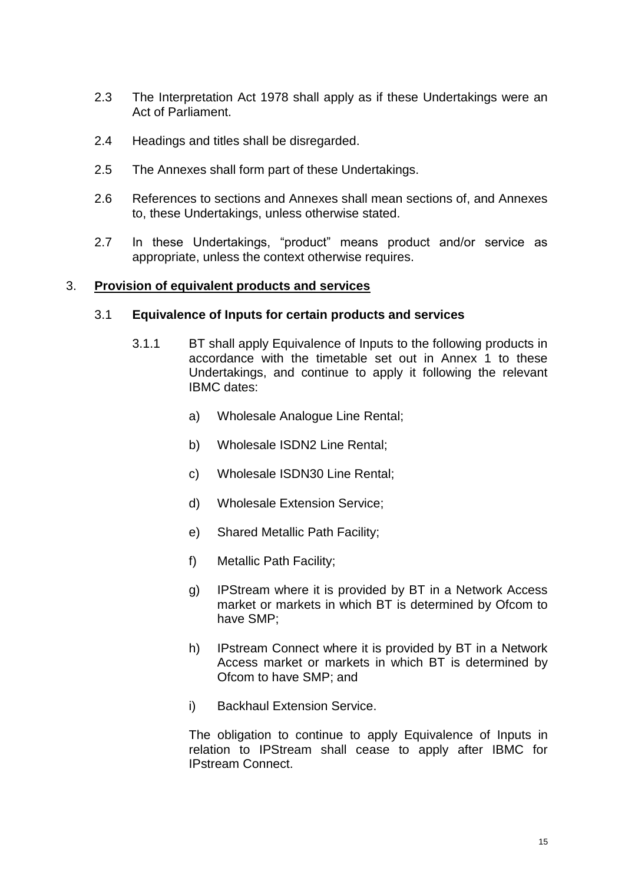- 2.3 The Interpretation Act 1978 shall apply as if these Undertakings were an Act of Parliament.
- 2.4 Headings and titles shall be disregarded.
- 2.5 The Annexes shall form part of these Undertakings.
- 2.6 References to sections and Annexes shall mean sections of, and Annexes to, these Undertakings, unless otherwise stated.
- 2.7 In these Undertakings, "product" means product and/or service as appropriate, unless the context otherwise requires.

#### 3. **Provision of equivalent products and services**

#### 3.1 **Equivalence of Inputs for certain products and services**

- 3.1.1 BT shall apply Equivalence of Inputs to the following products in accordance with the timetable set out in Annex 1 to these Undertakings, and continue to apply it following the relevant IBMC dates:
	- a) Wholesale Analogue Line Rental;
	- b) Wholesale ISDN2 Line Rental;
	- c) Wholesale ISDN30 Line Rental;
	- d) Wholesale Extension Service;
	- e) Shared Metallic Path Facility;
	- f) Metallic Path Facility;
	- g) IPStream where it is provided by BT in a Network Access market or markets in which BT is determined by Ofcom to have SMP;
	- h) IPstream Connect where it is provided by BT in a Network Access market or markets in which BT is determined by Ofcom to have SMP; and
	- i) Backhaul Extension Service.

The obligation to continue to apply Equivalence of Inputs in relation to IPStream shall cease to apply after IBMC for IPstream Connect.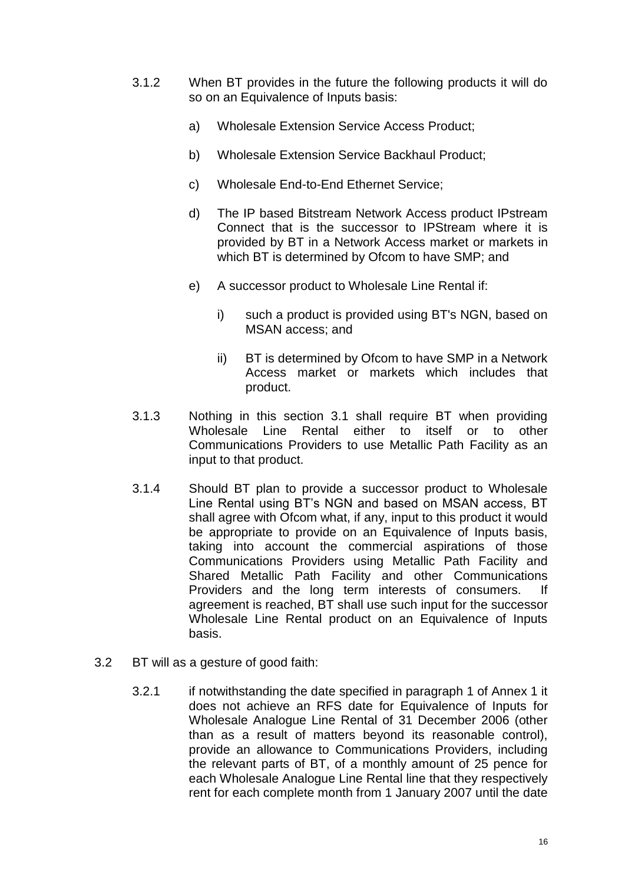- 3.1.2 When BT provides in the future the following products it will do so on an Equivalence of Inputs basis:
	- a) Wholesale Extension Service Access Product;
	- b) Wholesale Extension Service Backhaul Product;
	- c) Wholesale End-to-End Ethernet Service;
	- d) The IP based Bitstream Network Access product IPstream Connect that is the successor to IPStream where it is provided by BT in a Network Access market or markets in which BT is determined by Ofcom to have SMP; and
	- e) A successor product to Wholesale Line Rental if:
		- i) such a product is provided using BT's NGN, based on MSAN access; and
		- ii) BT is determined by Ofcom to have SMP in a Network Access market or markets which includes that product.
- 3.1.3 Nothing in this section 3.1 shall require BT when providing Wholesale Line Rental either to itself or to other Communications Providers to use Metallic Path Facility as an input to that product.
- 3.1.4 Should BT plan to provide a successor product to Wholesale Line Rental using BT's NGN and based on MSAN access, BT shall agree with Ofcom what, if any, input to this product it would be appropriate to provide on an Equivalence of Inputs basis, taking into account the commercial aspirations of those Communications Providers using Metallic Path Facility and Shared Metallic Path Facility and other Communications Providers and the long term interests of consumers. If agreement is reached, BT shall use such input for the successor Wholesale Line Rental product on an Equivalence of Inputs basis.
- 3.2 BT will as a gesture of good faith:
	- 3.2.1 if notwithstanding the date specified in paragraph 1 of Annex 1 it does not achieve an RFS date for Equivalence of Inputs for Wholesale Analogue Line Rental of 31 December 2006 (other than as a result of matters beyond its reasonable control), provide an allowance to Communications Providers, including the relevant parts of BT, of a monthly amount of 25 pence for each Wholesale Analogue Line Rental line that they respectively rent for each complete month from 1 January 2007 until the date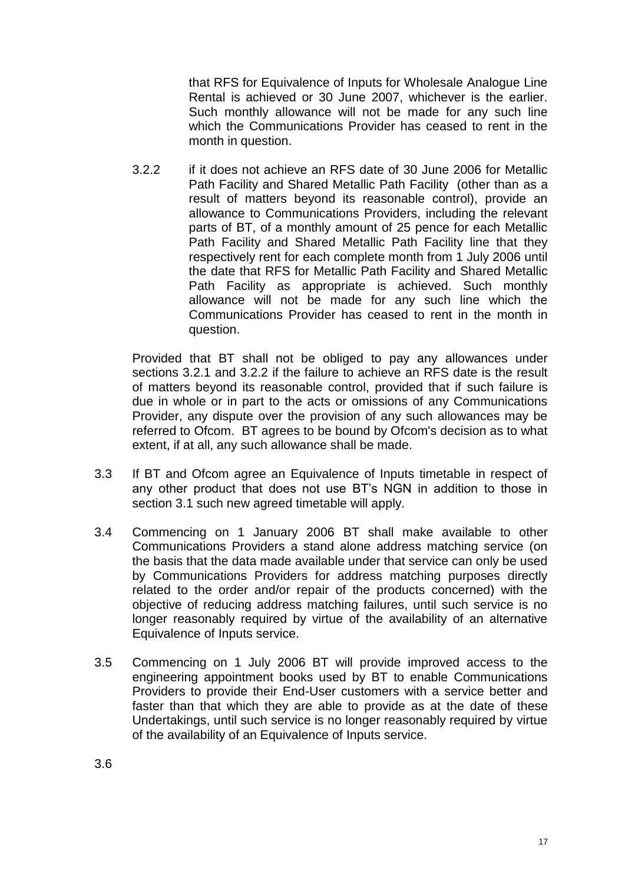that RFS for Equivalence of Inputs for Wholesale Analogue Line Rental is achieved or 30 June 2007, whichever is the earlier. Such monthly allowance will not be made for any such line which the Communications Provider has ceased to rent in the month in question.

3.2.2 if it does not achieve an RFS date of 30 June 2006 for Metallic Path Facility and Shared Metallic Path Facility (other than as a result of matters beyond its reasonable control), provide an allowance to Communications Providers, including the relevant parts of BT, of a monthly amount of 25 pence for each Metallic Path Facility and Shared Metallic Path Facility line that they respectively rent for each complete month from 1 July 2006 until the date that RFS for Metallic Path Facility and Shared Metallic Path Facility as appropriate is achieved. Such monthly allowance will not be made for any such line which the Communications Provider has ceased to rent in the month in question.

Provided that BT shall not be obliged to pay any allowances under sections 3.2.1 and 3.2.2 if the failure to achieve an RFS date is the result of matters beyond its reasonable control, provided that if such failure is due in whole or in part to the acts or omissions of any Communications Provider, any dispute over the provision of any such allowances may be referred to Ofcom. BT agrees to be bound by Ofcom's decision as to what extent, if at all, any such allowance shall be made.

- 3.3 If BT and Ofcom agree an Equivalence of Inputs timetable in respect of any other product that does not use BT's NGN in addition to those in section 3.1 such new agreed timetable will apply.
- 3.4 Commencing on 1 January 2006 BT shall make available to other Communications Providers a stand alone address matching service (on the basis that the data made available under that service can only be used by Communications Providers for address matching purposes directly related to the order and/or repair of the products concerned) with the objective of reducing address matching failures, until such service is no longer reasonably required by virtue of the availability of an alternative Equivalence of Inputs service.
- 3.5 Commencing on 1 July 2006 BT will provide improved access to the engineering appointment books used by BT to enable Communications Providers to provide their End-User customers with a service better and faster than that which they are able to provide as at the date of these Undertakings, until such service is no longer reasonably required by virtue of the availability of an Equivalence of Inputs service.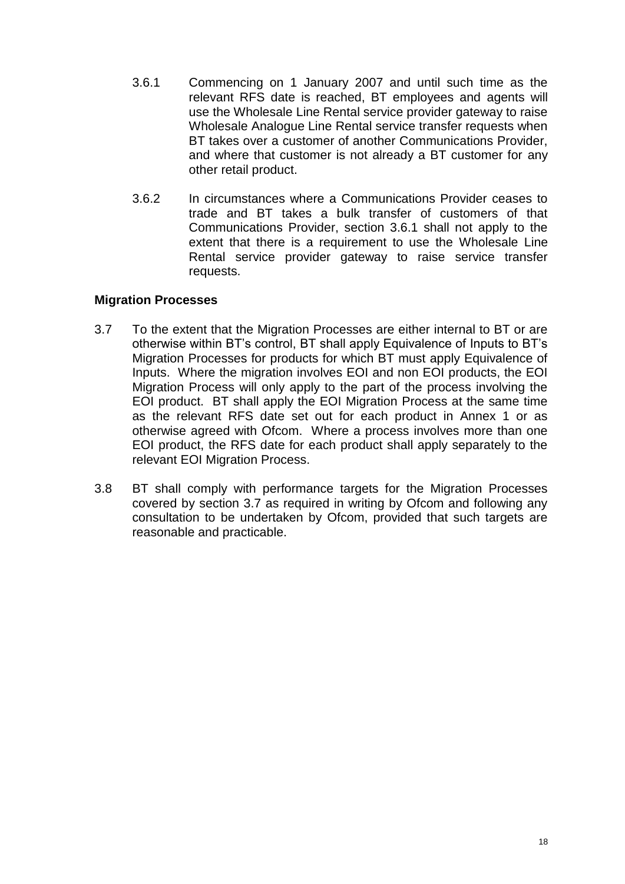- 3.6.1 Commencing on 1 January 2007 and until such time as the relevant RFS date is reached, BT employees and agents will use the Wholesale Line Rental service provider gateway to raise Wholesale Analogue Line Rental service transfer requests when BT takes over a customer of another Communications Provider, and where that customer is not already a BT customer for any other retail product.
- 3.6.2 In circumstances where a Communications Provider ceases to trade and BT takes a bulk transfer of customers of that Communications Provider, section 3.6.1 shall not apply to the extent that there is a requirement to use the Wholesale Line Rental service provider gateway to raise service transfer requests.

## **Migration Processes**

- 3.7 To the extent that the Migration Processes are either internal to BT or are otherwise within BT's control, BT shall apply Equivalence of Inputs to BT's Migration Processes for products for which BT must apply Equivalence of Inputs. Where the migration involves EOI and non EOI products, the EOI Migration Process will only apply to the part of the process involving the EOI product. BT shall apply the EOI Migration Process at the same time as the relevant RFS date set out for each product in Annex 1 or as otherwise agreed with Ofcom. Where a process involves more than one EOI product, the RFS date for each product shall apply separately to the relevant EOI Migration Process.
- 3.8 BT shall comply with performance targets for the Migration Processes covered by section 3.7 as required in writing by Ofcom and following any consultation to be undertaken by Ofcom, provided that such targets are reasonable and practicable.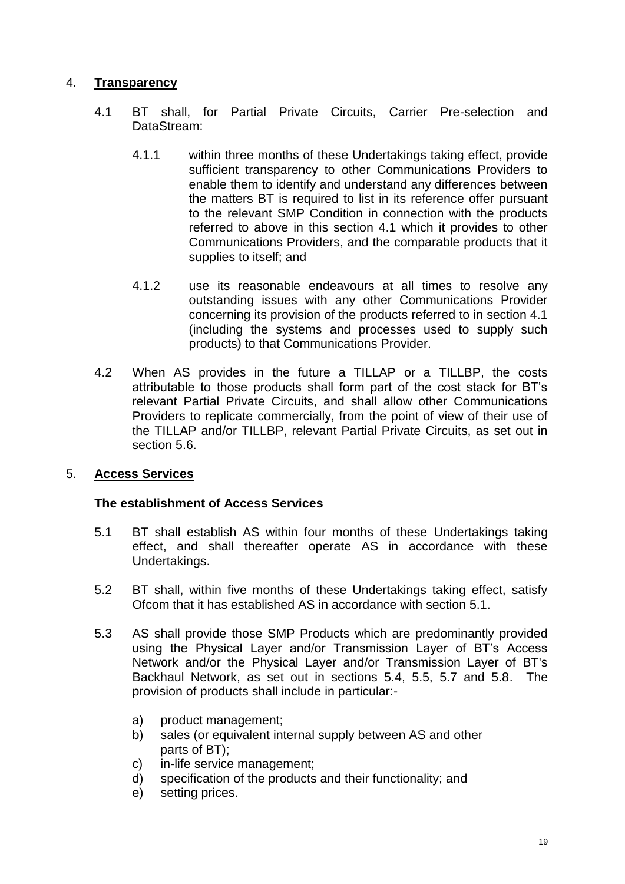# 4. **Transparency**

- 4.1 BT shall, for Partial Private Circuits, Carrier Pre-selection and DataStream:
	- 4.1.1 within three months of these Undertakings taking effect, provide sufficient transparency to other Communications Providers to enable them to identify and understand any differences between the matters BT is required to list in its reference offer pursuant to the relevant SMP Condition in connection with the products referred to above in this section 4.1 which it provides to other Communications Providers, and the comparable products that it supplies to itself; and
	- 4.1.2 use its reasonable endeavours at all times to resolve any outstanding issues with any other Communications Provider concerning its provision of the products referred to in section 4.1 (including the systems and processes used to supply such products) to that Communications Provider.
- 4.2 When AS provides in the future a TILLAP or a TILLBP, the costs attributable to those products shall form part of the cost stack for BT's relevant Partial Private Circuits, and shall allow other Communications Providers to replicate commercially, from the point of view of their use of the TILLAP and/or TILLBP, relevant Partial Private Circuits, as set out in section 5.6.

# 5. **Access Services**

## **The establishment of Access Services**

- 5.1 BT shall establish AS within four months of these Undertakings taking effect, and shall thereafter operate AS in accordance with these Undertakings.
- 5.2 BT shall, within five months of these Undertakings taking effect, satisfy Ofcom that it has established AS in accordance with section 5.1.
- 5.3 AS shall provide those SMP Products which are predominantly provided using the Physical Layer and/or Transmission Layer of BT's Access Network and/or the Physical Layer and/or Transmission Layer of BT's Backhaul Network, as set out in sections 5.4, 5.5, 5.7 and 5.8. The provision of products shall include in particular:
	- a) product management;
	- b) sales (or equivalent internal supply between AS and other parts of BT);
	- c) in-life service management;
	- d) specification of the products and their functionality; and
	- e) setting prices.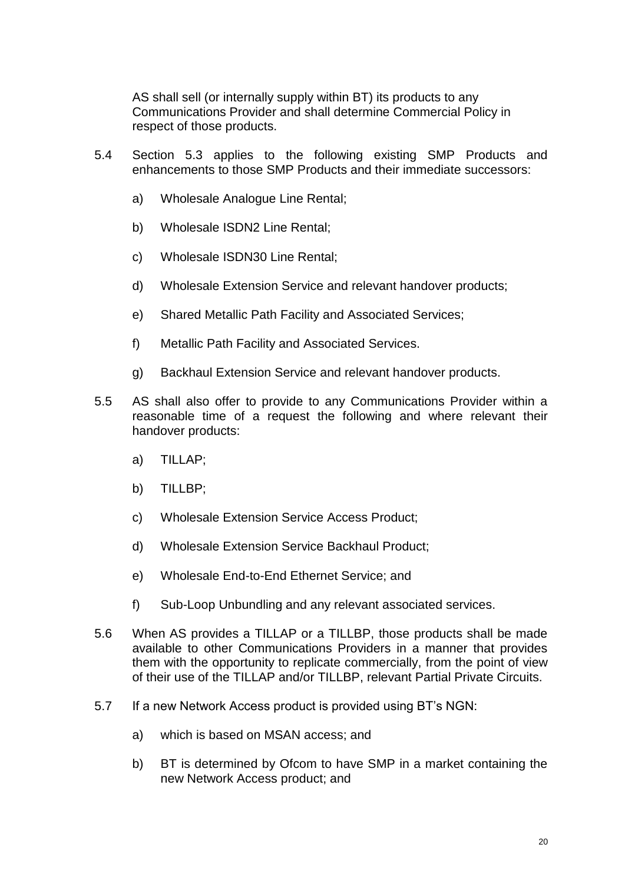AS shall sell (or internally supply within BT) its products to any Communications Provider and shall determine Commercial Policy in respect of those products.

- 5.4 Section 5.3 applies to the following existing SMP Products and enhancements to those SMP Products and their immediate successors:
	- a) Wholesale Analogue Line Rental;
	- b) Wholesale ISDN2 Line Rental;
	- c) Wholesale ISDN30 Line Rental;
	- d) Wholesale Extension Service and relevant handover products;
	- e) Shared Metallic Path Facility and Associated Services;
	- f) Metallic Path Facility and Associated Services.
	- g) Backhaul Extension Service and relevant handover products.
- 5.5 AS shall also offer to provide to any Communications Provider within a reasonable time of a request the following and where relevant their handover products:
	- a) TILLAP;
	- b) TILLBP;
	- c) Wholesale Extension Service Access Product;
	- d) Wholesale Extension Service Backhaul Product;
	- e) Wholesale End-to-End Ethernet Service; and
	- f) Sub-Loop Unbundling and any relevant associated services.
- 5.6 When AS provides a TILLAP or a TILLBP, those products shall be made available to other Communications Providers in a manner that provides them with the opportunity to replicate commercially, from the point of view of their use of the TILLAP and/or TILLBP, relevant Partial Private Circuits.
- 5.7 If a new Network Access product is provided using BT's NGN:
	- a) which is based on MSAN access; and
	- b) BT is determined by Ofcom to have SMP in a market containing the new Network Access product; and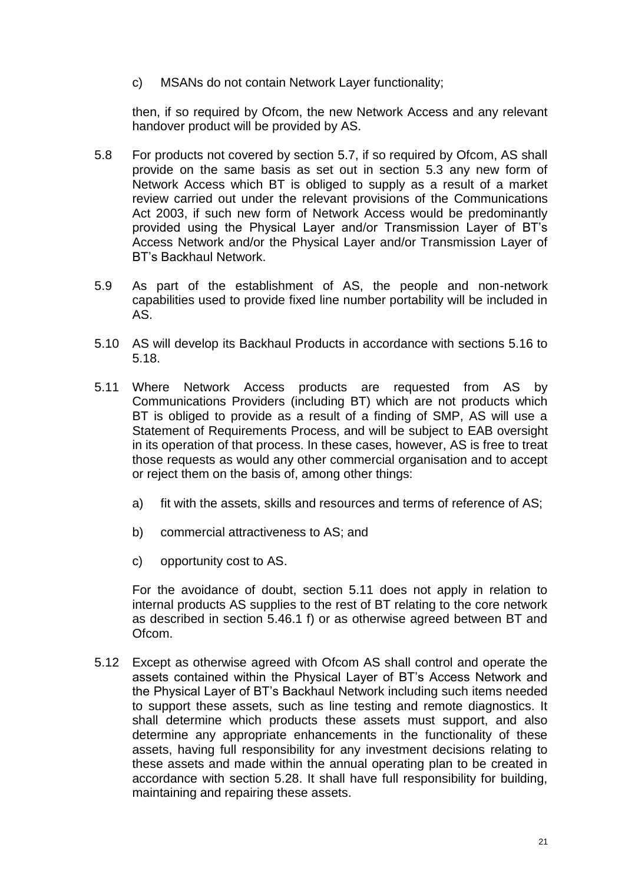c) MSANs do not contain Network Layer functionality;

then, if so required by Ofcom, the new Network Access and any relevant handover product will be provided by AS.

- 5.8 For products not covered by section 5.7, if so required by Ofcom, AS shall provide on the same basis as set out in section 5.3 any new form of Network Access which BT is obliged to supply as a result of a market review carried out under the relevant provisions of the Communications Act 2003, if such new form of Network Access would be predominantly provided using the Physical Layer and/or Transmission Layer of BT's Access Network and/or the Physical Layer and/or Transmission Layer of BT's Backhaul Network.
- 5.9 As part of the establishment of AS, the people and non-network capabilities used to provide fixed line number portability will be included in AS.
- 5.10 AS will develop its Backhaul Products in accordance with sections 5.16 to 5.18.
- 5.11 Where Network Access products are requested from AS by Communications Providers (including BT) which are not products which BT is obliged to provide as a result of a finding of SMP, AS will use a Statement of Requirements Process, and will be subject to EAB oversight in its operation of that process. In these cases, however, AS is free to treat those requests as would any other commercial organisation and to accept or reject them on the basis of, among other things:
	- a) fit with the assets, skills and resources and terms of reference of AS;
	- b) commercial attractiveness to AS; and
	- c) opportunity cost to AS.

For the avoidance of doubt, section 5.11 does not apply in relation to internal products AS supplies to the rest of BT relating to the core network as described in section 5.46.1 f) or as otherwise agreed between BT and Ofcom.

5.12 Except as otherwise agreed with Ofcom AS shall control and operate the assets contained within the Physical Layer of BT's Access Network and the Physical Layer of BT's Backhaul Network including such items needed to support these assets, such as line testing and remote diagnostics. It shall determine which products these assets must support, and also determine any appropriate enhancements in the functionality of these assets, having full responsibility for any investment decisions relating to these assets and made within the annual operating plan to be created in accordance with section 5.28. It shall have full responsibility for building, maintaining and repairing these assets.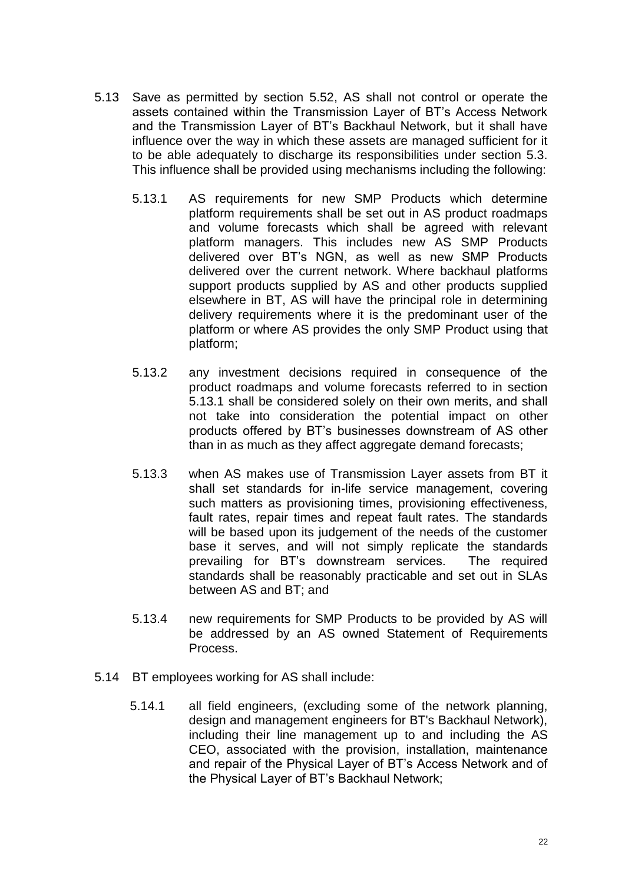- 5.13 Save as permitted by section 5.52, AS shall not control or operate the assets contained within the Transmission Layer of BT's Access Network and the Transmission Layer of BT's Backhaul Network, but it shall have influence over the way in which these assets are managed sufficient for it to be able adequately to discharge its responsibilities under section 5.3. This influence shall be provided using mechanisms including the following:
	- 5.13.1 AS requirements for new SMP Products which determine platform requirements shall be set out in AS product roadmaps and volume forecasts which shall be agreed with relevant platform managers. This includes new AS SMP Products delivered over BT's NGN, as well as new SMP Products delivered over the current network. Where backhaul platforms support products supplied by AS and other products supplied elsewhere in BT, AS will have the principal role in determining delivery requirements where it is the predominant user of the platform or where AS provides the only SMP Product using that platform;
	- 5.13.2 any investment decisions required in consequence of the product roadmaps and volume forecasts referred to in section 5.13.1 shall be considered solely on their own merits, and shall not take into consideration the potential impact on other products offered by BT's businesses downstream of AS other than in as much as they affect aggregate demand forecasts;
	- 5.13.3 when AS makes use of Transmission Layer assets from BT it shall set standards for in-life service management, covering such matters as provisioning times, provisioning effectiveness, fault rates, repair times and repeat fault rates. The standards will be based upon its judgement of the needs of the customer base it serves, and will not simply replicate the standards prevailing for BT's downstream services. The required standards shall be reasonably practicable and set out in SLAs between AS and BT; and
	- 5.13.4 new requirements for SMP Products to be provided by AS will be addressed by an AS owned Statement of Requirements Process.
- 5.14 BT employees working for AS shall include:
	- 5.14.1 all field engineers, (excluding some of the network planning, design and management engineers for BT's Backhaul Network), including their line management up to and including the AS CEO, associated with the provision, installation, maintenance and repair of the Physical Layer of BT's Access Network and of the Physical Layer of BT's Backhaul Network;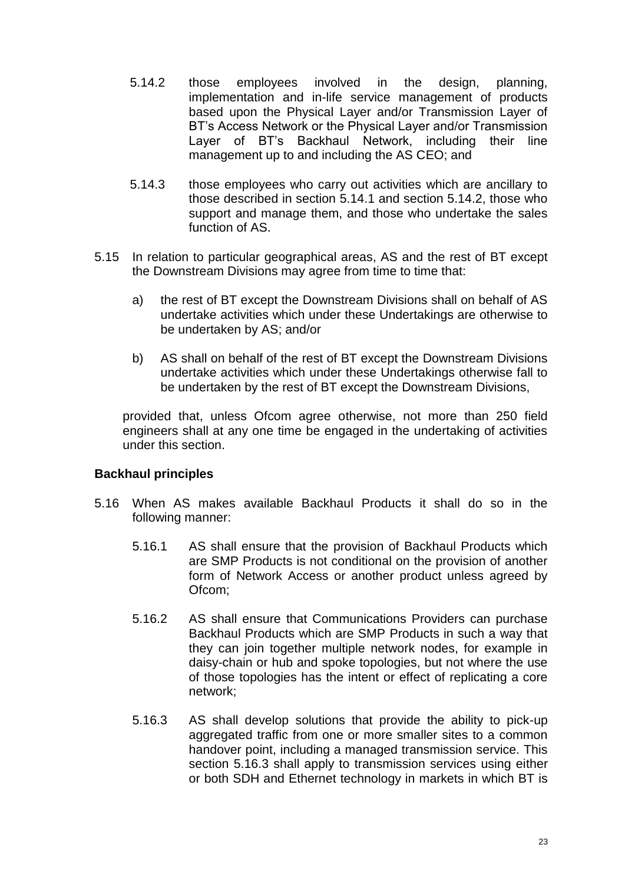- 5.14.2 those employees involved in the design, planning, implementation and in-life service management of products based upon the Physical Layer and/or Transmission Layer of BT's Access Network or the Physical Layer and/or Transmission Layer of BT's Backhaul Network, including their line management up to and including the AS CEO; and
- 5.14.3 those employees who carry out activities which are ancillary to those described in section 5.14.1 and section 5.14.2, those who support and manage them, and those who undertake the sales function of AS.
- 5.15 In relation to particular geographical areas, AS and the rest of BT except the Downstream Divisions may agree from time to time that:
	- a) the rest of BT except the Downstream Divisions shall on behalf of AS undertake activities which under these Undertakings are otherwise to be undertaken by AS; and/or
	- b) AS shall on behalf of the rest of BT except the Downstream Divisions undertake activities which under these Undertakings otherwise fall to be undertaken by the rest of BT except the Downstream Divisions,

provided that, unless Ofcom agree otherwise, not more than 250 field engineers shall at any one time be engaged in the undertaking of activities under this section.

## **Backhaul principles**

- 5.16 When AS makes available Backhaul Products it shall do so in the following manner:
	- 5.16.1 AS shall ensure that the provision of Backhaul Products which are SMP Products is not conditional on the provision of another form of Network Access or another product unless agreed by Ofcom;
	- 5.16.2 AS shall ensure that Communications Providers can purchase Backhaul Products which are SMP Products in such a way that they can join together multiple network nodes, for example in daisy-chain or hub and spoke topologies, but not where the use of those topologies has the intent or effect of replicating a core network;
	- 5.16.3 AS shall develop solutions that provide the ability to pick-up aggregated traffic from one or more smaller sites to a common handover point, including a managed transmission service. This section 5.16.3 shall apply to transmission services using either or both SDH and Ethernet technology in markets in which BT is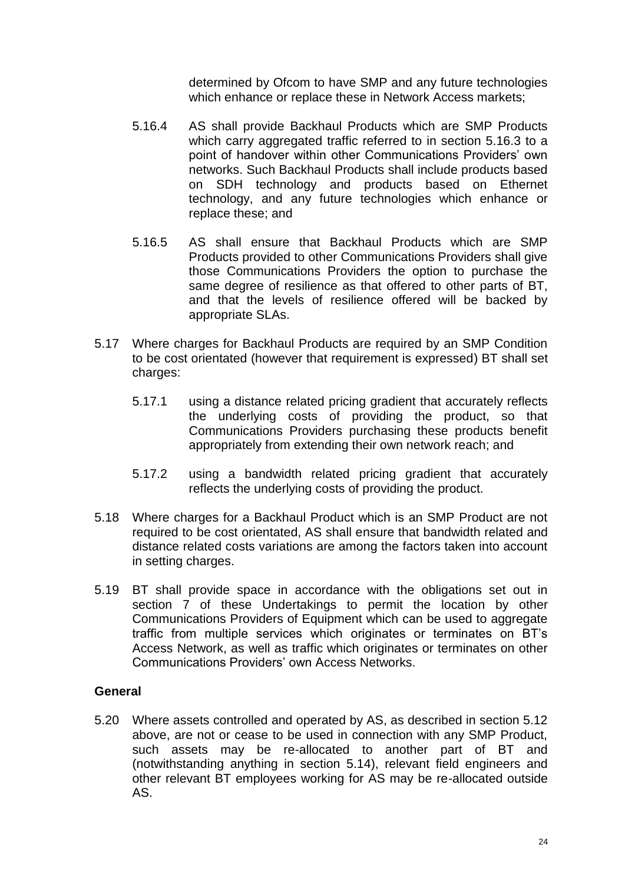determined by Ofcom to have SMP and any future technologies which enhance or replace these in Network Access markets;

- 5.16.4 AS shall provide Backhaul Products which are SMP Products which carry aggregated traffic referred to in section 5.16.3 to a point of handover within other Communications Providers' own networks. Such Backhaul Products shall include products based on SDH technology and products based on Ethernet technology, and any future technologies which enhance or replace these; and
- 5.16.5 AS shall ensure that Backhaul Products which are SMP Products provided to other Communications Providers shall give those Communications Providers the option to purchase the same degree of resilience as that offered to other parts of BT, and that the levels of resilience offered will be backed by appropriate SLAs.
- 5.17 Where charges for Backhaul Products are required by an SMP Condition to be cost orientated (however that requirement is expressed) BT shall set charges:
	- 5.17.1 using a distance related pricing gradient that accurately reflects the underlying costs of providing the product, so that Communications Providers purchasing these products benefit appropriately from extending their own network reach; and
	- 5.17.2 using a bandwidth related pricing gradient that accurately reflects the underlying costs of providing the product.
- 5.18 Where charges for a Backhaul Product which is an SMP Product are not required to be cost orientated, AS shall ensure that bandwidth related and distance related costs variations are among the factors taken into account in setting charges.
- 5.19 BT shall provide space in accordance with the obligations set out in section 7 of these Undertakings to permit the location by other Communications Providers of Equipment which can be used to aggregate traffic from multiple services which originates or terminates on BT's Access Network, as well as traffic which originates or terminates on other Communications Providers' own Access Networks.

## **General**

5.20 Where assets controlled and operated by AS, as described in section 5.12 above, are not or cease to be used in connection with any SMP Product, such assets may be re-allocated to another part of BT and (notwithstanding anything in section 5.14), relevant field engineers and other relevant BT employees working for AS may be re-allocated outside AS.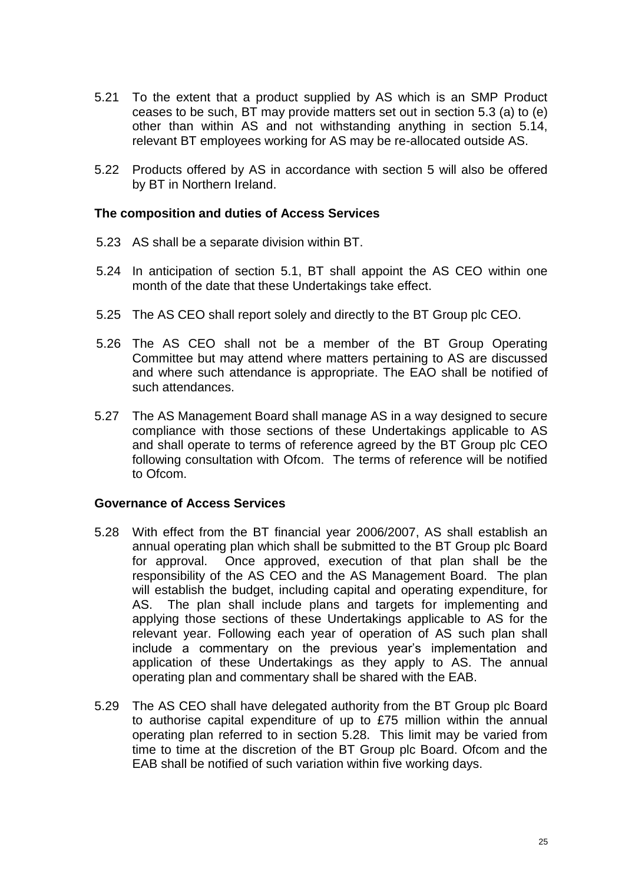- 5.21 To the extent that a product supplied by AS which is an SMP Product ceases to be such, BT may provide matters set out in section 5.3 (a) to (e) other than within AS and not withstanding anything in section 5.14, relevant BT employees working for AS may be re-allocated outside AS.
- 5.22 Products offered by AS in accordance with section 5 will also be offered by BT in Northern Ireland.

### **The composition and duties of Access Services**

- 5.23 AS shall be a separate division within BT.
- 5.24 In anticipation of section 5.1, BT shall appoint the AS CEO within one month of the date that these Undertakings take effect.
- 5.25 The AS CEO shall report solely and directly to the BT Group plc CEO.
- 5.26 The AS CEO shall not be a member of the BT Group Operating Committee but may attend where matters pertaining to AS are discussed and where such attendance is appropriate. The EAO shall be notified of such attendances.
- 5.27 The AS Management Board shall manage AS in a way designed to secure compliance with those sections of these Undertakings applicable to AS and shall operate to terms of reference agreed by the BT Group plc CEO following consultation with Ofcom. The terms of reference will be notified to Ofcom.

### **Governance of Access Services**

- 5.28 With effect from the BT financial year 2006/2007, AS shall establish an annual operating plan which shall be submitted to the BT Group plc Board for approval. Once approved, execution of that plan shall be the responsibility of the AS CEO and the AS Management Board. The plan will establish the budget, including capital and operating expenditure, for AS. The plan shall include plans and targets for implementing and applying those sections of these Undertakings applicable to AS for the relevant year. Following each year of operation of AS such plan shall include a commentary on the previous year's implementation and application of these Undertakings as they apply to AS. The annual operating plan and commentary shall be shared with the EAB.
- 5.29 The AS CEO shall have delegated authority from the BT Group plc Board to authorise capital expenditure of up to £75 million within the annual operating plan referred to in section 5.28. This limit may be varied from time to time at the discretion of the BT Group plc Board. Ofcom and the EAB shall be notified of such variation within five working days.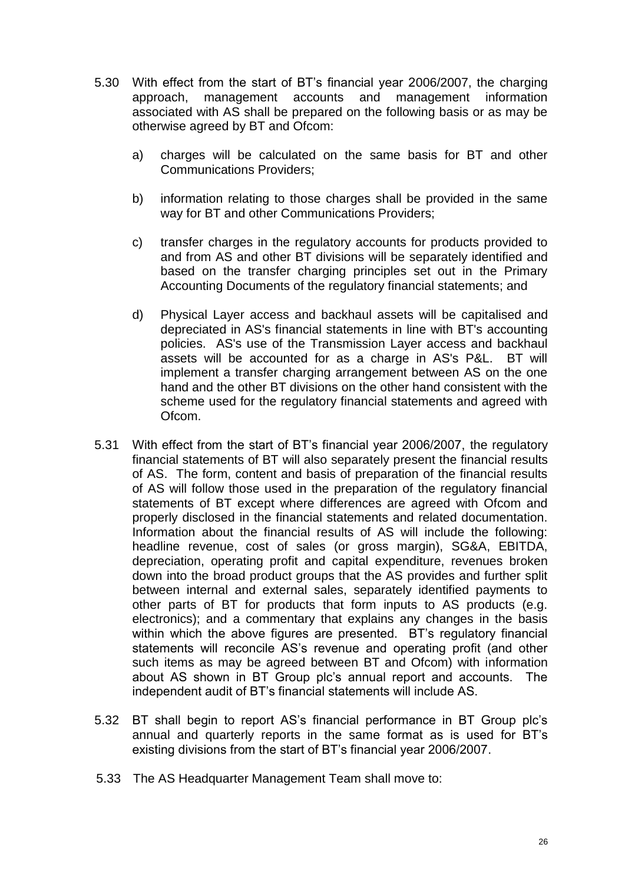- 5.30 With effect from the start of BT's financial year 2006/2007, the charging approach, management accounts and management information associated with AS shall be prepared on the following basis or as may be otherwise agreed by BT and Ofcom:
	- a) charges will be calculated on the same basis for BT and other Communications Providers;
	- b) information relating to those charges shall be provided in the same way for BT and other Communications Providers;
	- c) transfer charges in the regulatory accounts for products provided to and from AS and other BT divisions will be separately identified and based on the transfer charging principles set out in the Primary Accounting Documents of the regulatory financial statements; and
	- d) Physical Layer access and backhaul assets will be capitalised and depreciated in AS's financial statements in line with BT's accounting policies. AS's use of the Transmission Layer access and backhaul assets will be accounted for as a charge in AS's P&L. BT will implement a transfer charging arrangement between AS on the one hand and the other BT divisions on the other hand consistent with the scheme used for the regulatory financial statements and agreed with Ofcom.
- 5.31 With effect from the start of BT's financial year 2006/2007, the regulatory financial statements of BT will also separately present the financial results of AS. The form, content and basis of preparation of the financial results of AS will follow those used in the preparation of the regulatory financial statements of BT except where differences are agreed with Ofcom and properly disclosed in the financial statements and related documentation. Information about the financial results of AS will include the following: headline revenue, cost of sales (or gross margin), SG&A, EBITDA, depreciation, operating profit and capital expenditure, revenues broken down into the broad product groups that the AS provides and further split between internal and external sales, separately identified payments to other parts of BT for products that form inputs to AS products (e.g. electronics); and a commentary that explains any changes in the basis within which the above figures are presented. BT's regulatory financial statements will reconcile AS's revenue and operating profit (and other such items as may be agreed between BT and Ofcom) with information about AS shown in BT Group plc's annual report and accounts. The independent audit of BT's financial statements will include AS.
- 5.32 BT shall begin to report AS's financial performance in BT Group plc's annual and quarterly reports in the same format as is used for BT's existing divisions from the start of BT's financial year 2006/2007.
- 5.33 The AS Headquarter Management Team shall move to: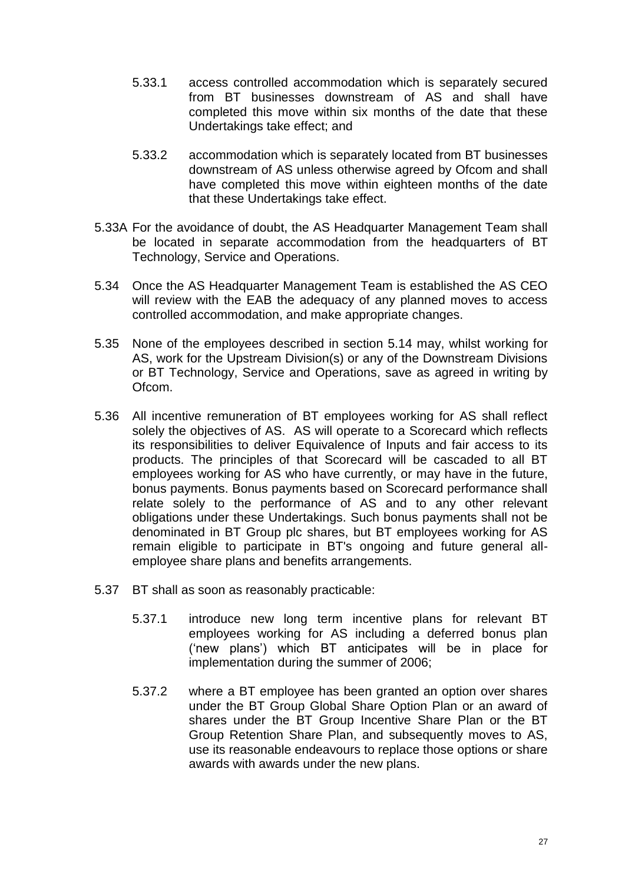- 5.33.1 access controlled accommodation which is separately secured from BT businesses downstream of AS and shall have completed this move within six months of the date that these Undertakings take effect; and
- 5.33.2 accommodation which is separately located from BT businesses downstream of AS unless otherwise agreed by Ofcom and shall have completed this move within eighteen months of the date that these Undertakings take effect.
- 5.33A For the avoidance of doubt, the AS Headquarter Management Team shall be located in separate accommodation from the headquarters of BT Technology, Service and Operations.
- 5.34 Once the AS Headquarter Management Team is established the AS CEO will review with the EAB the adequacy of any planned moves to access controlled accommodation, and make appropriate changes.
- 5.35 None of the employees described in section 5.14 may, whilst working for AS, work for the Upstream Division(s) or any of the Downstream Divisions or BT Technology, Service and Operations, save as agreed in writing by Ofcom.
- 5.36 All incentive remuneration of BT employees working for AS shall reflect solely the objectives of AS. AS will operate to a Scorecard which reflects its responsibilities to deliver Equivalence of Inputs and fair access to its products. The principles of that Scorecard will be cascaded to all BT employees working for AS who have currently, or may have in the future, bonus payments. Bonus payments based on Scorecard performance shall relate solely to the performance of AS and to any other relevant obligations under these Undertakings. Such bonus payments shall not be denominated in BT Group plc shares, but BT employees working for AS remain eligible to participate in BT's ongoing and future general allemployee share plans and benefits arrangements.
- 5.37 BT shall as soon as reasonably practicable:
	- 5.37.1 introduce new long term incentive plans for relevant BT employees working for AS including a deferred bonus plan ('new plans') which BT anticipates will be in place for implementation during the summer of 2006;
	- 5.37.2 where a BT employee has been granted an option over shares under the BT Group Global Share Option Plan or an award of shares under the BT Group Incentive Share Plan or the BT Group Retention Share Plan, and subsequently moves to AS, use its reasonable endeavours to replace those options or share awards with awards under the new plans.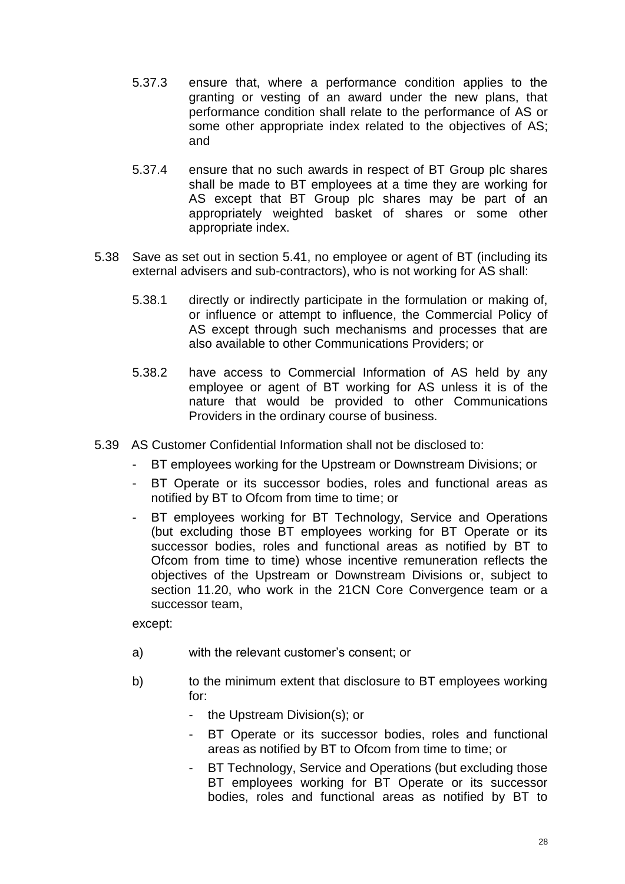- 5.37.3 ensure that, where a performance condition applies to the granting or vesting of an award under the new plans, that performance condition shall relate to the performance of AS or some other appropriate index related to the objectives of AS; and
- 5.37.4 ensure that no such awards in respect of BT Group plc shares shall be made to BT employees at a time they are working for AS except that BT Group plc shares may be part of an appropriately weighted basket of shares or some other appropriate index.
- 5.38 Save as set out in section 5.41, no employee or agent of BT (including its external advisers and sub-contractors), who is not working for AS shall:
	- 5.38.1 directly or indirectly participate in the formulation or making of, or influence or attempt to influence, the Commercial Policy of AS except through such mechanisms and processes that are also available to other Communications Providers; or
	- 5.38.2 have access to Commercial Information of AS held by any employee or agent of BT working for AS unless it is of the nature that would be provided to other Communications Providers in the ordinary course of business.
- 5.39 AS Customer Confidential Information shall not be disclosed to:
	- BT employees working for the Upstream or Downstream Divisions; or
	- BT Operate or its successor bodies, roles and functional areas as notified by BT to Ofcom from time to time; or
	- BT employees working for BT Technology, Service and Operations (but excluding those BT employees working for BT Operate or its successor bodies, roles and functional areas as notified by BT to Ofcom from time to time) whose incentive remuneration reflects the objectives of the Upstream or Downstream Divisions or, subject to section 11.20, who work in the 21CN Core Convergence team or a successor team,

except:

- a) with the relevant customer's consent; or
- b) to the minimum extent that disclosure to BT employees working for:
	- the Upstream Division(s); or
	- BT Operate or its successor bodies, roles and functional areas as notified by BT to Ofcom from time to time; or
	- BT Technology, Service and Operations (but excluding those BT employees working for BT Operate or its successor bodies, roles and functional areas as notified by BT to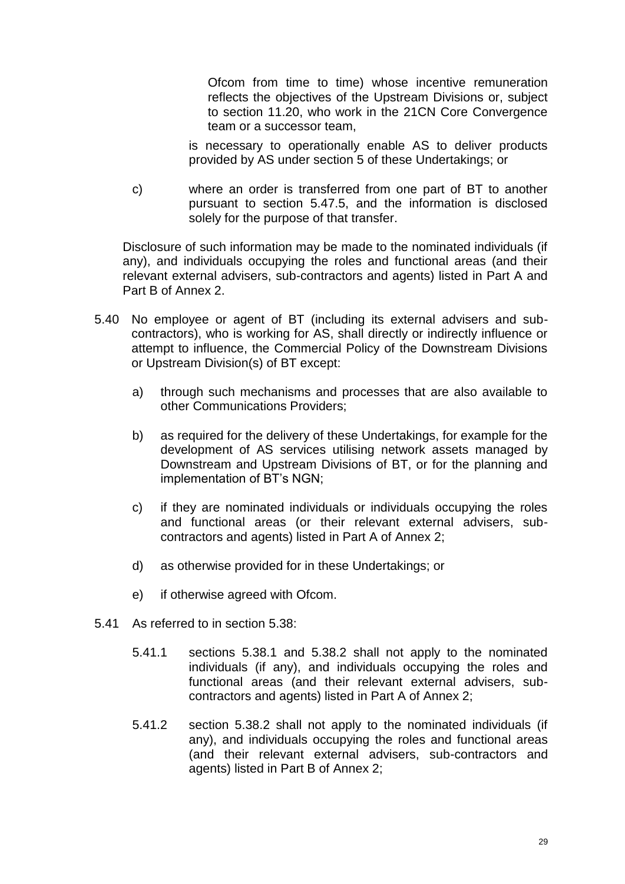Ofcom from time to time) whose incentive remuneration reflects the objectives of the Upstream Divisions or, subject to section 11.20, who work in the 21CN Core Convergence team or a successor team,

is necessary to operationally enable AS to deliver products provided by AS under section 5 of these Undertakings; or

c) where an order is transferred from one part of BT to another pursuant to section 5.47.5, and the information is disclosed solely for the purpose of that transfer.

Disclosure of such information may be made to the nominated individuals (if any), and individuals occupying the roles and functional areas (and their relevant external advisers, sub-contractors and agents) listed in Part A and Part B of Annex 2.

- 5.40 No employee or agent of BT (including its external advisers and subcontractors), who is working for AS, shall directly or indirectly influence or attempt to influence, the Commercial Policy of the Downstream Divisions or Upstream Division(s) of BT except:
	- a) through such mechanisms and processes that are also available to other Communications Providers;
	- b) as required for the delivery of these Undertakings, for example for the development of AS services utilising network assets managed by Downstream and Upstream Divisions of BT, or for the planning and implementation of BT's NGN;
	- c) if they are nominated individuals or individuals occupying the roles and functional areas (or their relevant external advisers, subcontractors and agents) listed in Part A of Annex 2;
	- d) as otherwise provided for in these Undertakings; or
	- e) if otherwise agreed with Ofcom.
- 5.41 As referred to in section 5.38:
	- 5.41.1 sections 5.38.1 and 5.38.2 shall not apply to the nominated individuals (if any), and individuals occupying the roles and functional areas (and their relevant external advisers, subcontractors and agents) listed in Part A of Annex 2;
	- 5.41.2 section 5.38.2 shall not apply to the nominated individuals (if any), and individuals occupying the roles and functional areas (and their relevant external advisers, sub-contractors and agents) listed in Part B of Annex 2;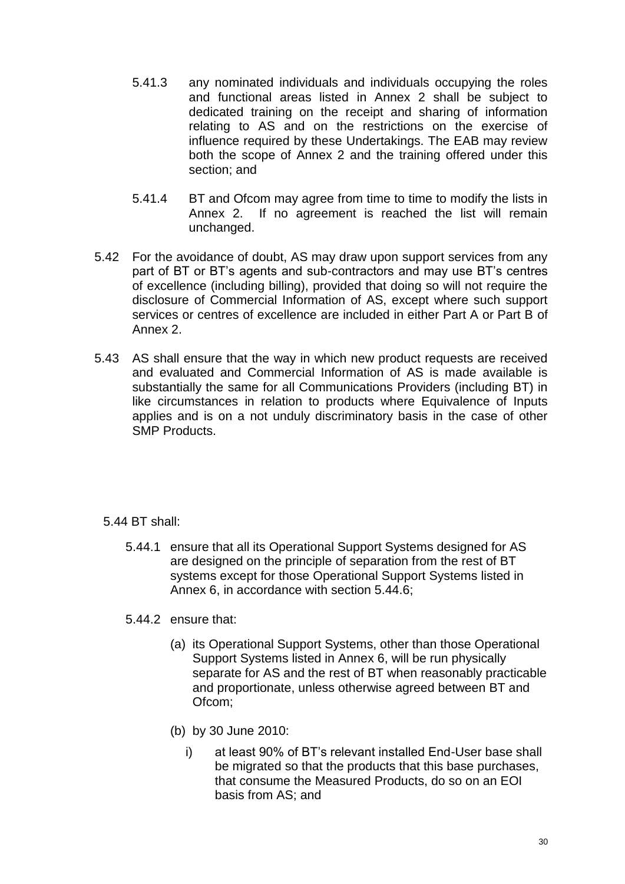- 5.41.3 any nominated individuals and individuals occupying the roles and functional areas listed in Annex 2 shall be subject to dedicated training on the receipt and sharing of information relating to AS and on the restrictions on the exercise of influence required by these Undertakings. The EAB may review both the scope of Annex 2 and the training offered under this section; and
- 5.41.4 BT and Ofcom may agree from time to time to modify the lists in Annex 2. If no agreement is reached the list will remain unchanged.
- 5.42 For the avoidance of doubt, AS may draw upon support services from any part of BT or BT's agents and sub-contractors and may use BT's centres of excellence (including billing), provided that doing so will not require the disclosure of Commercial Information of AS, except where such support services or centres of excellence are included in either Part A or Part B of Annex 2.
- 5.43 AS shall ensure that the way in which new product requests are received and evaluated and Commercial Information of AS is made available is substantially the same for all Communications Providers (including BT) in like circumstances in relation to products where Equivalence of Inputs applies and is on a not unduly discriminatory basis in the case of other SMP Products.

# 5.44 BT shall:

- 5.44.1 ensure that all its Operational Support Systems designed for AS are designed on the principle of separation from the rest of BT systems except for those Operational Support Systems listed in Annex 6, in accordance with section 5.44.6;
- 5.44.2 ensure that:
	- (a) its Operational Support Systems, other than those Operational Support Systems listed in Annex 6, will be run physically separate for AS and the rest of BT when reasonably practicable and proportionate, unless otherwise agreed between BT and Ofcom;
	- (b) by 30 June 2010:
		- i) at least 90% of BT's relevant installed End-User base shall be migrated so that the products that this base purchases, that consume the Measured Products, do so on an EOI basis from AS; and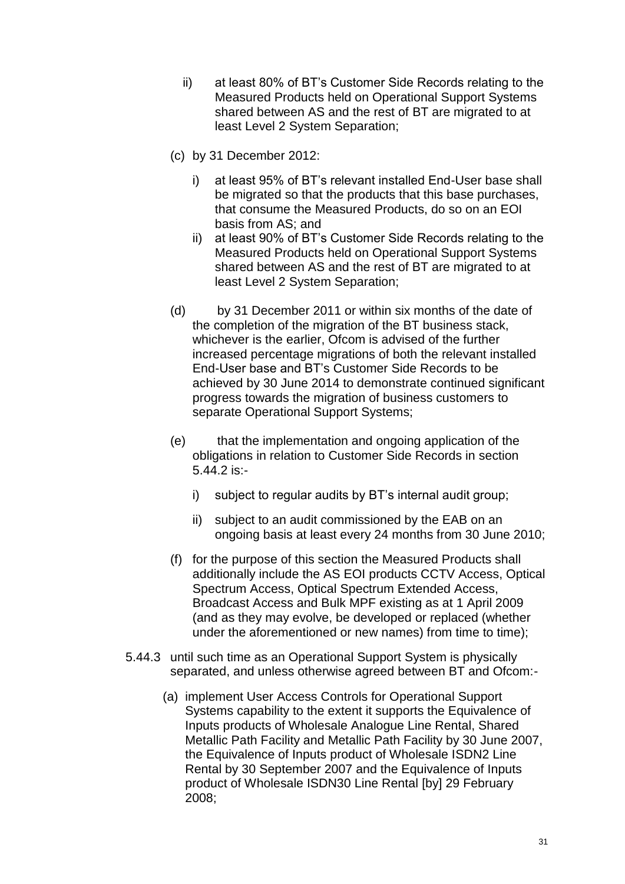- ii) at least 80% of BT's Customer Side Records relating to the Measured Products held on Operational Support Systems shared between AS and the rest of BT are migrated to at least Level 2 System Separation;
- (c) by 31 December 2012:
	- i) at least 95% of BT's relevant installed End-User base shall be migrated so that the products that this base purchases, that consume the Measured Products, do so on an EOI basis from AS; and
	- ii) at least 90% of BT's Customer Side Records relating to the Measured Products held on Operational Support Systems shared between AS and the rest of BT are migrated to at least Level 2 System Separation;
- (d) by 31 December 2011 or within six months of the date of the completion of the migration of the BT business stack, whichever is the earlier, Ofcom is advised of the further increased percentage migrations of both the relevant installed End-User base and BT's Customer Side Records to be achieved by 30 June 2014 to demonstrate continued significant progress towards the migration of business customers to separate Operational Support Systems;
- (e) that the implementation and ongoing application of the obligations in relation to Customer Side Records in section 5.44.2 is:
	- i) subject to regular audits by BT's internal audit group;
	- ii) subject to an audit commissioned by the EAB on an ongoing basis at least every 24 months from 30 June 2010;
- (f) for the purpose of this section the Measured Products shall additionally include the AS EOI products CCTV Access, Optical Spectrum Access, Optical Spectrum Extended Access, Broadcast Access and Bulk MPF existing as at 1 April 2009 (and as they may evolve, be developed or replaced (whether under the aforementioned or new names) from time to time);
- 5.44.3 until such time as an Operational Support System is physically separated, and unless otherwise agreed between BT and Ofcom:-
	- (a) implement User Access Controls for Operational Support Systems capability to the extent it supports the Equivalence of Inputs products of Wholesale Analogue Line Rental, Shared Metallic Path Facility and Metallic Path Facility by 30 June 2007, the Equivalence of Inputs product of Wholesale ISDN2 Line Rental by 30 September 2007 and the Equivalence of Inputs product of Wholesale ISDN30 Line Rental [by] 29 February 2008;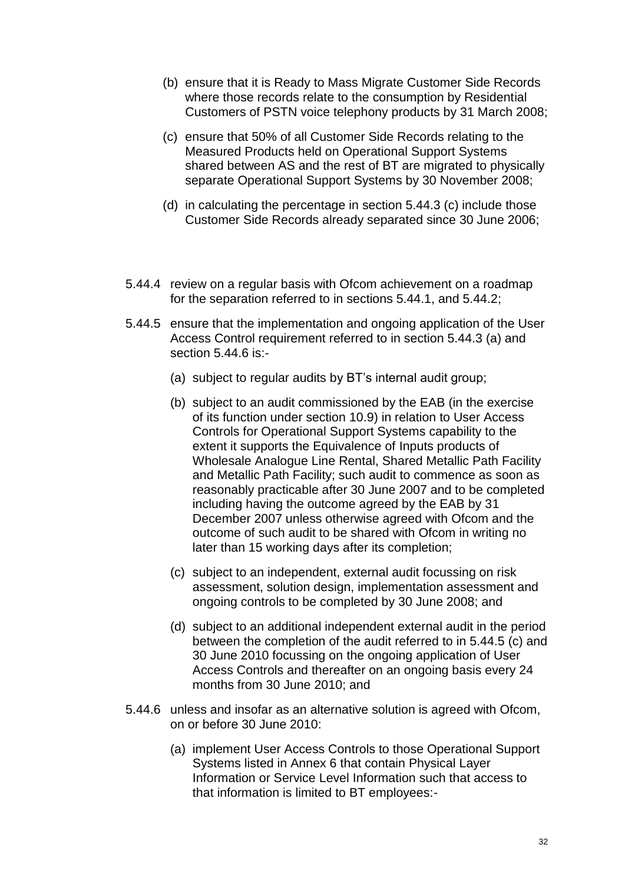- (b) ensure that it is Ready to Mass Migrate Customer Side Records where those records relate to the consumption by Residential Customers of PSTN voice telephony products by 31 March 2008;
- (c) ensure that 50% of all Customer Side Records relating to the Measured Products held on Operational Support Systems shared between AS and the rest of BT are migrated to physically separate Operational Support Systems by 30 November 2008;
- (d) in calculating the percentage in section 5.44.3 (c) include those Customer Side Records already separated since 30 June 2006;
- 5.44.4 review on a regular basis with Ofcom achievement on a roadmap for the separation referred to in sections 5.44.1, and 5.44.2;
- 5.44.5 ensure that the implementation and ongoing application of the User Access Control requirement referred to in section 5.44.3 (a) and section 5.44.6 is:-
	- (a) subject to regular audits by BT's internal audit group;
	- (b) subject to an audit commissioned by the EAB (in the exercise of its function under section 10.9) in relation to User Access Controls for Operational Support Systems capability to the extent it supports the Equivalence of Inputs products of Wholesale Analogue Line Rental, Shared Metallic Path Facility and Metallic Path Facility; such audit to commence as soon as reasonably practicable after 30 June 2007 and to be completed including having the outcome agreed by the EAB by 31 December 2007 unless otherwise agreed with Ofcom and the outcome of such audit to be shared with Ofcom in writing no later than 15 working days after its completion;
	- (c) subject to an independent, external audit focussing on risk assessment, solution design, implementation assessment and ongoing controls to be completed by 30 June 2008; and
	- (d) subject to an additional independent external audit in the period between the completion of the audit referred to in 5.44.5 (c) and 30 June 2010 focussing on the ongoing application of User Access Controls and thereafter on an ongoing basis every 24 months from 30 June 2010; and
- 5.44.6 unless and insofar as an alternative solution is agreed with Ofcom, on or before 30 June 2010:
	- (a) implement User Access Controls to those Operational Support Systems listed in Annex 6 that contain Physical Layer Information or Service Level Information such that access to that information is limited to BT employees:-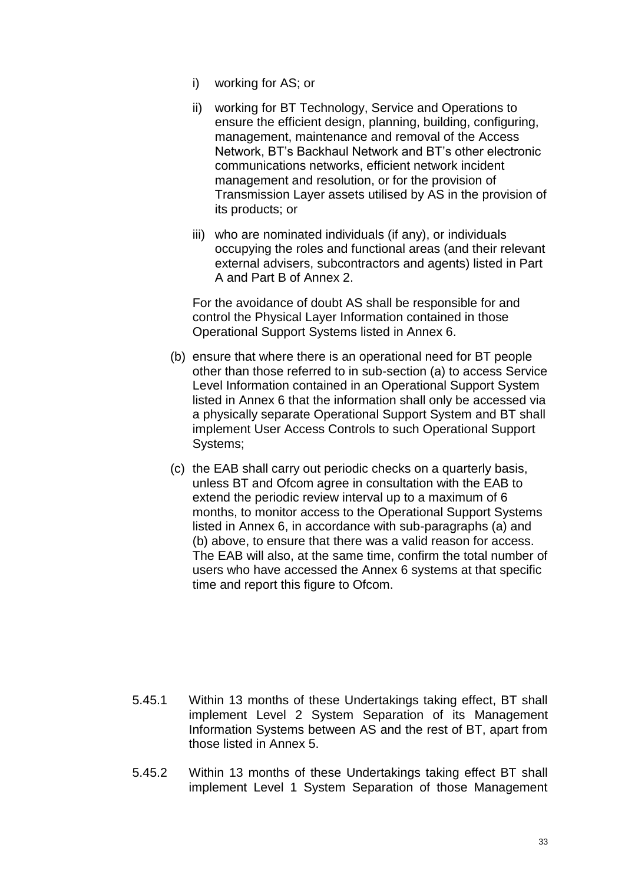- i) working for AS; or
- ii) working for BT Technology, Service and Operations to ensure the efficient design, planning, building, configuring, management, maintenance and removal of the Access Network, BT's Backhaul Network and BT's other electronic communications networks, efficient network incident management and resolution, or for the provision of Transmission Layer assets utilised by AS in the provision of its products; or
- iii) who are nominated individuals (if any), or individuals occupying the roles and functional areas (and their relevant external advisers, subcontractors and agents) listed in Part A and Part B of Annex 2.

For the avoidance of doubt AS shall be responsible for and control the Physical Layer Information contained in those Operational Support Systems listed in Annex 6.

- (b) ensure that where there is an operational need for BT people other than those referred to in sub-section (a) to access Service Level Information contained in an Operational Support System listed in Annex 6 that the information shall only be accessed via a physically separate Operational Support System and BT shall implement User Access Controls to such Operational Support Systems;
- (c) the EAB shall carry out periodic checks on a quarterly basis, unless BT and Ofcom agree in consultation with the EAB to extend the periodic review interval up to a maximum of 6 months, to monitor access to the Operational Support Systems listed in Annex 6, in accordance with sub-paragraphs (a) and (b) above, to ensure that there was a valid reason for access. The EAB will also, at the same time, confirm the total number of users who have accessed the Annex 6 systems at that specific time and report this figure to Ofcom.

- 5.45.1 Within 13 months of these Undertakings taking effect, BT shall implement Level 2 System Separation of its Management Information Systems between AS and the rest of BT, apart from those listed in Annex 5.
- 5.45.2 Within 13 months of these Undertakings taking effect BT shall implement Level 1 System Separation of those Management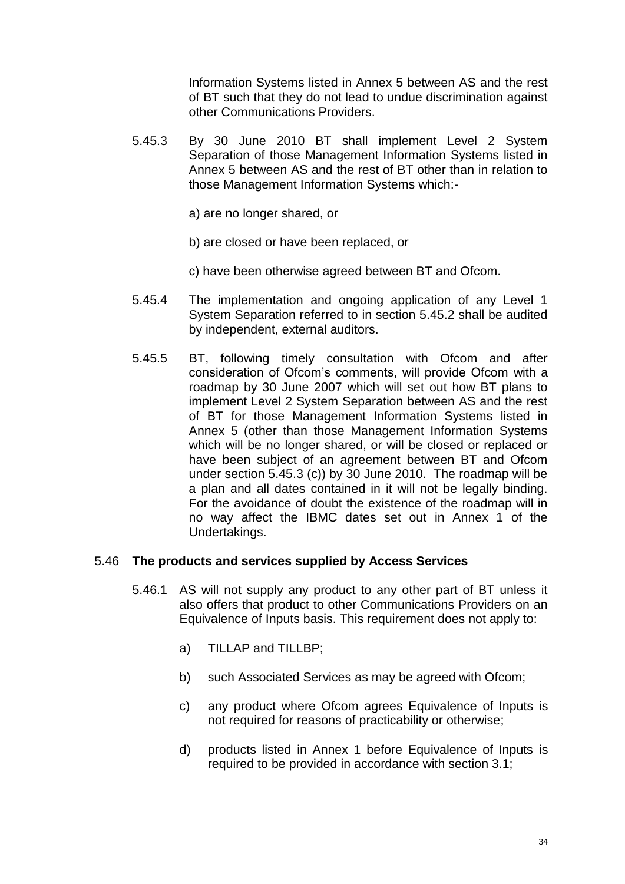Information Systems listed in Annex 5 between AS and the rest of BT such that they do not lead to undue discrimination against other Communications Providers.

- 5.45.3 By 30 June 2010 BT shall implement Level 2 System Separation of those Management Information Systems listed in Annex 5 between AS and the rest of BT other than in relation to those Management Information Systems which:
	- a) are no longer shared, or
	- b) are closed or have been replaced, or
	- c) have been otherwise agreed between BT and Ofcom.
- 5.45.4 The implementation and ongoing application of any Level 1 System Separation referred to in section 5.45.2 shall be audited by independent, external auditors.
- 5.45.5 BT, following timely consultation with Ofcom and after consideration of Ofcom's comments, will provide Ofcom with a roadmap by 30 June 2007 which will set out how BT plans to implement Level 2 System Separation between AS and the rest of BT for those Management Information Systems listed in Annex 5 (other than those Management Information Systems which will be no longer shared, or will be closed or replaced or have been subject of an agreement between BT and Ofcom under section 5.45.3 (c)) by 30 June 2010. The roadmap will be a plan and all dates contained in it will not be legally binding. For the avoidance of doubt the existence of the roadmap will in no way affect the IBMC dates set out in Annex 1 of the Undertakings.

### 5.46 **The products and services supplied by Access Services**

- 5.46.1 AS will not supply any product to any other part of BT unless it also offers that product to other Communications Providers on an Equivalence of Inputs basis. This requirement does not apply to:
	- a) TILLAP and TILLBP;
	- b) such Associated Services as may be agreed with Ofcom;
	- c) any product where Ofcom agrees Equivalence of Inputs is not required for reasons of practicability or otherwise;
	- d) products listed in Annex 1 before Equivalence of Inputs is required to be provided in accordance with section 3.1;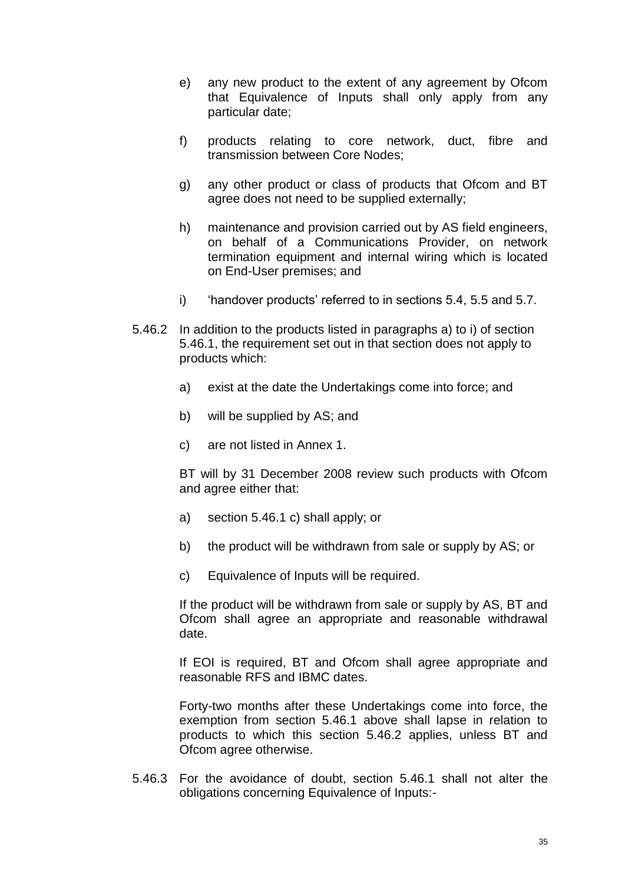- e) any new product to the extent of any agreement by Ofcom that Equivalence of Inputs shall only apply from any particular date;
- f) products relating to core network, duct, fibre and transmission between Core Nodes;
- g) any other product or class of products that Ofcom and BT agree does not need to be supplied externally;
- h) maintenance and provision carried out by AS field engineers, on behalf of a Communications Provider, on network termination equipment and internal wiring which is located on End-User premises; and
- i) 'handover products' referred to in sections 5.4, 5.5 and 5.7.
- 5.46.2 In addition to the products listed in paragraphs a) to i) of section 5.46.1, the requirement set out in that section does not apply to products which:
	- a) exist at the date the Undertakings come into force; and
	- b) will be supplied by AS; and
	- c) are not listed in Annex 1.

BT will by 31 December 2008 review such products with Ofcom and agree either that:

- a) section 5.46.1 c) shall apply; or
- b) the product will be withdrawn from sale or supply by AS; or
- c) Equivalence of Inputs will be required.

If the product will be withdrawn from sale or supply by AS, BT and Ofcom shall agree an appropriate and reasonable withdrawal date.

If EOI is required, BT and Ofcom shall agree appropriate and reasonable RFS and IBMC dates.

Forty-two months after these Undertakings come into force, the exemption from section 5.46.1 above shall lapse in relation to products to which this section 5.46.2 applies, unless BT and Ofcom agree otherwise.

5.46.3 For the avoidance of doubt, section 5.46.1 shall not alter the obligations concerning Equivalence of Inputs:-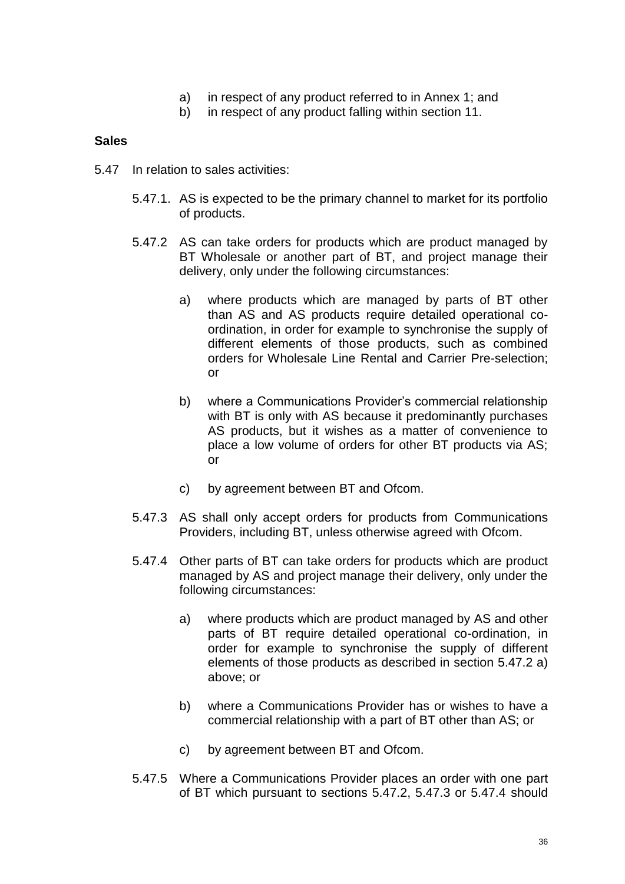- a) in respect of any product referred to in Annex 1; and
- b) in respect of any product falling within section 11.

### **Sales**

- 5.47 In relation to sales activities:
	- 5.47.1. AS is expected to be the primary channel to market for its portfolio of products.
	- 5.47.2 AS can take orders for products which are product managed by BT Wholesale or another part of BT, and project manage their delivery, only under the following circumstances:
		- a) where products which are managed by parts of BT other than AS and AS products require detailed operational coordination, in order for example to synchronise the supply of different elements of those products, such as combined orders for Wholesale Line Rental and Carrier Pre-selection; or
		- b) where a Communications Provider's commercial relationship with BT is only with AS because it predominantly purchases AS products, but it wishes as a matter of convenience to place a low volume of orders for other BT products via AS; or
		- c) by agreement between BT and Ofcom.
	- 5.47.3 AS shall only accept orders for products from Communications Providers, including BT, unless otherwise agreed with Ofcom.
	- 5.47.4 Other parts of BT can take orders for products which are product managed by AS and project manage their delivery, only under the following circumstances:
		- a) where products which are product managed by AS and other parts of BT require detailed operational co-ordination, in order for example to synchronise the supply of different elements of those products as described in section 5.47.2 a) above; or
		- b) where a Communications Provider has or wishes to have a commercial relationship with a part of BT other than AS; or
		- c) by agreement between BT and Ofcom.
	- 5.47.5 Where a Communications Provider places an order with one part of BT which pursuant to sections 5.47.2, 5.47.3 or 5.47.4 should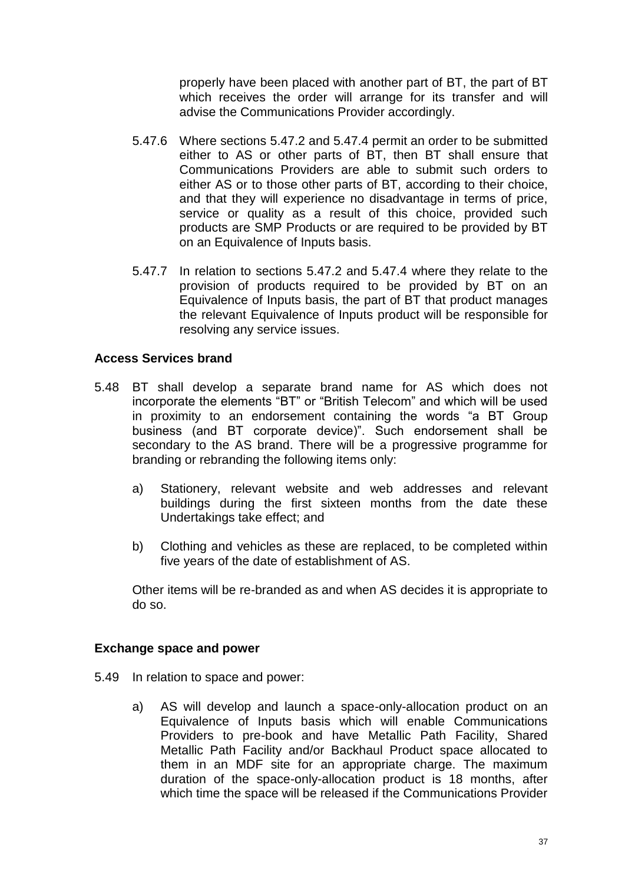properly have been placed with another part of BT, the part of BT which receives the order will arrange for its transfer and will advise the Communications Provider accordingly.

- 5.47.6 Where sections 5.47.2 and 5.47.4 permit an order to be submitted either to AS or other parts of BT, then BT shall ensure that Communications Providers are able to submit such orders to either AS or to those other parts of BT, according to their choice, and that they will experience no disadvantage in terms of price, service or quality as a result of this choice, provided such products are SMP Products or are required to be provided by BT on an Equivalence of Inputs basis.
- 5.47.7 In relation to sections 5.47.2 and 5.47.4 where they relate to the provision of products required to be provided by BT on an Equivalence of Inputs basis, the part of BT that product manages the relevant Equivalence of Inputs product will be responsible for resolving any service issues.

#### **Access Services brand**

- 5.48 BT shall develop a separate brand name for AS which does not incorporate the elements "BT" or "British Telecom" and which will be used in proximity to an endorsement containing the words "a BT Group business (and BT corporate device)". Such endorsement shall be secondary to the AS brand. There will be a progressive programme for branding or rebranding the following items only:
	- a) Stationery, relevant website and web addresses and relevant buildings during the first sixteen months from the date these Undertakings take effect; and
	- b) Clothing and vehicles as these are replaced, to be completed within five years of the date of establishment of AS.

Other items will be re-branded as and when AS decides it is appropriate to do so.

#### **Exchange space and power**

- 5.49 In relation to space and power:
	- a) AS will develop and launch a space-only-allocation product on an Equivalence of Inputs basis which will enable Communications Providers to pre-book and have Metallic Path Facility, Shared Metallic Path Facility and/or Backhaul Product space allocated to them in an MDF site for an appropriate charge. The maximum duration of the space-only-allocation product is 18 months, after which time the space will be released if the Communications Provider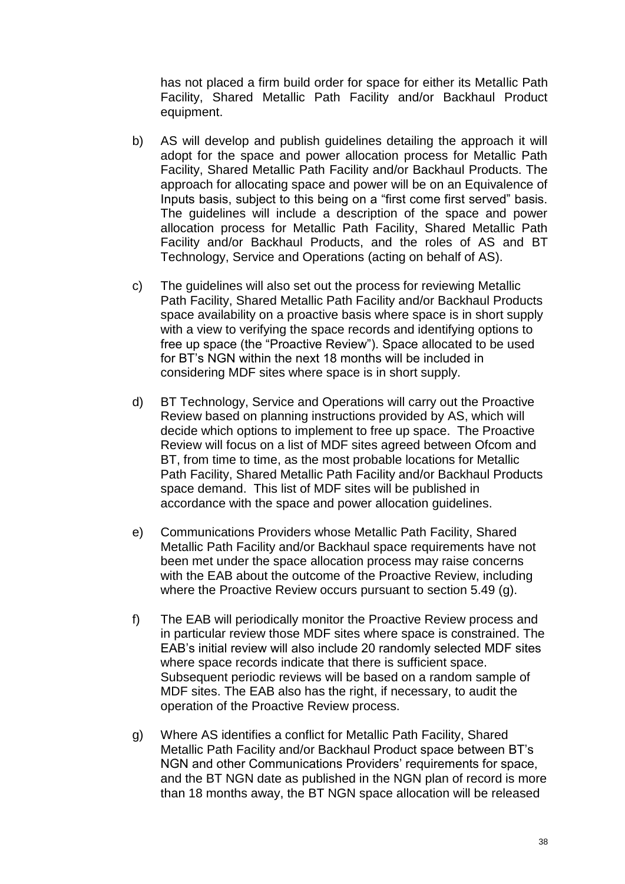has not placed a firm build order for space for either its Metallic Path Facility, Shared Metallic Path Facility and/or Backhaul Product equipment.

- b) AS will develop and publish guidelines detailing the approach it will adopt for the space and power allocation process for Metallic Path Facility, Shared Metallic Path Facility and/or Backhaul Products. The approach for allocating space and power will be on an Equivalence of Inputs basis, subject to this being on a "first come first served" basis. The guidelines will include a description of the space and power allocation process for Metallic Path Facility, Shared Metallic Path Facility and/or Backhaul Products, and the roles of AS and BT Technology, Service and Operations (acting on behalf of AS).
- c) The guidelines will also set out the process for reviewing Metallic Path Facility, Shared Metallic Path Facility and/or Backhaul Products space availability on a proactive basis where space is in short supply with a view to verifying the space records and identifying options to free up space (the "Proactive Review"). Space allocated to be used for BT's NGN within the next 18 months will be included in considering MDF sites where space is in short supply.
- d) BT Technology, Service and Operations will carry out the Proactive Review based on planning instructions provided by AS, which will decide which options to implement to free up space. The Proactive Review will focus on a list of MDF sites agreed between Ofcom and BT, from time to time, as the most probable locations for Metallic Path Facility, Shared Metallic Path Facility and/or Backhaul Products space demand. This list of MDF sites will be published in accordance with the space and power allocation guidelines.
- e) Communications Providers whose Metallic Path Facility, Shared Metallic Path Facility and/or Backhaul space requirements have not been met under the space allocation process may raise concerns with the EAB about the outcome of the Proactive Review, including where the Proactive Review occurs pursuant to section 5.49 (g).
- f) The EAB will periodically monitor the Proactive Review process and in particular review those MDF sites where space is constrained. The EAB's initial review will also include 20 randomly selected MDF sites where space records indicate that there is sufficient space. Subsequent periodic reviews will be based on a random sample of MDF sites. The EAB also has the right, if necessary, to audit the operation of the Proactive Review process.
- g) Where AS identifies a conflict for Metallic Path Facility, Shared Metallic Path Facility and/or Backhaul Product space between BT's NGN and other Communications Providers' requirements for space, and the BT NGN date as published in the NGN plan of record is more than 18 months away, the BT NGN space allocation will be released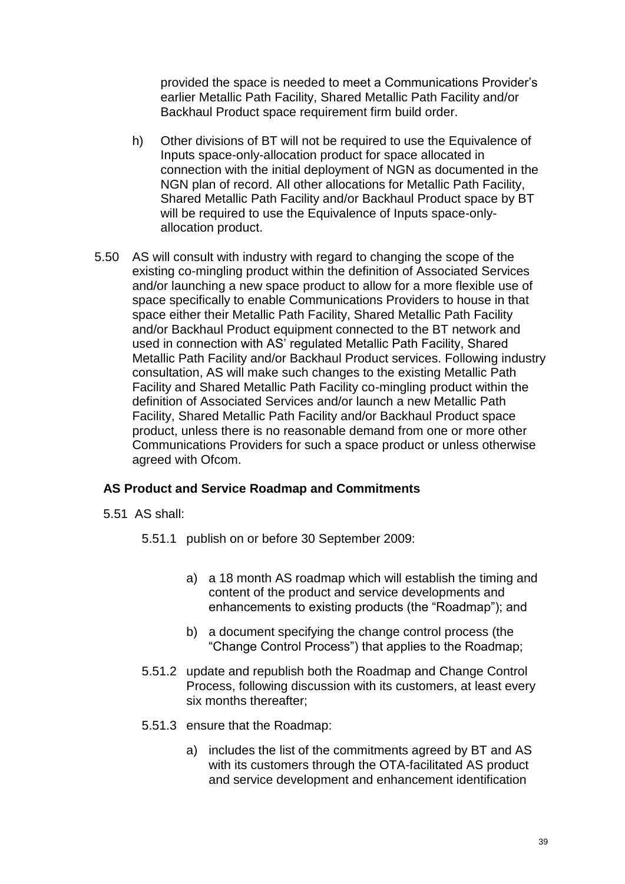provided the space is needed to meet a Communications Provider's earlier Metallic Path Facility, Shared Metallic Path Facility and/or Backhaul Product space requirement firm build order.

- h) Other divisions of BT will not be required to use the Equivalence of Inputs space-only-allocation product for space allocated in connection with the initial deployment of NGN as documented in the NGN plan of record. All other allocations for Metallic Path Facility, Shared Metallic Path Facility and/or Backhaul Product space by BT will be required to use the Equivalence of Inputs space-onlyallocation product.
- 5.50 AS will consult with industry with regard to changing the scope of the existing co-mingling product within the definition of Associated Services and/or launching a new space product to allow for a more flexible use of space specifically to enable Communications Providers to house in that space either their Metallic Path Facility, Shared Metallic Path Facility and/or Backhaul Product equipment connected to the BT network and used in connection with AS' regulated Metallic Path Facility, Shared Metallic Path Facility and/or Backhaul Product services. Following industry consultation, AS will make such changes to the existing Metallic Path Facility and Shared Metallic Path Facility co-mingling product within the definition of Associated Services and/or launch a new Metallic Path Facility, Shared Metallic Path Facility and/or Backhaul Product space product, unless there is no reasonable demand from one or more other Communications Providers for such a space product or unless otherwise agreed with Ofcom.

# **AS Product and Service Roadmap and Commitments**

- 5.51 AS shall:
	- 5.51.1 publish on or before 30 September 2009:
		- a) a 18 month AS roadmap which will establish the timing and content of the product and service developments and enhancements to existing products (the "Roadmap"); and
		- b) a document specifying the change control process (the "Change Control Process") that applies to the Roadmap;
	- 5.51.2 update and republish both the Roadmap and Change Control Process, following discussion with its customers, at least every six months thereafter;
	- 5.51.3 ensure that the Roadmap:
		- a) includes the list of the commitments agreed by BT and AS with its customers through the OTA-facilitated AS product and service development and enhancement identification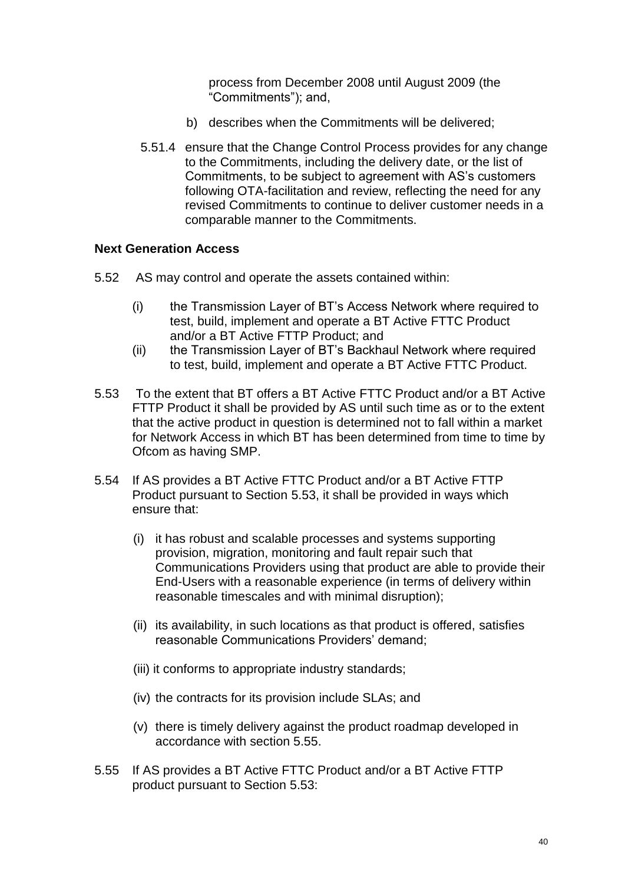process from December 2008 until August 2009 (the "Commitments"); and,

- b) describes when the Commitments will be delivered;
- 5.51.4 ensure that the Change Control Process provides for any change to the Commitments, including the delivery date, or the list of Commitments, to be subject to agreement with AS's customers following OTA-facilitation and review, reflecting the need for any revised Commitments to continue to deliver customer needs in a comparable manner to the Commitments.

## **Next Generation Access**

- 5.52 AS may control and operate the assets contained within:
	- (i) the Transmission Layer of BT's Access Network where required to test, build, implement and operate a BT Active FTTC Product and/or a BT Active FTTP Product; and
	- (ii) the Transmission Layer of BT's Backhaul Network where required to test, build, implement and operate a BT Active FTTC Product.
- 5.53 To the extent that BT offers a BT Active FTTC Product and/or a BT Active FTTP Product it shall be provided by AS until such time as or to the extent that the active product in question is determined not to fall within a market for Network Access in which BT has been determined from time to time by Ofcom as having SMP.
- 5.54 If AS provides a BT Active FTTC Product and/or a BT Active FTTP Product pursuant to Section 5.53, it shall be provided in ways which ensure that:
	- (i) it has robust and scalable processes and systems supporting provision, migration, monitoring and fault repair such that Communications Providers using that product are able to provide their End-Users with a reasonable experience (in terms of delivery within reasonable timescales and with minimal disruption);
	- (ii) its availability, in such locations as that product is offered, satisfies reasonable Communications Providers' demand;
	- (iii) it conforms to appropriate industry standards;
	- (iv) the contracts for its provision include SLAs; and
	- (v) there is timely delivery against the product roadmap developed in accordance with section 5.55.
- 5.55 If AS provides a BT Active FTTC Product and/or a BT Active FTTP product pursuant to Section 5.53: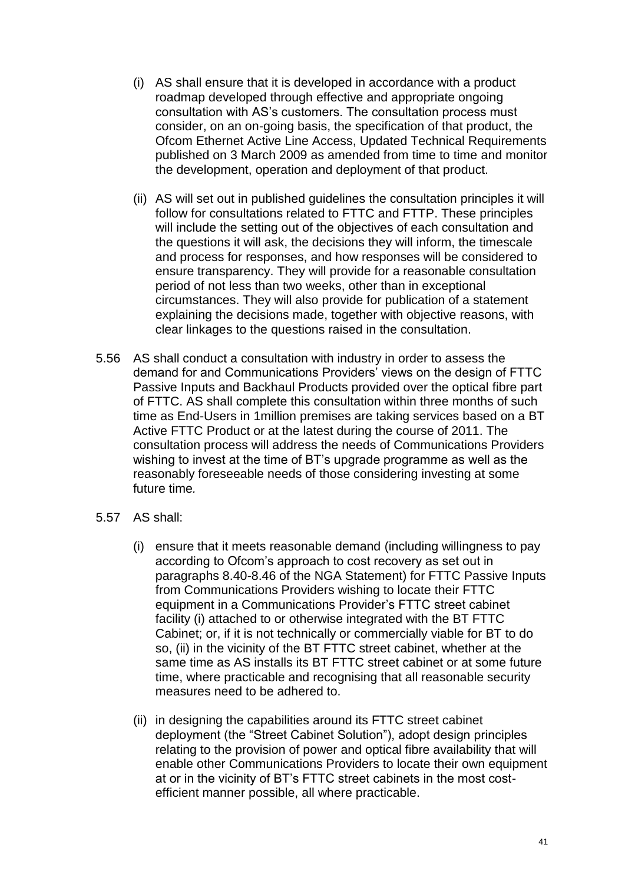- (i) AS shall ensure that it is developed in accordance with a product roadmap developed through effective and appropriate ongoing consultation with AS's customers. The consultation process must consider, on an on-going basis, the specification of that product, the Ofcom Ethernet Active Line Access, Updated Technical Requirements published on 3 March 2009 as amended from time to time and monitor the development, operation and deployment of that product.
- (ii) AS will set out in published guidelines the consultation principles it will follow for consultations related to FTTC and FTTP. These principles will include the setting out of the objectives of each consultation and the questions it will ask, the decisions they will inform, the timescale and process for responses, and how responses will be considered to ensure transparency. They will provide for a reasonable consultation period of not less than two weeks, other than in exceptional circumstances. They will also provide for publication of a statement explaining the decisions made, together with objective reasons, with clear linkages to the questions raised in the consultation.
- 5.56 AS shall conduct a consultation with industry in order to assess the demand for and Communications Providers' views on the design of FTTC Passive Inputs and Backhaul Products provided over the optical fibre part of FTTC. AS shall complete this consultation within three months of such time as End-Users in 1million premises are taking services based on a BT Active FTTC Product or at the latest during the course of 2011. The consultation process will address the needs of Communications Providers wishing to invest at the time of BT's upgrade programme as well as the reasonably foreseeable needs of those considering investing at some future time*.*
- 5.57 AS shall:
	- (i) ensure that it meets reasonable demand (including willingness to pay according to Ofcom's approach to cost recovery as set out in paragraphs 8.40-8.46 of the NGA Statement) for FTTC Passive Inputs from Communications Providers wishing to locate their FTTC equipment in a Communications Provider's FTTC street cabinet facility (i) attached to or otherwise integrated with the BT FTTC Cabinet; or, if it is not technically or commercially viable for BT to do so, (ii) in the vicinity of the BT FTTC street cabinet, whether at the same time as AS installs its BT FTTC street cabinet or at some future time, where practicable and recognising that all reasonable security measures need to be adhered to.
	- (ii) in designing the capabilities around its FTTC street cabinet deployment (the "Street Cabinet Solution"), adopt design principles relating to the provision of power and optical fibre availability that will enable other Communications Providers to locate their own equipment at or in the vicinity of BT's FTTC street cabinets in the most costefficient manner possible, all where practicable.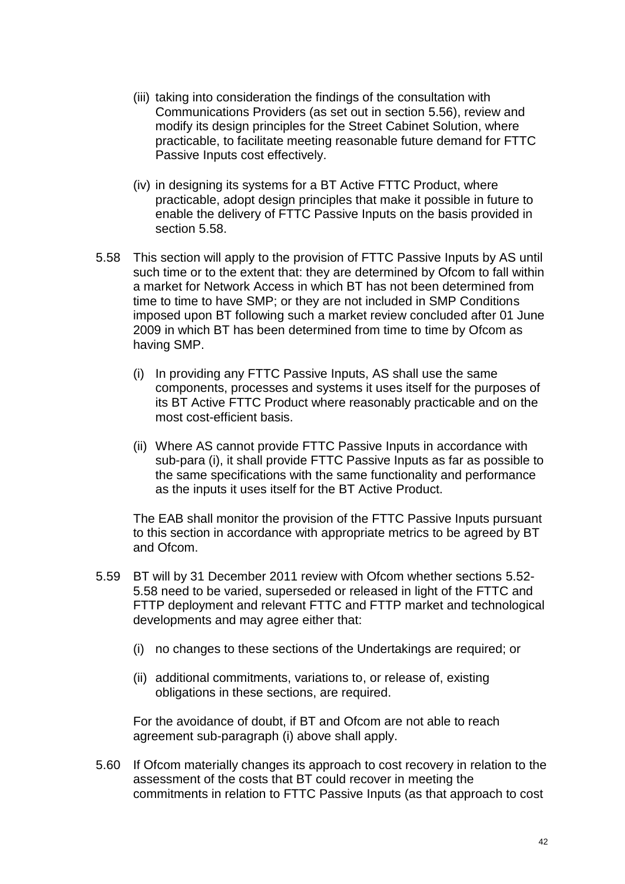- (iii) taking into consideration the findings of the consultation with Communications Providers (as set out in section 5.56), review and modify its design principles for the Street Cabinet Solution, where practicable, to facilitate meeting reasonable future demand for FTTC Passive Inputs cost effectively.
- (iv) in designing its systems for a BT Active FTTC Product, where practicable, adopt design principles that make it possible in future to enable the delivery of FTTC Passive Inputs on the basis provided in section 5.58.
- 5.58 This section will apply to the provision of FTTC Passive Inputs by AS until such time or to the extent that: they are determined by Ofcom to fall within a market for Network Access in which BT has not been determined from time to time to have SMP; or they are not included in SMP Conditions imposed upon BT following such a market review concluded after 01 June 2009 in which BT has been determined from time to time by Ofcom as having SMP.
	- (i) In providing any FTTC Passive Inputs, AS shall use the same components, processes and systems it uses itself for the purposes of its BT Active FTTC Product where reasonably practicable and on the most cost-efficient basis.
	- (ii) Where AS cannot provide FTTC Passive Inputs in accordance with sub-para (i), it shall provide FTTC Passive Inputs as far as possible to the same specifications with the same functionality and performance as the inputs it uses itself for the BT Active Product.

The EAB shall monitor the provision of the FTTC Passive Inputs pursuant to this section in accordance with appropriate metrics to be agreed by BT and Ofcom.

- 5.59 BT will by 31 December 2011 review with Ofcom whether sections 5.52- 5.58 need to be varied, superseded or released in light of the FTTC and FTTP deployment and relevant FTTC and FTTP market and technological developments and may agree either that:
	- (i) no changes to these sections of the Undertakings are required; or
	- (ii) additional commitments, variations to, or release of, existing obligations in these sections, are required.

For the avoidance of doubt, if BT and Ofcom are not able to reach agreement sub-paragraph (i) above shall apply.

5.60 If Ofcom materially changes its approach to cost recovery in relation to the assessment of the costs that BT could recover in meeting the commitments in relation to FTTC Passive Inputs (as that approach to cost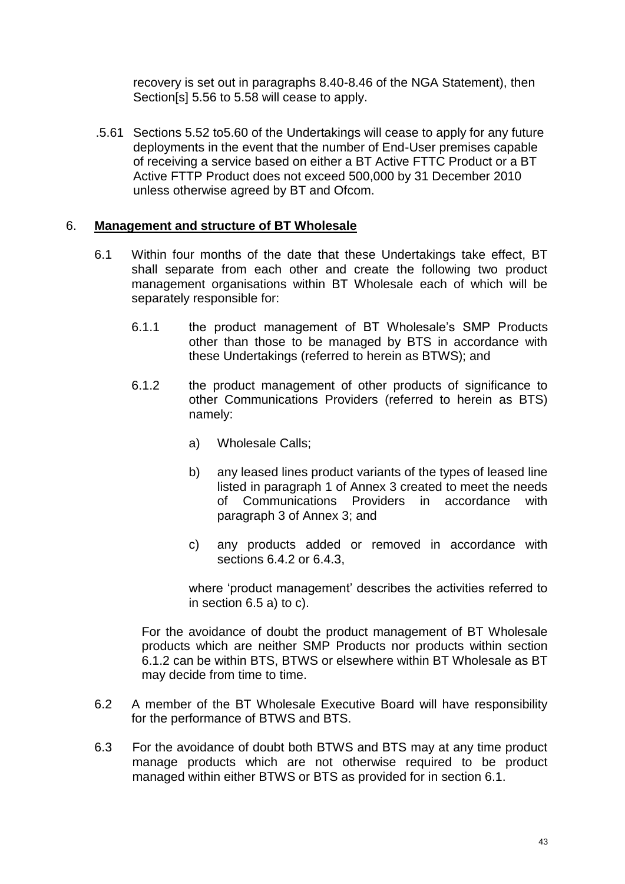recovery is set out in paragraphs 8.40-8.46 of the NGA Statement), then Section[s] 5.56 to 5.58 will cease to apply.

.5.61 Sections 5.52 to5.60 of the Undertakings will cease to apply for any future deployments in the event that the number of End-User premises capable of receiving a service based on either a BT Active FTTC Product or a BT Active FTTP Product does not exceed 500,000 by 31 December 2010 unless otherwise agreed by BT and Ofcom.

## 6. **Management and structure of BT Wholesale**

- 6.1 Within four months of the date that these Undertakings take effect, BT shall separate from each other and create the following two product management organisations within BT Wholesale each of which will be separately responsible for:
	- 6.1.1 the product management of BT Wholesale's SMP Products other than those to be managed by BTS in accordance with these Undertakings (referred to herein as BTWS); and
	- 6.1.2 the product management of other products of significance to other Communications Providers (referred to herein as BTS) namely:
		- a) Wholesale Calls;
		- b) any leased lines product variants of the types of leased line listed in paragraph 1 of Annex 3 created to meet the needs of Communications Providers in accordance with paragraph 3 of Annex 3; and
		- c) any products added or removed in accordance with sections 6.4.2 or 6.4.3,

where 'product management' describes the activities referred to in section 6.5 a) to c).

For the avoidance of doubt the product management of BT Wholesale products which are neither SMP Products nor products within section 6.1.2 can be within BTS, BTWS or elsewhere within BT Wholesale as BT may decide from time to time.

- 6.2 A member of the BT Wholesale Executive Board will have responsibility for the performance of BTWS and BTS.
- 6.3 For the avoidance of doubt both BTWS and BTS may at any time product manage products which are not otherwise required to be product managed within either BTWS or BTS as provided for in section 6.1.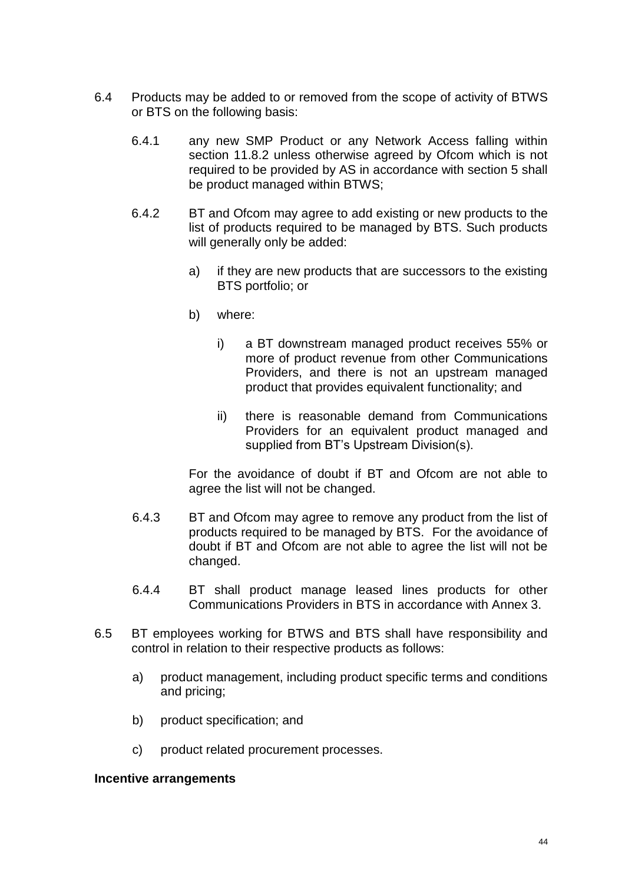- 6.4 Products may be added to or removed from the scope of activity of BTWS or BTS on the following basis:
	- 6.4.1 any new SMP Product or any Network Access falling within section 11.8.2 unless otherwise agreed by Ofcom which is not required to be provided by AS in accordance with section 5 shall be product managed within BTWS;
	- 6.4.2 BT and Ofcom may agree to add existing or new products to the list of products required to be managed by BTS. Such products will generally only be added:
		- a) if they are new products that are successors to the existing BTS portfolio; or
		- b) where:
			- i) a BT downstream managed product receives 55% or more of product revenue from other Communications Providers, and there is not an upstream managed product that provides equivalent functionality; and
			- ii) there is reasonable demand from Communications Providers for an equivalent product managed and supplied from BT's Upstream Division(s).

For the avoidance of doubt if BT and Ofcom are not able to agree the list will not be changed.

- 6.4.3 BT and Ofcom may agree to remove any product from the list of products required to be managed by BTS. For the avoidance of doubt if BT and Ofcom are not able to agree the list will not be changed.
- 6.4.4 BT shall product manage leased lines products for other Communications Providers in BTS in accordance with Annex 3.
- 6.5 BT employees working for BTWS and BTS shall have responsibility and control in relation to their respective products as follows:
	- a) product management, including product specific terms and conditions and pricing;
	- b) product specification; and
	- c) product related procurement processes.

#### **Incentive arrangements**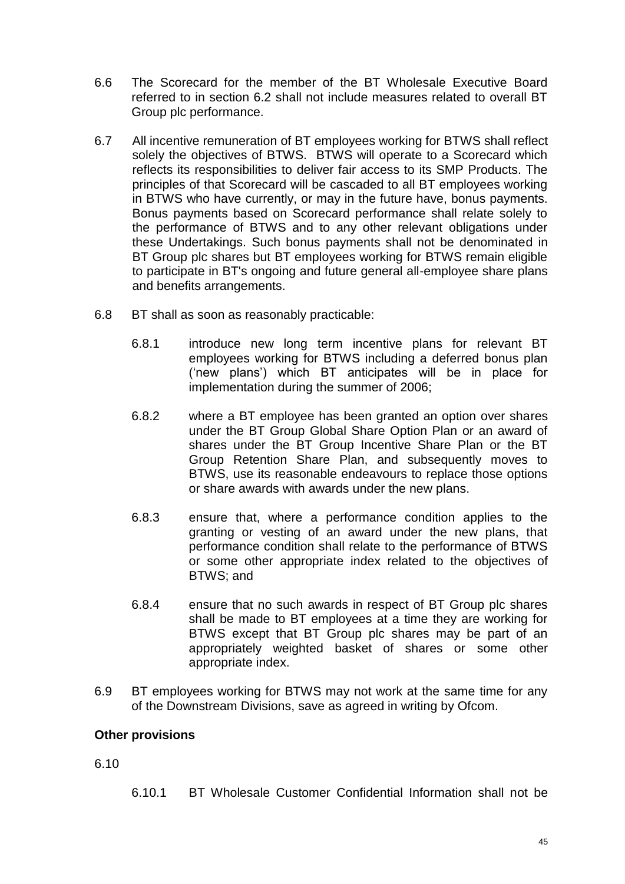- 6.6 The Scorecard for the member of the BT Wholesale Executive Board referred to in section 6.2 shall not include measures related to overall BT Group plc performance.
- 6.7 All incentive remuneration of BT employees working for BTWS shall reflect solely the objectives of BTWS. BTWS will operate to a Scorecard which reflects its responsibilities to deliver fair access to its SMP Products. The principles of that Scorecard will be cascaded to all BT employees working in BTWS who have currently, or may in the future have, bonus payments. Bonus payments based on Scorecard performance shall relate solely to the performance of BTWS and to any other relevant obligations under these Undertakings. Such bonus payments shall not be denominated in BT Group plc shares but BT employees working for BTWS remain eligible to participate in BT's ongoing and future general all-employee share plans and benefits arrangements.
- 6.8 BT shall as soon as reasonably practicable:
	- 6.8.1 introduce new long term incentive plans for relevant BT employees working for BTWS including a deferred bonus plan ('new plans') which BT anticipates will be in place for implementation during the summer of 2006;
	- 6.8.2 where a BT employee has been granted an option over shares under the BT Group Global Share Option Plan or an award of shares under the BT Group Incentive Share Plan or the BT Group Retention Share Plan, and subsequently moves to BTWS, use its reasonable endeavours to replace those options or share awards with awards under the new plans.
	- 6.8.3 ensure that, where a performance condition applies to the granting or vesting of an award under the new plans, that performance condition shall relate to the performance of BTWS or some other appropriate index related to the objectives of BTWS; and
	- 6.8.4 ensure that no such awards in respect of BT Group plc shares shall be made to BT employees at a time they are working for BTWS except that BT Group plc shares may be part of an appropriately weighted basket of shares or some other appropriate index.
- 6.9 BT employees working for BTWS may not work at the same time for any of the Downstream Divisions, save as agreed in writing by Ofcom.

## **Other provisions**

6.10

6.10.1 BT Wholesale Customer Confidential Information shall not be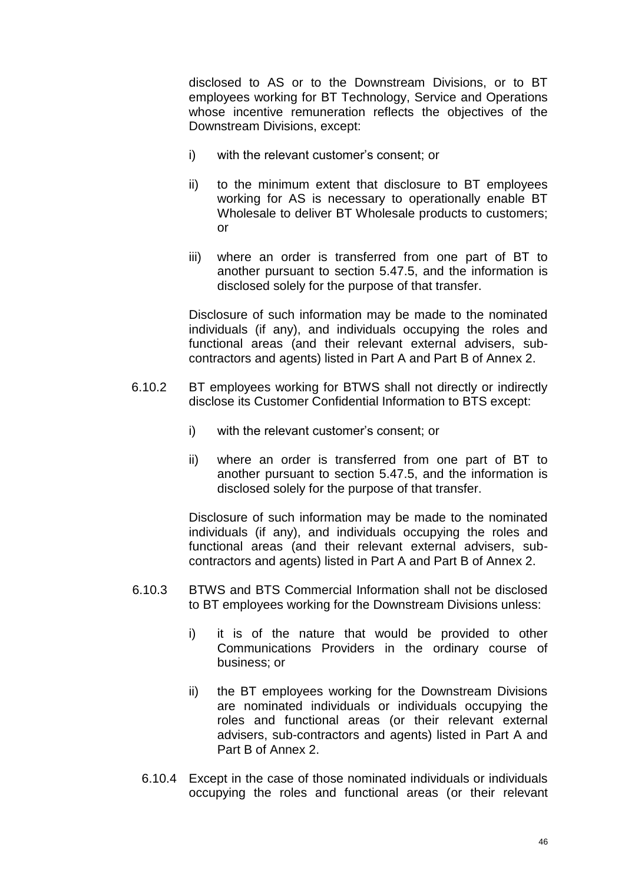disclosed to AS or to the Downstream Divisions, or to BT employees working for BT Technology, Service and Operations whose incentive remuneration reflects the objectives of the Downstream Divisions, except:

- i) with the relevant customer's consent; or
- ii) to the minimum extent that disclosure to BT employees working for AS is necessary to operationally enable BT Wholesale to deliver BT Wholesale products to customers; or
- iii) where an order is transferred from one part of BT to another pursuant to section 5.47.5, and the information is disclosed solely for the purpose of that transfer.

Disclosure of such information may be made to the nominated individuals (if any), and individuals occupying the roles and functional areas (and their relevant external advisers, subcontractors and agents) listed in Part A and Part B of Annex 2.

- 6.10.2 BT employees working for BTWS shall not directly or indirectly disclose its Customer Confidential Information to BTS except:
	- i) with the relevant customer's consent; or
	- ii) where an order is transferred from one part of BT to another pursuant to section 5.47.5, and the information is disclosed solely for the purpose of that transfer.

Disclosure of such information may be made to the nominated individuals (if any), and individuals occupying the roles and functional areas (and their relevant external advisers, subcontractors and agents) listed in Part A and Part B of Annex 2.

- 6.10.3 BTWS and BTS Commercial Information shall not be disclosed to BT employees working for the Downstream Divisions unless:
	- i) it is of the nature that would be provided to other Communications Providers in the ordinary course of business; or
	- ii) the BT employees working for the Downstream Divisions are nominated individuals or individuals occupying the roles and functional areas (or their relevant external advisers, sub-contractors and agents) listed in Part A and Part B of Annex 2.
	- 6.10.4 Except in the case of those nominated individuals or individuals occupying the roles and functional areas (or their relevant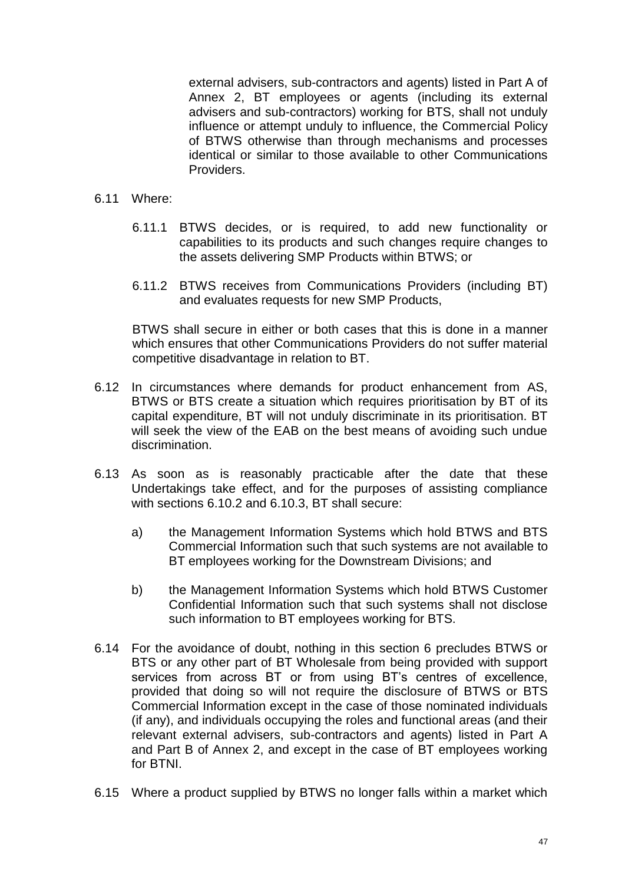external advisers, sub-contractors and agents) listed in Part A of Annex 2, BT employees or agents (including its external advisers and sub-contractors) working for BTS, shall not unduly influence or attempt unduly to influence, the Commercial Policy of BTWS otherwise than through mechanisms and processes identical or similar to those available to other Communications Providers.

#### 6.11 Where:

- 6.11.1 BTWS decides, or is required, to add new functionality or capabilities to its products and such changes require changes to the assets delivering SMP Products within BTWS; or
- 6.11.2 BTWS receives from Communications Providers (including BT) and evaluates requests for new SMP Products,

BTWS shall secure in either or both cases that this is done in a manner which ensures that other Communications Providers do not suffer material competitive disadvantage in relation to BT.

- 6.12 In circumstances where demands for product enhancement from AS, BTWS or BTS create a situation which requires prioritisation by BT of its capital expenditure, BT will not unduly discriminate in its prioritisation. BT will seek the view of the EAB on the best means of avoiding such undue discrimination.
- 6.13 As soon as is reasonably practicable after the date that these Undertakings take effect, and for the purposes of assisting compliance with sections 6.10.2 and 6.10.3, BT shall secure:
	- a) the Management Information Systems which hold BTWS and BTS Commercial Information such that such systems are not available to BT employees working for the Downstream Divisions; and
	- b) the Management Information Systems which hold BTWS Customer Confidential Information such that such systems shall not disclose such information to BT employees working for BTS.
- 6.14 For the avoidance of doubt, nothing in this section 6 precludes BTWS or BTS or any other part of BT Wholesale from being provided with support services from across BT or from using BT's centres of excellence, provided that doing so will not require the disclosure of BTWS or BTS Commercial Information except in the case of those nominated individuals (if any), and individuals occupying the roles and functional areas (and their relevant external advisers, sub-contractors and agents) listed in Part A and Part B of Annex 2, and except in the case of BT employees working for BTNI.
- 6.15 Where a product supplied by BTWS no longer falls within a market which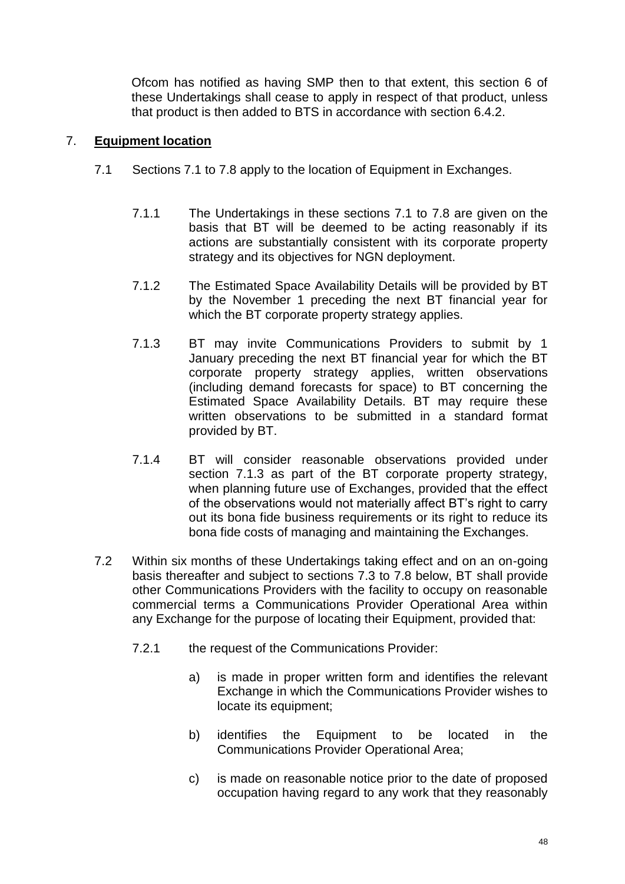Ofcom has notified as having SMP then to that extent, this section 6 of these Undertakings shall cease to apply in respect of that product, unless that product is then added to BTS in accordance with section 6.4.2.

# 7. **Equipment location**

- 7.1 Sections 7.1 to 7.8 apply to the location of Equipment in Exchanges.
	- 7.1.1 The Undertakings in these sections 7.1 to 7.8 are given on the basis that BT will be deemed to be acting reasonably if its actions are substantially consistent with its corporate property strategy and its objectives for NGN deployment.
	- 7.1.2 The Estimated Space Availability Details will be provided by BT by the November 1 preceding the next BT financial year for which the BT corporate property strategy applies.
	- 7.1.3 BT may invite Communications Providers to submit by 1 January preceding the next BT financial year for which the BT corporate property strategy applies, written observations (including demand forecasts for space) to BT concerning the Estimated Space Availability Details. BT may require these written observations to be submitted in a standard format provided by BT.
	- 7.1.4 BT will consider reasonable observations provided under section 7.1.3 as part of the BT corporate property strategy, when planning future use of Exchanges, provided that the effect of the observations would not materially affect BT's right to carry out its bona fide business requirements or its right to reduce its bona fide costs of managing and maintaining the Exchanges.
- 7.2 Within six months of these Undertakings taking effect and on an on-going basis thereafter and subject to sections 7.3 to 7.8 below, BT shall provide other Communications Providers with the facility to occupy on reasonable commercial terms a Communications Provider Operational Area within any Exchange for the purpose of locating their Equipment, provided that:
	- 7.2.1 the request of the Communications Provider:
		- a) is made in proper written form and identifies the relevant Exchange in which the Communications Provider wishes to locate its equipment;
		- b) identifies the Equipment to be located in the Communications Provider Operational Area;
		- c) is made on reasonable notice prior to the date of proposed occupation having regard to any work that they reasonably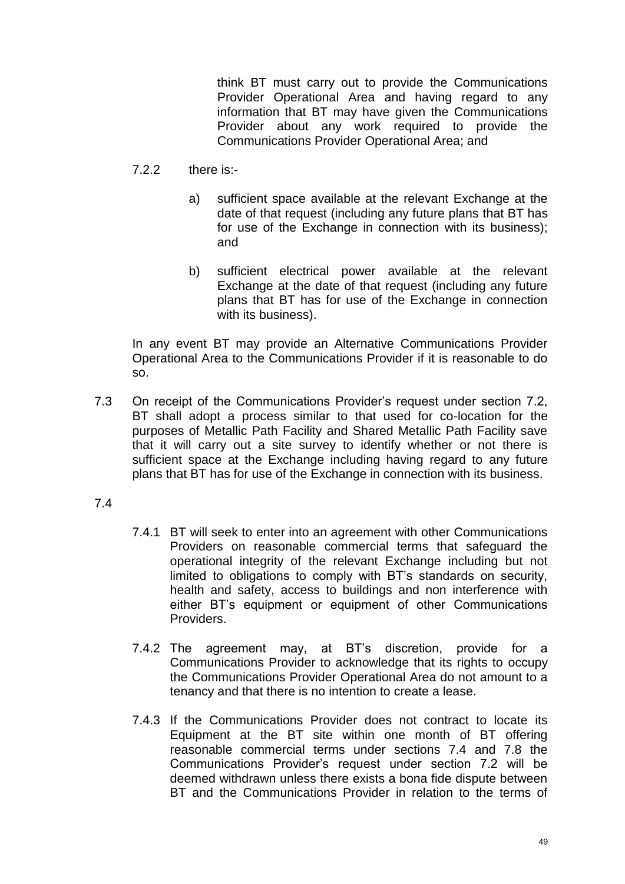think BT must carry out to provide the Communications Provider Operational Area and having regard to any information that BT may have given the Communications Provider about any work required to provide the Communications Provider Operational Area; and

- 7.2.2 there is:
	- a) sufficient space available at the relevant Exchange at the date of that request (including any future plans that BT has for use of the Exchange in connection with its business); and
	- b) sufficient electrical power available at the relevant Exchange at the date of that request (including any future plans that BT has for use of the Exchange in connection with its business).

In any event BT may provide an Alternative Communications Provider Operational Area to the Communications Provider if it is reasonable to do so.

- 7.3 On receipt of the Communications Provider's request under section 7.2, BT shall adopt a process similar to that used for co-location for the purposes of Metallic Path Facility and Shared Metallic Path Facility save that it will carry out a site survey to identify whether or not there is sufficient space at the Exchange including having regard to any future plans that BT has for use of the Exchange in connection with its business.
- 7.4
- 7.4.1 BT will seek to enter into an agreement with other Communications Providers on reasonable commercial terms that safeguard the operational integrity of the relevant Exchange including but not limited to obligations to comply with BT's standards on security, health and safety, access to buildings and non interference with either BT's equipment or equipment of other Communications Providers.
- 7.4.2 The agreement may, at BT's discretion, provide for a Communications Provider to acknowledge that its rights to occupy the Communications Provider Operational Area do not amount to a tenancy and that there is no intention to create a lease.
- 7.4.3 If the Communications Provider does not contract to locate its Equipment at the BT site within one month of BT offering reasonable commercial terms under sections 7.4 and 7.8 the Communications Provider's request under section 7.2 will be deemed withdrawn unless there exists a bona fide dispute between BT and the Communications Provider in relation to the terms of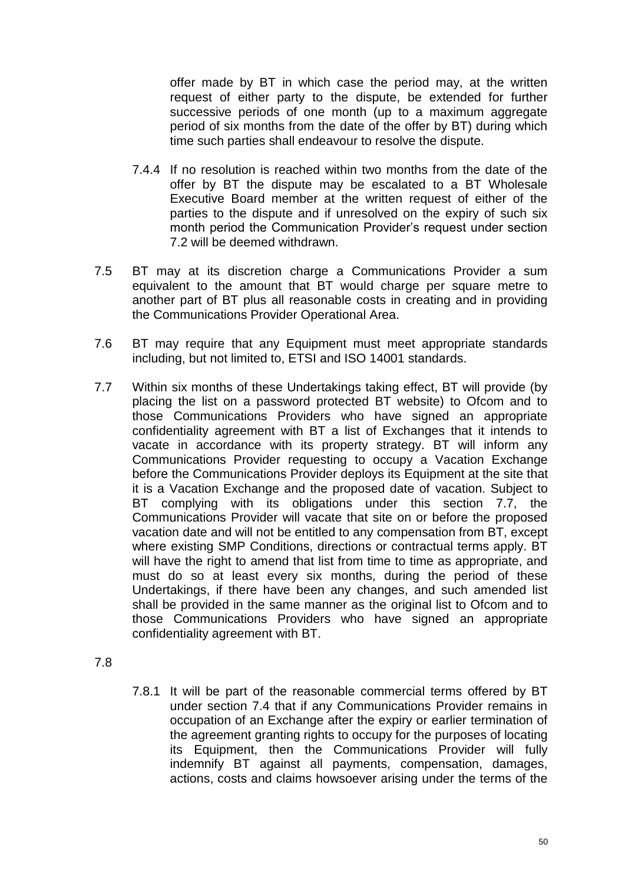offer made by BT in which case the period may, at the written request of either party to the dispute, be extended for further successive periods of one month (up to a maximum aggregate period of six months from the date of the offer by BT) during which time such parties shall endeavour to resolve the dispute.

- 7.4.4 If no resolution is reached within two months from the date of the offer by BT the dispute may be escalated to a BT Wholesale Executive Board member at the written request of either of the parties to the dispute and if unresolved on the expiry of such six month period the Communication Provider's request under section 7.2 will be deemed withdrawn.
- 7.5 BT may at its discretion charge a Communications Provider a sum equivalent to the amount that BT would charge per square metre to another part of BT plus all reasonable costs in creating and in providing the Communications Provider Operational Area.
- 7.6 BT may require that any Equipment must meet appropriate standards including, but not limited to, ETSI and ISO 14001 standards.
- 7.7 Within six months of these Undertakings taking effect, BT will provide (by placing the list on a password protected BT website) to Ofcom and to those Communications Providers who have signed an appropriate confidentiality agreement with BT a list of Exchanges that it intends to vacate in accordance with its property strategy. BT will inform any Communications Provider requesting to occupy a Vacation Exchange before the Communications Provider deploys its Equipment at the site that it is a Vacation Exchange and the proposed date of vacation. Subject to BT complying with its obligations under this section 7.7, the Communications Provider will vacate that site on or before the proposed vacation date and will not be entitled to any compensation from BT, except where existing SMP Conditions, directions or contractual terms apply. BT will have the right to amend that list from time to time as appropriate, and must do so at least every six months, during the period of these Undertakings, if there have been any changes, and such amended list shall be provided in the same manner as the original list to Ofcom and to those Communications Providers who have signed an appropriate confidentiality agreement with BT.
- 7.8
- 7.8.1 It will be part of the reasonable commercial terms offered by BT under section 7.4 that if any Communications Provider remains in occupation of an Exchange after the expiry or earlier termination of the agreement granting rights to occupy for the purposes of locating its Equipment, then the Communications Provider will fully indemnify BT against all payments, compensation, damages, actions, costs and claims howsoever arising under the terms of the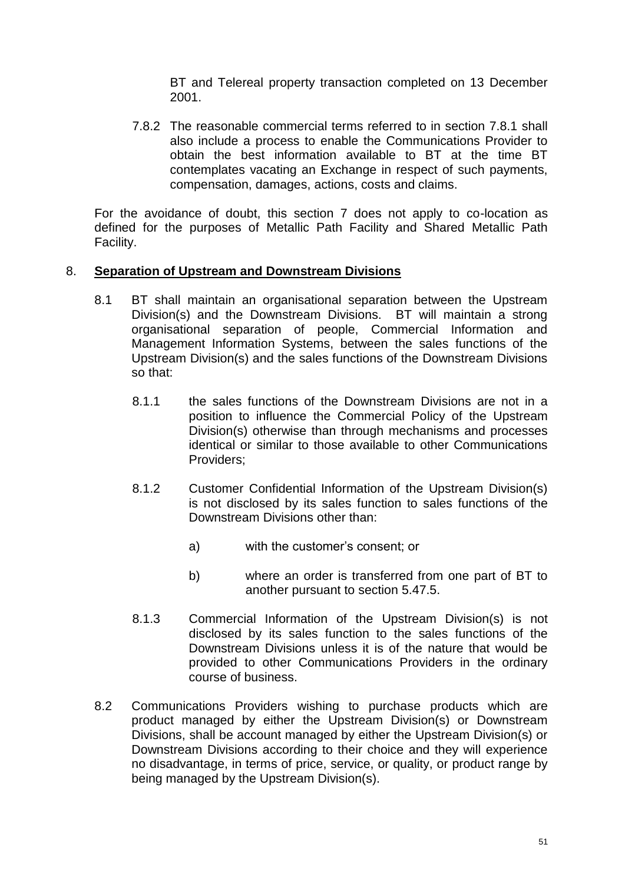BT and Telereal property transaction completed on 13 December 2001.

7.8.2 The reasonable commercial terms referred to in section 7.8.1 shall also include a process to enable the Communications Provider to obtain the best information available to BT at the time BT contemplates vacating an Exchange in respect of such payments, compensation, damages, actions, costs and claims.

For the avoidance of doubt, this section 7 does not apply to co-location as defined for the purposes of Metallic Path Facility and Shared Metallic Path Facility.

## 8. **Separation of Upstream and Downstream Divisions**

- 8.1 BT shall maintain an organisational separation between the Upstream Division(s) and the Downstream Divisions. BT will maintain a strong organisational separation of people, Commercial Information and Management Information Systems, between the sales functions of the Upstream Division(s) and the sales functions of the Downstream Divisions so that:
	- 8.1.1 the sales functions of the Downstream Divisions are not in a position to influence the Commercial Policy of the Upstream Division(s) otherwise than through mechanisms and processes identical or similar to those available to other Communications Providers;
	- 8.1.2 Customer Confidential Information of the Upstream Division(s) is not disclosed by its sales function to sales functions of the Downstream Divisions other than:
		- a) with the customer's consent; or
		- b) where an order is transferred from one part of BT to another pursuant to section 5.47.5.
	- 8.1.3 Commercial Information of the Upstream Division(s) is not disclosed by its sales function to the sales functions of the Downstream Divisions unless it is of the nature that would be provided to other Communications Providers in the ordinary course of business.
- 8.2 Communications Providers wishing to purchase products which are product managed by either the Upstream Division(s) or Downstream Divisions, shall be account managed by either the Upstream Division(s) or Downstream Divisions according to their choice and they will experience no disadvantage, in terms of price, service, or quality, or product range by being managed by the Upstream Division(s).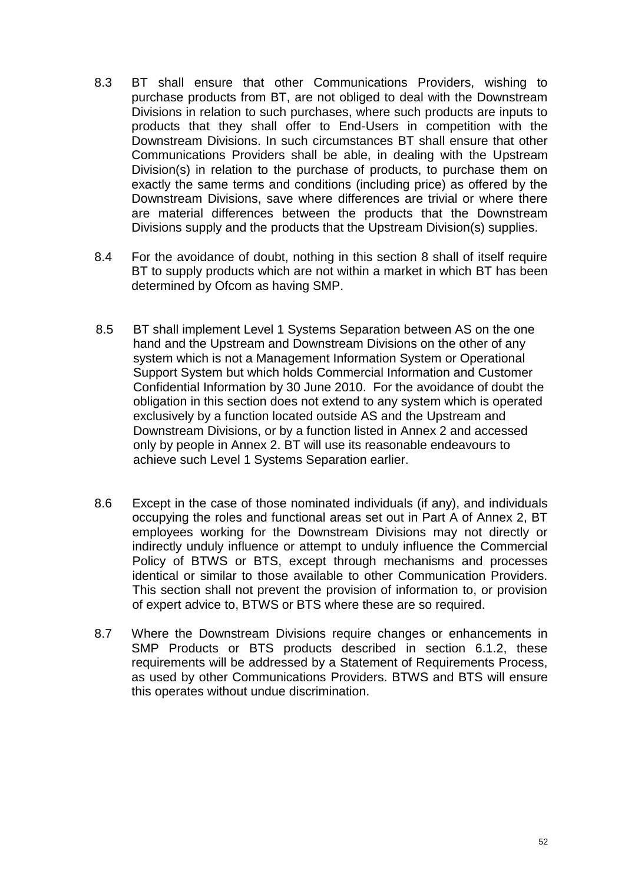- 8.3 BT shall ensure that other Communications Providers, wishing to purchase products from BT, are not obliged to deal with the Downstream Divisions in relation to such purchases, where such products are inputs to products that they shall offer to End-Users in competition with the Downstream Divisions. In such circumstances BT shall ensure that other Communications Providers shall be able, in dealing with the Upstream Division(s) in relation to the purchase of products, to purchase them on exactly the same terms and conditions (including price) as offered by the Downstream Divisions, save where differences are trivial or where there are material differences between the products that the Downstream Divisions supply and the products that the Upstream Division(s) supplies.
- 8.4 For the avoidance of doubt, nothing in this section 8 shall of itself require BT to supply products which are not within a market in which BT has been determined by Ofcom as having SMP.
- 8.5 BT shall implement Level 1 Systems Separation between AS on the one hand and the Upstream and Downstream Divisions on the other of any system which is not a Management Information System or Operational Support System but which holds Commercial Information and Customer Confidential Information by 30 June 2010. For the avoidance of doubt the obligation in this section does not extend to any system which is operated exclusively by a function located outside AS and the Upstream and Downstream Divisions, or by a function listed in Annex 2 and accessed only by people in Annex 2. BT will use its reasonable endeavours to achieve such Level 1 Systems Separation earlier.
- 8.6 Except in the case of those nominated individuals (if any), and individuals occupying the roles and functional areas set out in Part A of Annex 2, BT employees working for the Downstream Divisions may not directly or indirectly unduly influence or attempt to unduly influence the Commercial Policy of BTWS or BTS, except through mechanisms and processes identical or similar to those available to other Communication Providers. This section shall not prevent the provision of information to, or provision of expert advice to, BTWS or BTS where these are so required.
- 8.7 Where the Downstream Divisions require changes or enhancements in SMP Products or BTS products described in section 6.1.2, these requirements will be addressed by a Statement of Requirements Process, as used by other Communications Providers. BTWS and BTS will ensure this operates without undue discrimination.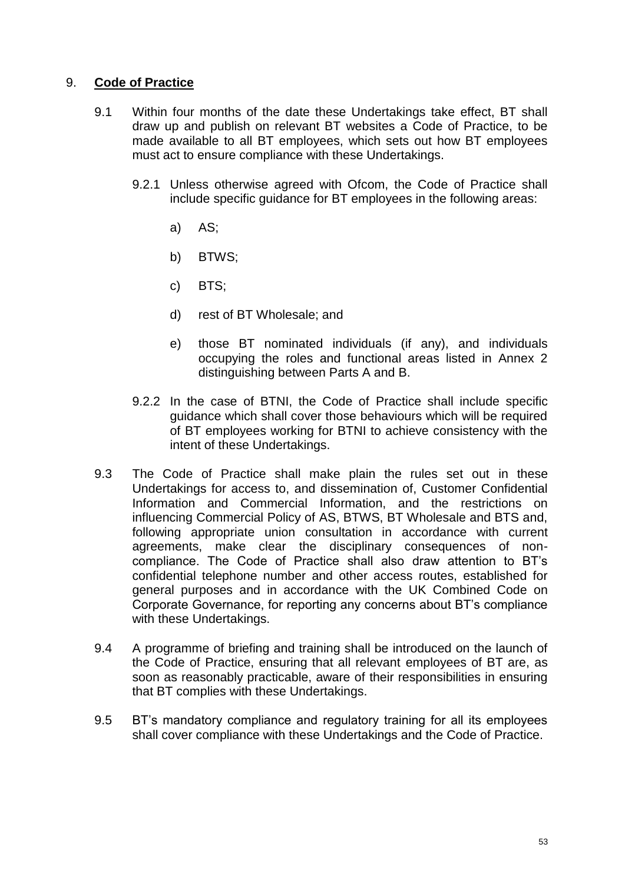## 9. **Code of Practice**

- 9.1 Within four months of the date these Undertakings take effect, BT shall draw up and publish on relevant BT websites a Code of Practice, to be made available to all BT employees, which sets out how BT employees must act to ensure compliance with these Undertakings.
	- 9.2.1 Unless otherwise agreed with Ofcom, the Code of Practice shall include specific guidance for BT employees in the following areas:
		- a) AS;
		- b) BTWS;
		- c) BTS;
		- d) rest of BT Wholesale; and
		- e) those BT nominated individuals (if any), and individuals occupying the roles and functional areas listed in Annex 2 distinguishing between Parts A and B.
	- 9.2.2 In the case of BTNI, the Code of Practice shall include specific guidance which shall cover those behaviours which will be required of BT employees working for BTNI to achieve consistency with the intent of these Undertakings.
- 9.3 The Code of Practice shall make plain the rules set out in these Undertakings for access to, and dissemination of, Customer Confidential Information and Commercial Information, and the restrictions on influencing Commercial Policy of AS, BTWS, BT Wholesale and BTS and, following appropriate union consultation in accordance with current agreements, make clear the disciplinary consequences of noncompliance. The Code of Practice shall also draw attention to BT's confidential telephone number and other access routes, established for general purposes and in accordance with the UK Combined Code on Corporate Governance, for reporting any concerns about BT's compliance with these Undertakings.
- 9.4 A programme of briefing and training shall be introduced on the launch of the Code of Practice, ensuring that all relevant employees of BT are, as soon as reasonably practicable, aware of their responsibilities in ensuring that BT complies with these Undertakings.
- 9.5 BT's mandatory compliance and regulatory training for all its employees shall cover compliance with these Undertakings and the Code of Practice.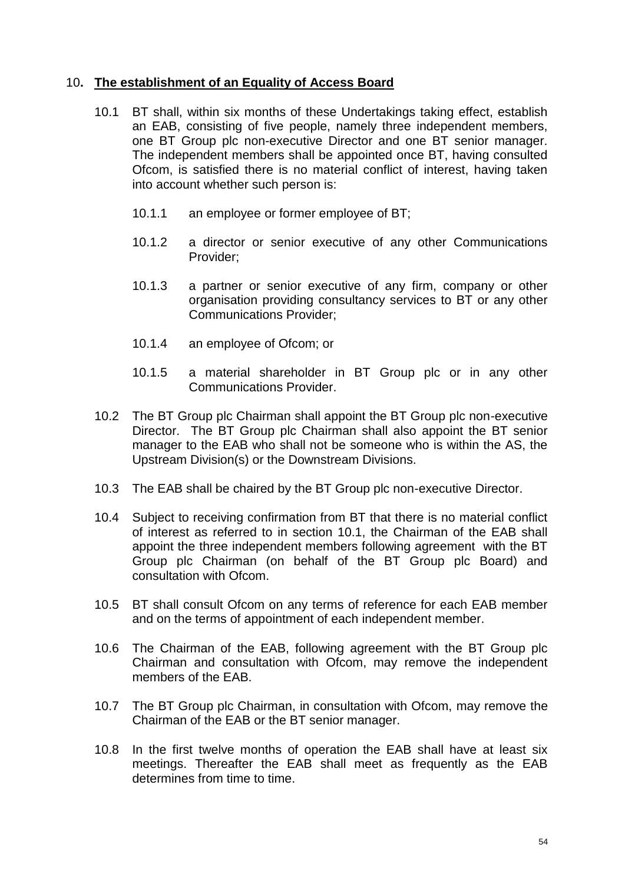## 10**. The establishment of an Equality of Access Board**

- 10.1 BT shall, within six months of these Undertakings taking effect, establish an EAB, consisting of five people, namely three independent members, one BT Group plc non-executive Director and one BT senior manager. The independent members shall be appointed once BT, having consulted Ofcom, is satisfied there is no material conflict of interest, having taken into account whether such person is:
	- 10.1.1 an employee or former employee of BT;
	- 10.1.2 a director or senior executive of any other Communications Provider;
	- 10.1.3 a partner or senior executive of any firm, company or other organisation providing consultancy services to BT or any other Communications Provider;
	- 10.1.4 an employee of Ofcom; or
	- 10.1.5 a material shareholder in BT Group plc or in any other Communications Provider.
- 10.2 The BT Group plc Chairman shall appoint the BT Group plc non-executive Director. The BT Group plc Chairman shall also appoint the BT senior manager to the EAB who shall not be someone who is within the AS, the Upstream Division(s) or the Downstream Divisions.
- 10.3 The EAB shall be chaired by the BT Group plc non-executive Director.
- 10.4 Subject to receiving confirmation from BT that there is no material conflict of interest as referred to in section 10.1, the Chairman of the EAB shall appoint the three independent members following agreement with the BT Group plc Chairman (on behalf of the BT Group plc Board) and consultation with Ofcom.
- 10.5 BT shall consult Ofcom on any terms of reference for each EAB member and on the terms of appointment of each independent member.
- 10.6 The Chairman of the EAB, following agreement with the BT Group plc Chairman and consultation with Ofcom, may remove the independent members of the EAB.
- 10.7 The BT Group plc Chairman, in consultation with Ofcom, may remove the Chairman of the EAB or the BT senior manager.
- 10.8 In the first twelve months of operation the EAB shall have at least six meetings. Thereafter the EAB shall meet as frequently as the EAB determines from time to time.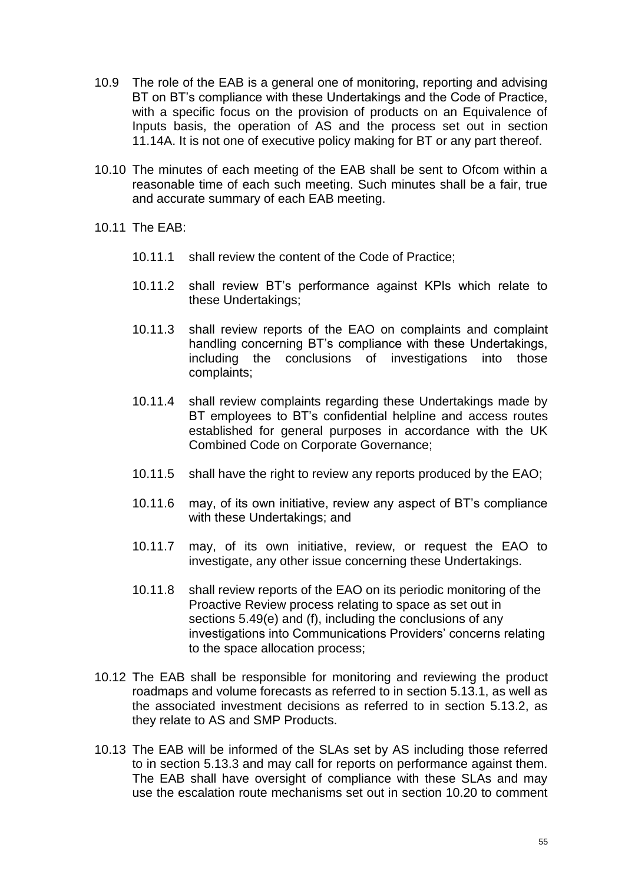- 10.9 The role of the EAB is a general one of monitoring, reporting and advising BT on BT's compliance with these Undertakings and the Code of Practice, with a specific focus on the provision of products on an Equivalence of Inputs basis, the operation of AS and the process set out in section 11.14A. It is not one of executive policy making for BT or any part thereof.
- 10.10 The minutes of each meeting of the EAB shall be sent to Ofcom within a reasonable time of each such meeting. Such minutes shall be a fair, true and accurate summary of each EAB meeting.

10.11 The EAB:

- 10.11.1 shall review the content of the Code of Practice;
- 10.11.2 shall review BT's performance against KPIs which relate to these Undertakings;
- 10.11.3 shall review reports of the EAO on complaints and complaint handling concerning BT's compliance with these Undertakings, including the conclusions of investigations into those complaints;
- 10.11.4 shall review complaints regarding these Undertakings made by BT employees to BT's confidential helpline and access routes established for general purposes in accordance with the UK Combined Code on Corporate Governance;
- 10.11.5 shall have the right to review any reports produced by the EAO;
- 10.11.6 may, of its own initiative, review any aspect of BT's compliance with these Undertakings; and
- 10.11.7 may, of its own initiative, review, or request the EAO to investigate, any other issue concerning these Undertakings.
- 10.11.8 shall review reports of the EAO on its periodic monitoring of the Proactive Review process relating to space as set out in sections 5.49(e) and (f), including the conclusions of any investigations into Communications Providers' concerns relating to the space allocation process;
- 10.12 The EAB shall be responsible for monitoring and reviewing the product roadmaps and volume forecasts as referred to in section 5.13.1, as well as the associated investment decisions as referred to in section 5.13.2, as they relate to AS and SMP Products.
- 10.13 The EAB will be informed of the SLAs set by AS including those referred to in section 5.13.3 and may call for reports on performance against them. The EAB shall have oversight of compliance with these SLAs and may use the escalation route mechanisms set out in section 10.20 to comment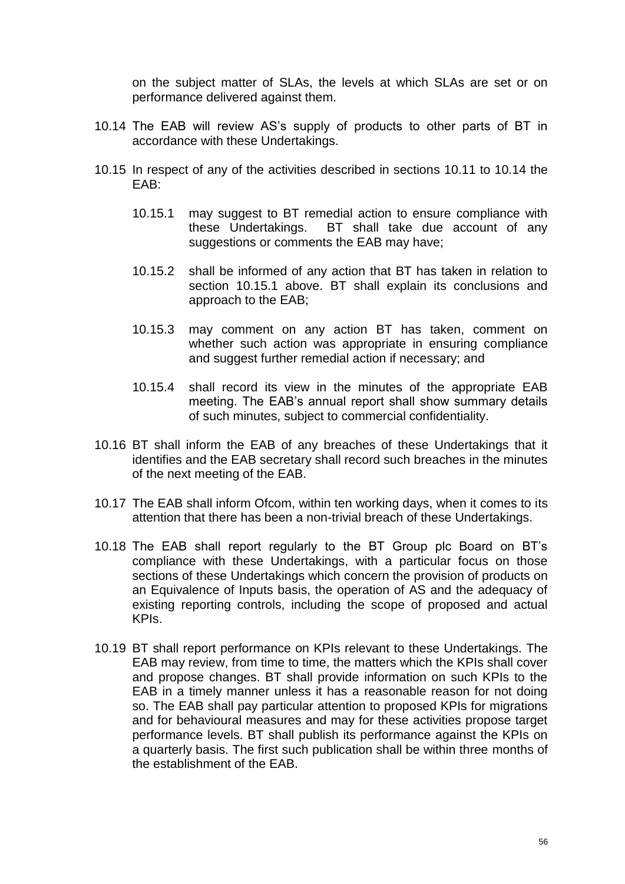on the subject matter of SLAs, the levels at which SLAs are set or on performance delivered against them.

- 10.14 The EAB will review AS's supply of products to other parts of BT in accordance with these Undertakings.
- 10.15 In respect of any of the activities described in sections 10.11 to 10.14 the EAB:
	- 10.15.1 may suggest to BT remedial action to ensure compliance with these Undertakings. BT shall take due account of any suggestions or comments the EAB may have;
	- 10.15.2 shall be informed of any action that BT has taken in relation to section 10.15.1 above. BT shall explain its conclusions and approach to the EAB;
	- 10.15.3 may comment on any action BT has taken, comment on whether such action was appropriate in ensuring compliance and suggest further remedial action if necessary; and
	- 10.15.4 shall record its view in the minutes of the appropriate EAB meeting. The EAB's annual report shall show summary details of such minutes, subject to commercial confidentiality.
- 10.16 BT shall inform the EAB of any breaches of these Undertakings that it identifies and the EAB secretary shall record such breaches in the minutes of the next meeting of the EAB.
- 10.17 The EAB shall inform Ofcom, within ten working days, when it comes to its attention that there has been a non-trivial breach of these Undertakings.
- 10.18 The EAB shall report regularly to the BT Group plc Board on BT's compliance with these Undertakings, with a particular focus on those sections of these Undertakings which concern the provision of products on an Equivalence of Inputs basis, the operation of AS and the adequacy of existing reporting controls, including the scope of proposed and actual KPIs.
- 10.19 BT shall report performance on KPIs relevant to these Undertakings. The EAB may review, from time to time, the matters which the KPIs shall cover and propose changes. BT shall provide information on such KPIs to the EAB in a timely manner unless it has a reasonable reason for not doing so. The EAB shall pay particular attention to proposed KPIs for migrations and for behavioural measures and may for these activities propose target performance levels. BT shall publish its performance against the KPIs on a quarterly basis. The first such publication shall be within three months of the establishment of the EAB.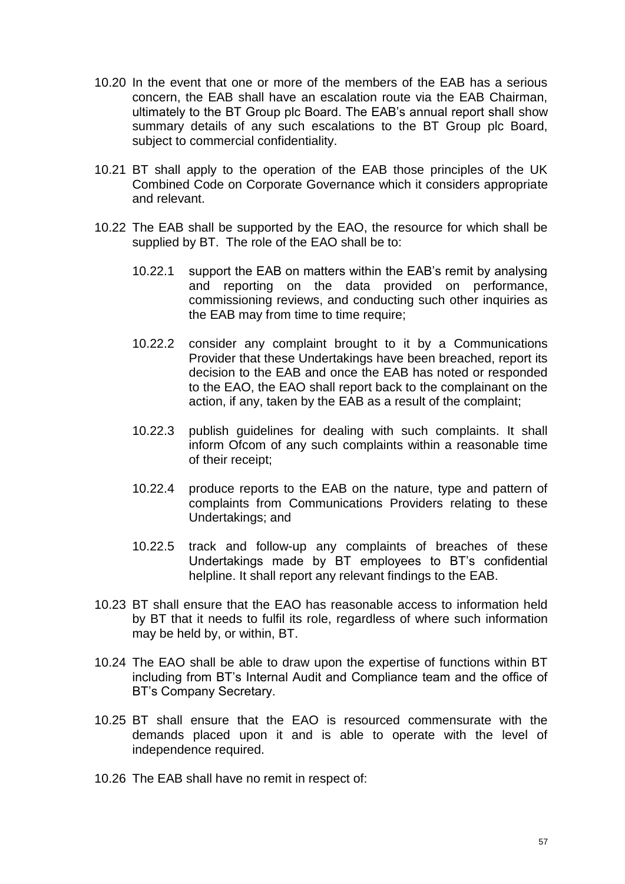- 10.20 In the event that one or more of the members of the EAB has a serious concern, the EAB shall have an escalation route via the EAB Chairman, ultimately to the BT Group plc Board. The EAB's annual report shall show summary details of any such escalations to the BT Group plc Board, subject to commercial confidentiality.
- 10.21 BT shall apply to the operation of the EAB those principles of the UK Combined Code on Corporate Governance which it considers appropriate and relevant.
- 10.22 The EAB shall be supported by the EAO, the resource for which shall be supplied by BT. The role of the EAO shall be to:
	- 10.22.1 support the EAB on matters within the EAB's remit by analysing and reporting on the data provided on performance, commissioning reviews, and conducting such other inquiries as the EAB may from time to time require;
	- 10.22.2 consider any complaint brought to it by a Communications Provider that these Undertakings have been breached, report its decision to the EAB and once the EAB has noted or responded to the EAO, the EAO shall report back to the complainant on the action, if any, taken by the EAB as a result of the complaint;
	- 10.22.3 publish guidelines for dealing with such complaints. It shall inform Ofcom of any such complaints within a reasonable time of their receipt;
	- 10.22.4 produce reports to the EAB on the nature, type and pattern of complaints from Communications Providers relating to these Undertakings; and
	- 10.22.5 track and follow-up any complaints of breaches of these Undertakings made by BT employees to BT's confidential helpline. It shall report any relevant findings to the EAB.
- 10.23 BT shall ensure that the EAO has reasonable access to information held by BT that it needs to fulfil its role, regardless of where such information may be held by, or within, BT.
- 10.24 The EAO shall be able to draw upon the expertise of functions within BT including from BT's Internal Audit and Compliance team and the office of BT's Company Secretary.
- 10.25 BT shall ensure that the EAO is resourced commensurate with the demands placed upon it and is able to operate with the level of independence required.
- 10.26 The EAB shall have no remit in respect of: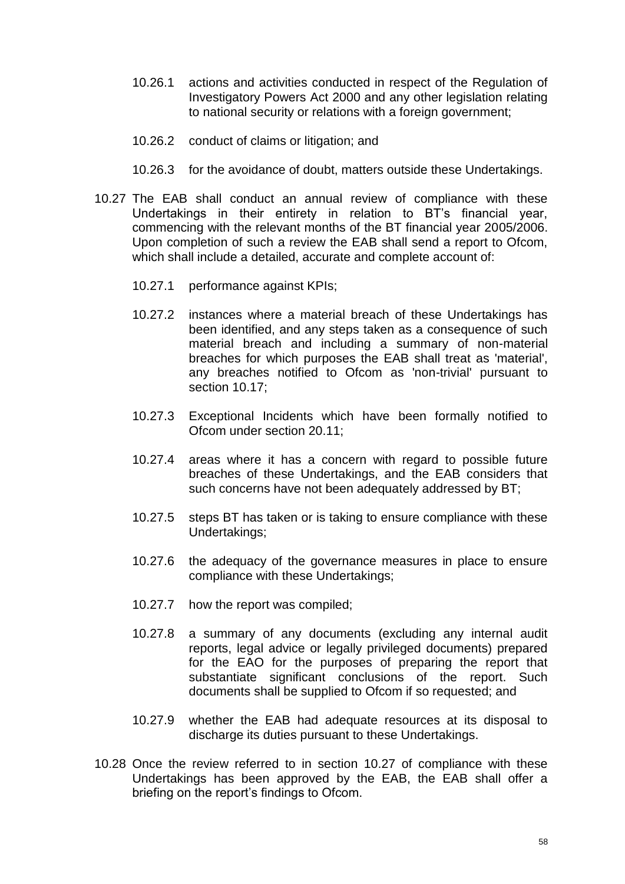- 10.26.1 actions and activities conducted in respect of the Regulation of Investigatory Powers Act 2000 and any other legislation relating to national security or relations with a foreign government;
- 10.26.2 conduct of claims or litigation; and
- 10.26.3 for the avoidance of doubt, matters outside these Undertakings.
- 10.27 The EAB shall conduct an annual review of compliance with these Undertakings in their entirety in relation to BT's financial year, commencing with the relevant months of the BT financial year 2005/2006. Upon completion of such a review the EAB shall send a report to Ofcom, which shall include a detailed, accurate and complete account of:
	- 10.27.1 performance against KPIs;
	- 10.27.2 instances where a material breach of these Undertakings has been identified, and any steps taken as a consequence of such material breach and including a summary of non-material breaches for which purposes the EAB shall treat as 'material', any breaches notified to Ofcom as 'non-trivial' pursuant to section 10.17;
	- 10.27.3 Exceptional Incidents which have been formally notified to Ofcom under section 20.11;
	- 10.27.4 areas where it has a concern with regard to possible future breaches of these Undertakings, and the EAB considers that such concerns have not been adequately addressed by BT;
	- 10.27.5 steps BT has taken or is taking to ensure compliance with these Undertakings;
	- 10.27.6 the adequacy of the governance measures in place to ensure compliance with these Undertakings;
	- 10.27.7 how the report was compiled;
	- 10.27.8 a summary of any documents (excluding any internal audit reports, legal advice or legally privileged documents) prepared for the EAO for the purposes of preparing the report that substantiate significant conclusions of the report. Such documents shall be supplied to Ofcom if so requested; and
	- 10.27.9 whether the EAB had adequate resources at its disposal to discharge its duties pursuant to these Undertakings.
- 10.28 Once the review referred to in section 10.27 of compliance with these Undertakings has been approved by the EAB, the EAB shall offer a briefing on the report's findings to Ofcom.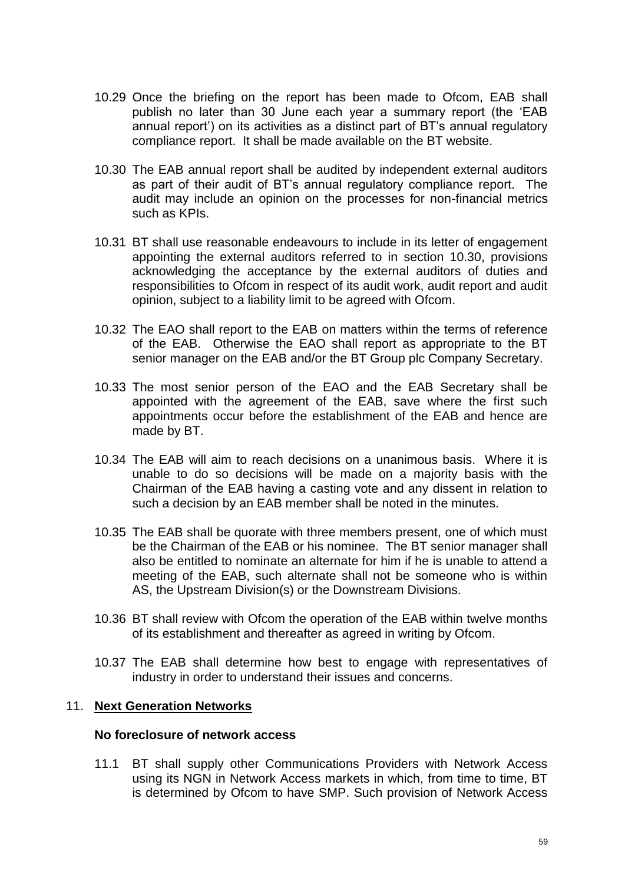- 10.29 Once the briefing on the report has been made to Ofcom, EAB shall publish no later than 30 June each year a summary report (the 'EAB annual report') on its activities as a distinct part of BT's annual regulatory compliance report. It shall be made available on the BT website.
- 10.30 The EAB annual report shall be audited by independent external auditors as part of their audit of BT's annual regulatory compliance report. The audit may include an opinion on the processes for non-financial metrics such as KPIs.
- 10.31 BT shall use reasonable endeavours to include in its letter of engagement appointing the external auditors referred to in section 10.30, provisions acknowledging the acceptance by the external auditors of duties and responsibilities to Ofcom in respect of its audit work, audit report and audit opinion, subject to a liability limit to be agreed with Ofcom.
- 10.32 The EAO shall report to the EAB on matters within the terms of reference of the EAB. Otherwise the EAO shall report as appropriate to the BT senior manager on the EAB and/or the BT Group plc Company Secretary.
- 10.33 The most senior person of the EAO and the EAB Secretary shall be appointed with the agreement of the EAB, save where the first such appointments occur before the establishment of the EAB and hence are made by BT.
- 10.34 The EAB will aim to reach decisions on a unanimous basis. Where it is unable to do so decisions will be made on a majority basis with the Chairman of the EAB having a casting vote and any dissent in relation to such a decision by an EAB member shall be noted in the minutes.
- 10.35 The EAB shall be quorate with three members present, one of which must be the Chairman of the EAB or his nominee. The BT senior manager shall also be entitled to nominate an alternate for him if he is unable to attend a meeting of the EAB, such alternate shall not be someone who is within AS, the Upstream Division(s) or the Downstream Divisions.
- 10.36 BT shall review with Ofcom the operation of the EAB within twelve months of its establishment and thereafter as agreed in writing by Ofcom.
- 10.37 The EAB shall determine how best to engage with representatives of industry in order to understand their issues and concerns.

## 11. **Next Generation Networks**

## **No foreclosure of network access**

11.1 BT shall supply other Communications Providers with Network Access using its NGN in Network Access markets in which, from time to time, BT is determined by Ofcom to have SMP. Such provision of Network Access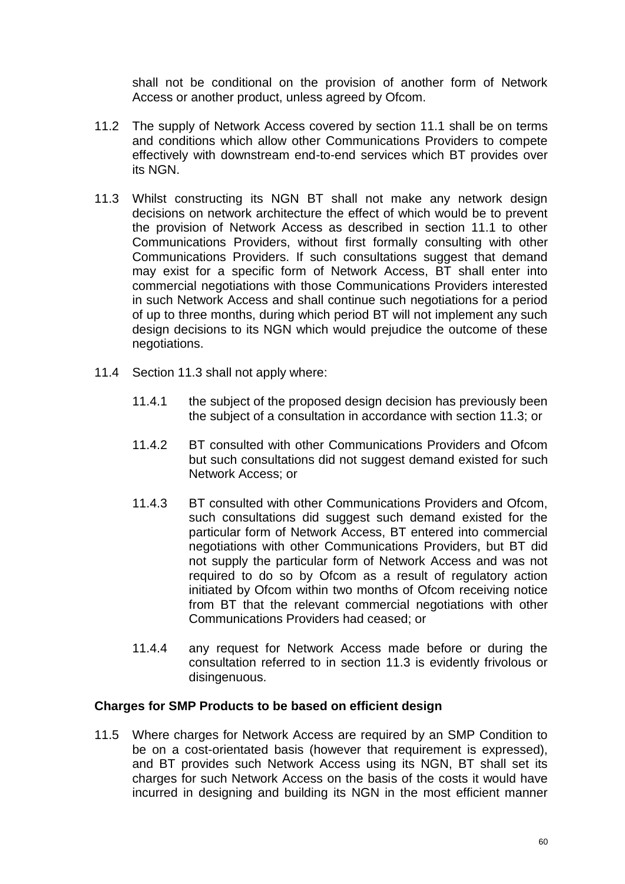shall not be conditional on the provision of another form of Network Access or another product, unless agreed by Ofcom.

- 11.2 The supply of Network Access covered by section 11.1 shall be on terms and conditions which allow other Communications Providers to compete effectively with downstream end-to-end services which BT provides over its NGN.
- 11.3 Whilst constructing its NGN BT shall not make any network design decisions on network architecture the effect of which would be to prevent the provision of Network Access as described in section 11.1 to other Communications Providers, without first formally consulting with other Communications Providers. If such consultations suggest that demand may exist for a specific form of Network Access, BT shall enter into commercial negotiations with those Communications Providers interested in such Network Access and shall continue such negotiations for a period of up to three months, during which period BT will not implement any such design decisions to its NGN which would prejudice the outcome of these negotiations.
- 11.4 Section 11.3 shall not apply where:
	- 11.4.1 the subject of the proposed design decision has previously been the subject of a consultation in accordance with section 11.3; or
	- 11.4.2 BT consulted with other Communications Providers and Ofcom but such consultations did not suggest demand existed for such Network Access; or
	- 11.4.3 BT consulted with other Communications Providers and Ofcom, such consultations did suggest such demand existed for the particular form of Network Access, BT entered into commercial negotiations with other Communications Providers, but BT did not supply the particular form of Network Access and was not required to do so by Ofcom as a result of regulatory action initiated by Ofcom within two months of Ofcom receiving notice from BT that the relevant commercial negotiations with other Communications Providers had ceased; or
	- 11.4.4 any request for Network Access made before or during the consultation referred to in section 11.3 is evidently frivolous or disingenuous.

#### **Charges for SMP Products to be based on efficient design**

11.5 Where charges for Network Access are required by an SMP Condition to be on a cost-orientated basis (however that requirement is expressed), and BT provides such Network Access using its NGN, BT shall set its charges for such Network Access on the basis of the costs it would have incurred in designing and building its NGN in the most efficient manner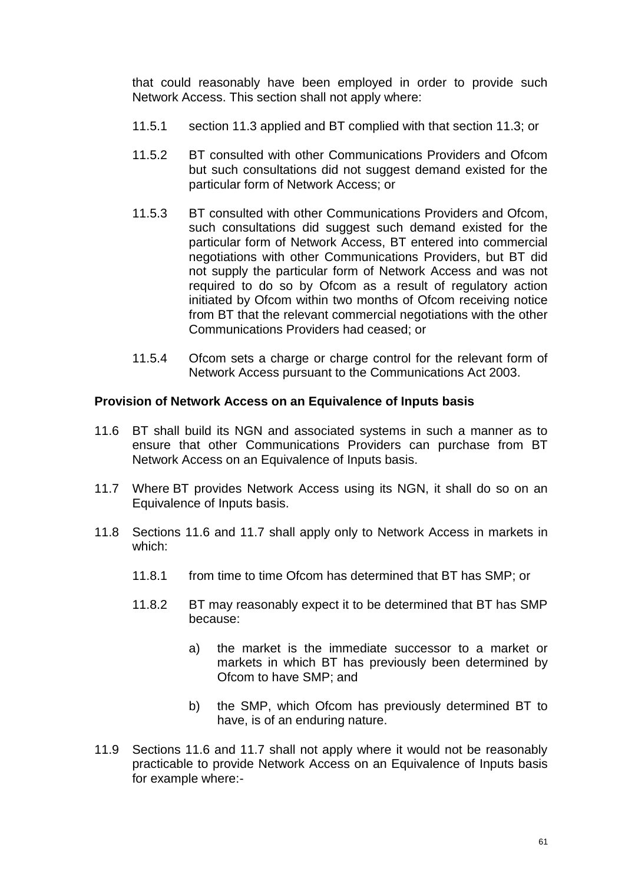that could reasonably have been employed in order to provide such Network Access. This section shall not apply where:

- 11.5.1 section 11.3 applied and BT complied with that section 11.3; or
- 11.5.2 BT consulted with other Communications Providers and Ofcom but such consultations did not suggest demand existed for the particular form of Network Access; or
- 11.5.3 BT consulted with other Communications Providers and Ofcom, such consultations did suggest such demand existed for the particular form of Network Access, BT entered into commercial negotiations with other Communications Providers, but BT did not supply the particular form of Network Access and was not required to do so by Ofcom as a result of regulatory action initiated by Ofcom within two months of Ofcom receiving notice from BT that the relevant commercial negotiations with the other Communications Providers had ceased; or
- 11.5.4 Ofcom sets a charge or charge control for the relevant form of Network Access pursuant to the Communications Act 2003.

#### **Provision of Network Access on an Equivalence of Inputs basis**

- 11.6 BT shall build its NGN and associated systems in such a manner as to ensure that other Communications Providers can purchase from BT Network Access on an Equivalence of Inputs basis.
- 11.7 Where BT provides Network Access using its NGN, it shall do so on an Equivalence of Inputs basis.
- 11.8 Sections 11.6 and 11.7 shall apply only to Network Access in markets in which:
	- 11.8.1 from time to time Ofcom has determined that BT has SMP; or
	- 11.8.2 BT may reasonably expect it to be determined that BT has SMP because:
		- a) the market is the immediate successor to a market or markets in which BT has previously been determined by Ofcom to have SMP; and
		- b) the SMP, which Ofcom has previously determined BT to have, is of an enduring nature.
- 11.9 Sections 11.6 and 11.7 shall not apply where it would not be reasonably practicable to provide Network Access on an Equivalence of Inputs basis for example where:-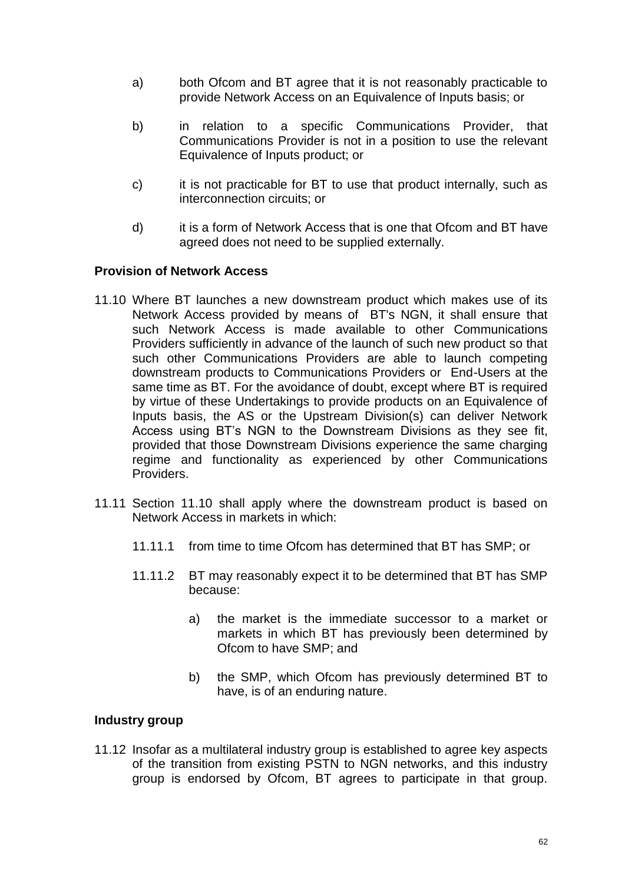- a) both Ofcom and BT agree that it is not reasonably practicable to provide Network Access on an Equivalence of Inputs basis; or
- b) in relation to a specific Communications Provider, that Communications Provider is not in a position to use the relevant Equivalence of Inputs product; or
- c) it is not practicable for BT to use that product internally, such as interconnection circuits; or
- d) it is a form of Network Access that is one that Ofcom and BT have agreed does not need to be supplied externally.

## **Provision of Network Access**

- 11.10 Where BT launches a new downstream product which makes use of its Network Access provided by means of BT's NGN, it shall ensure that such Network Access is made available to other Communications Providers sufficiently in advance of the launch of such new product so that such other Communications Providers are able to launch competing downstream products to Communications Providers or End-Users at the same time as BT. For the avoidance of doubt, except where BT is required by virtue of these Undertakings to provide products on an Equivalence of Inputs basis, the AS or the Upstream Division(s) can deliver Network Access using BT's NGN to the Downstream Divisions as they see fit, provided that those Downstream Divisions experience the same charging regime and functionality as experienced by other Communications Providers.
- 11.11 Section 11.10 shall apply where the downstream product is based on Network Access in markets in which:
	- 11.11.1 from time to time Ofcom has determined that BT has SMP; or
	- 11.11.2 BT may reasonably expect it to be determined that BT has SMP because:
		- a) the market is the immediate successor to a market or markets in which BT has previously been determined by Ofcom to have SMP; and
		- b) the SMP, which Ofcom has previously determined BT to have, is of an enduring nature.

#### **Industry group**

11.12 Insofar as a multilateral industry group is established to agree key aspects of the transition from existing PSTN to NGN networks, and this industry group is endorsed by Ofcom, BT agrees to participate in that group.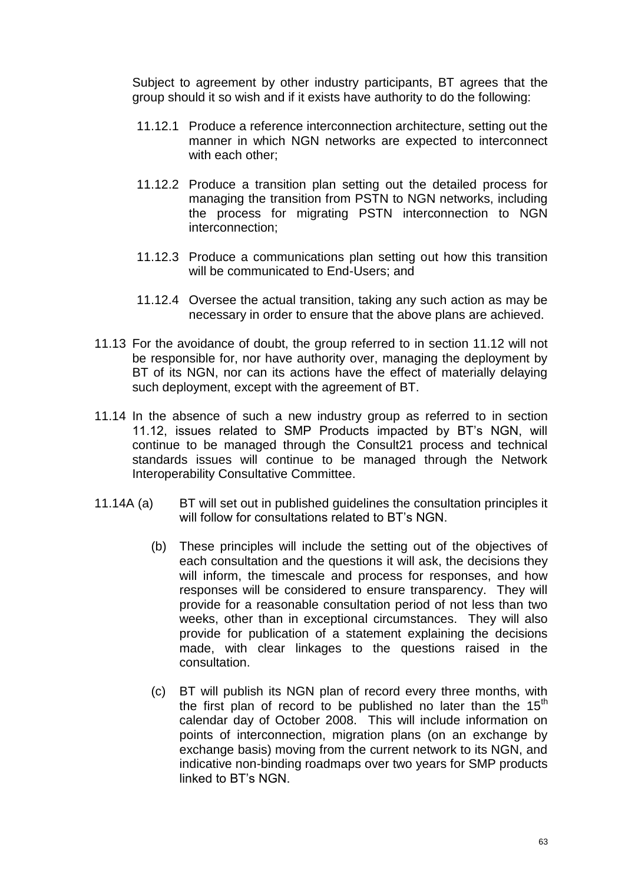Subject to agreement by other industry participants, BT agrees that the group should it so wish and if it exists have authority to do the following:

- 11.12.1 Produce a reference interconnection architecture, setting out the manner in which NGN networks are expected to interconnect with each other;
- 11.12.2 Produce a transition plan setting out the detailed process for managing the transition from PSTN to NGN networks, including the process for migrating PSTN interconnection to NGN interconnection;
- 11.12.3 Produce a communications plan setting out how this transition will be communicated to End-Users; and
- 11.12.4 Oversee the actual transition, taking any such action as may be necessary in order to ensure that the above plans are achieved.
- 11.13 For the avoidance of doubt, the group referred to in section 11.12 will not be responsible for, nor have authority over, managing the deployment by BT of its NGN, nor can its actions have the effect of materially delaying such deployment, except with the agreement of BT.
- 11.14 In the absence of such a new industry group as referred to in section 11.12, issues related to SMP Products impacted by BT's NGN, will continue to be managed through the Consult21 process and technical standards issues will continue to be managed through the Network Interoperability Consultative Committee.
- 11.14A (a) BT will set out in published guidelines the consultation principles it will follow for consultations related to BT's NGN.
	- (b) These principles will include the setting out of the objectives of each consultation and the questions it will ask, the decisions they will inform, the timescale and process for responses, and how responses will be considered to ensure transparency. They will provide for a reasonable consultation period of not less than two weeks, other than in exceptional circumstances. They will also provide for publication of a statement explaining the decisions made, with clear linkages to the questions raised in the consultation.
	- (c) BT will publish its NGN plan of record every three months, with the first plan of record to be published no later than the  $15<sup>th</sup>$ calendar day of October 2008. This will include information on points of interconnection, migration plans (on an exchange by exchange basis) moving from the current network to its NGN, and indicative non-binding roadmaps over two years for SMP products linked to BT's NGN.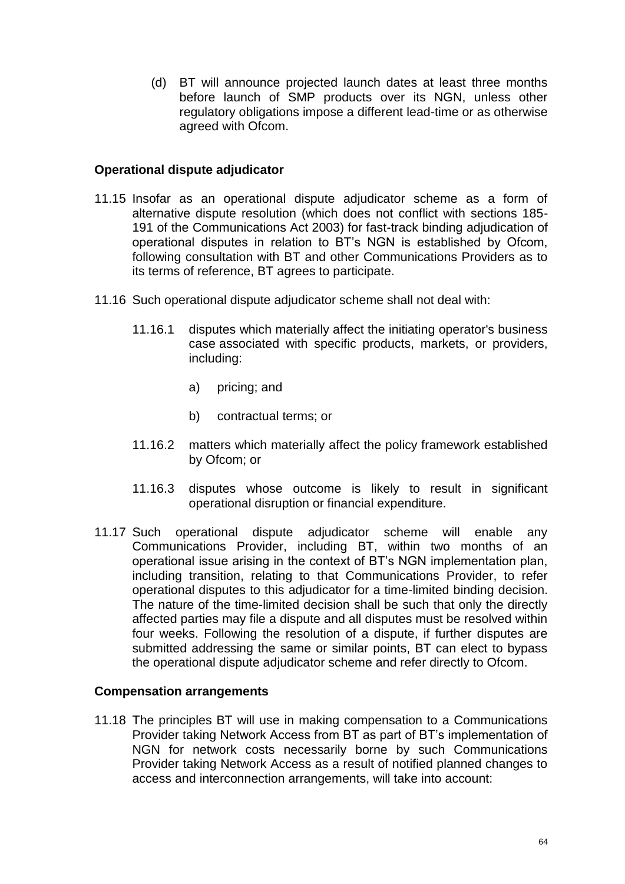(d) BT will announce projected launch dates at least three months before launch of SMP products over its NGN, unless other regulatory obligations impose a different lead-time or as otherwise agreed with Ofcom.

### **Operational dispute adjudicator**

- 11.15 Insofar as an operational dispute adjudicator scheme as a form of alternative dispute resolution (which does not conflict with sections 185- 191 of the Communications Act 2003) for fast-track binding adjudication of operational disputes in relation to BT's NGN is established by Ofcom, following consultation with BT and other Communications Providers as to its terms of reference, BT agrees to participate.
- 11.16 Such operational dispute adjudicator scheme shall not deal with:
	- 11.16.1 disputes which materially affect the initiating operator's business case associated with specific products, markets, or providers, including:
		- a) pricing; and
		- b) contractual terms; or
	- 11.16.2 matters which materially affect the policy framework established by Ofcom; or
	- 11.16.3 disputes whose outcome is likely to result in significant operational disruption or financial expenditure.
- 11.17 Such operational dispute adjudicator scheme will enable any Communications Provider, including BT, within two months of an operational issue arising in the context of BT's NGN implementation plan, including transition, relating to that Communications Provider, to refer operational disputes to this adjudicator for a time-limited binding decision. The nature of the time-limited decision shall be such that only the directly affected parties may file a dispute and all disputes must be resolved within four weeks. Following the resolution of a dispute, if further disputes are submitted addressing the same or similar points, BT can elect to bypass the operational dispute adjudicator scheme and refer directly to Ofcom.

#### **Compensation arrangements**

11.18 The principles BT will use in making compensation to a Communications Provider taking Network Access from BT as part of BT's implementation of NGN for network costs necessarily borne by such Communications Provider taking Network Access as a result of notified planned changes to access and interconnection arrangements, will take into account: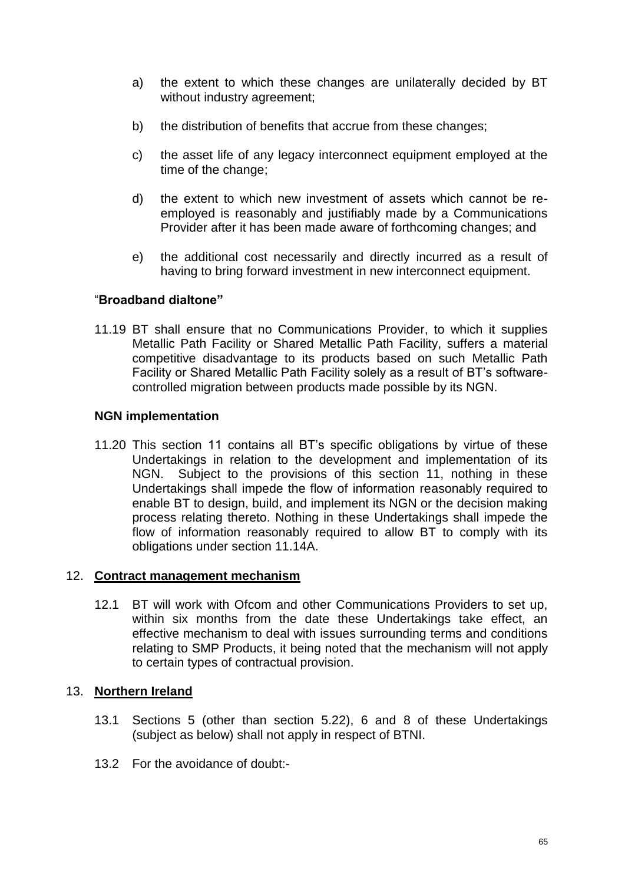- a) the extent to which these changes are unilaterally decided by BT without industry agreement;
- b) the distribution of benefits that accrue from these changes;
- c) the asset life of any legacy interconnect equipment employed at the time of the change;
- d) the extent to which new investment of assets which cannot be reemployed is reasonably and justifiably made by a Communications Provider after it has been made aware of forthcoming changes; and
- e) the additional cost necessarily and directly incurred as a result of having to bring forward investment in new interconnect equipment.

## "**Broadband dialtone"**

11.19 BT shall ensure that no Communications Provider, to which it supplies Metallic Path Facility or Shared Metallic Path Facility, suffers a material competitive disadvantage to its products based on such Metallic Path Facility or Shared Metallic Path Facility solely as a result of BT's softwarecontrolled migration between products made possible by its NGN.

## **NGN implementation**

11.20 This section 11 contains all BT's specific obligations by virtue of these Undertakings in relation to the development and implementation of its NGN. Subject to the provisions of this section 11, nothing in these Undertakings shall impede the flow of information reasonably required to enable BT to design, build, and implement its NGN or the decision making process relating thereto. Nothing in these Undertakings shall impede the flow of information reasonably required to allow BT to comply with its obligations under section 11.14A.

## 12. **Contract management mechanism**

12.1 BT will work with Ofcom and other Communications Providers to set up, within six months from the date these Undertakings take effect, an effective mechanism to deal with issues surrounding terms and conditions relating to SMP Products, it being noted that the mechanism will not apply to certain types of contractual provision.

# 13. **Northern Ireland**

- 13.1 Sections 5 (other than section 5.22), 6 and 8 of these Undertakings (subject as below) shall not apply in respect of BTNI.
- 13.2 For the avoidance of doubt:-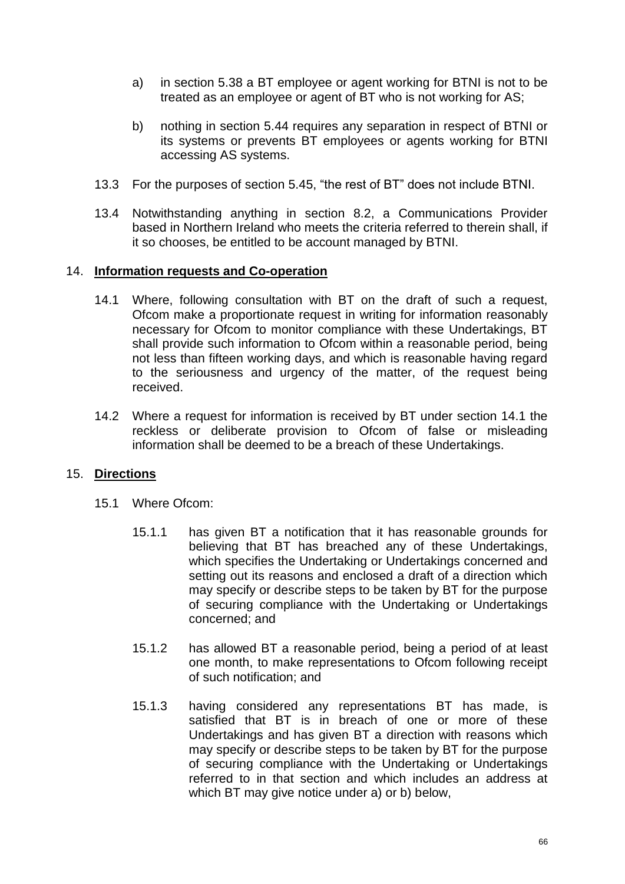- a) in section 5.38 a BT employee or agent working for BTNI is not to be treated as an employee or agent of BT who is not working for AS;
- b) nothing in section 5.44 requires any separation in respect of BTNI or its systems or prevents BT employees or agents working for BTNI accessing AS systems.
- 13.3 For the purposes of section 5.45, "the rest of BT" does not include BTNI.
- 13.4 Notwithstanding anything in section 8.2, a Communications Provider based in Northern Ireland who meets the criteria referred to therein shall, if it so chooses, be entitled to be account managed by BTNI.

## 14. **Information requests and Co-operation**

- 14.1 Where, following consultation with BT on the draft of such a request, Ofcom make a proportionate request in writing for information reasonably necessary for Ofcom to monitor compliance with these Undertakings, BT shall provide such information to Ofcom within a reasonable period, being not less than fifteen working days, and which is reasonable having regard to the seriousness and urgency of the matter, of the request being received.
- 14.2 Where a request for information is received by BT under section 14.1 the reckless or deliberate provision to Ofcom of false or misleading information shall be deemed to be a breach of these Undertakings.

# 15. **Directions**

- 15.1 Where Ofcom:
	- 15.1.1 has given BT a notification that it has reasonable grounds for believing that BT has breached any of these Undertakings, which specifies the Undertaking or Undertakings concerned and setting out its reasons and enclosed a draft of a direction which may specify or describe steps to be taken by BT for the purpose of securing compliance with the Undertaking or Undertakings concerned; and
	- 15.1.2 has allowed BT a reasonable period, being a period of at least one month, to make representations to Ofcom following receipt of such notification; and
	- 15.1.3 having considered any representations BT has made, is satisfied that BT is in breach of one or more of these Undertakings and has given BT a direction with reasons which may specify or describe steps to be taken by BT for the purpose of securing compliance with the Undertaking or Undertakings referred to in that section and which includes an address at which BT may give notice under a) or b) below,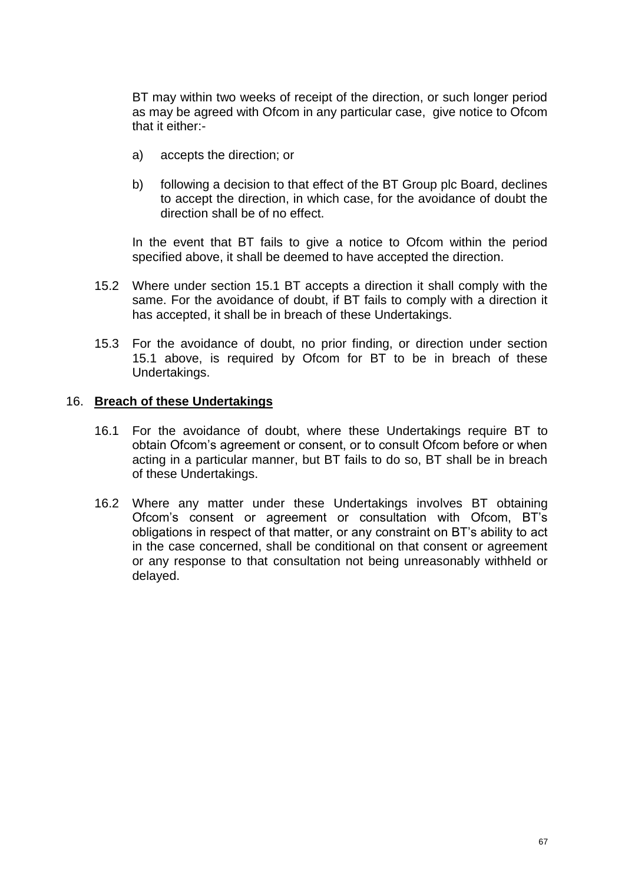BT may within two weeks of receipt of the direction, or such longer period as may be agreed with Ofcom in any particular case, give notice to Ofcom that it either:-

- a) accepts the direction; or
- b) following a decision to that effect of the BT Group plc Board, declines to accept the direction, in which case, for the avoidance of doubt the direction shall be of no effect.

In the event that BT fails to give a notice to Ofcom within the period specified above, it shall be deemed to have accepted the direction.

- 15.2 Where under section 15.1 BT accepts a direction it shall comply with the same. For the avoidance of doubt, if BT fails to comply with a direction it has accepted, it shall be in breach of these Undertakings.
- 15.3 For the avoidance of doubt, no prior finding, or direction under section 15.1 above, is required by Ofcom for BT to be in breach of these Undertakings.

## 16. **Breach of these Undertakings**

- 16.1 For the avoidance of doubt, where these Undertakings require BT to obtain Ofcom's agreement or consent, or to consult Ofcom before or when acting in a particular manner, but BT fails to do so, BT shall be in breach of these Undertakings.
- 16.2 Where any matter under these Undertakings involves BT obtaining Ofcom's consent or agreement or consultation with Ofcom, BT's obligations in respect of that matter, or any constraint on BT's ability to act in the case concerned, shall be conditional on that consent or agreement or any response to that consultation not being unreasonably withheld or delayed.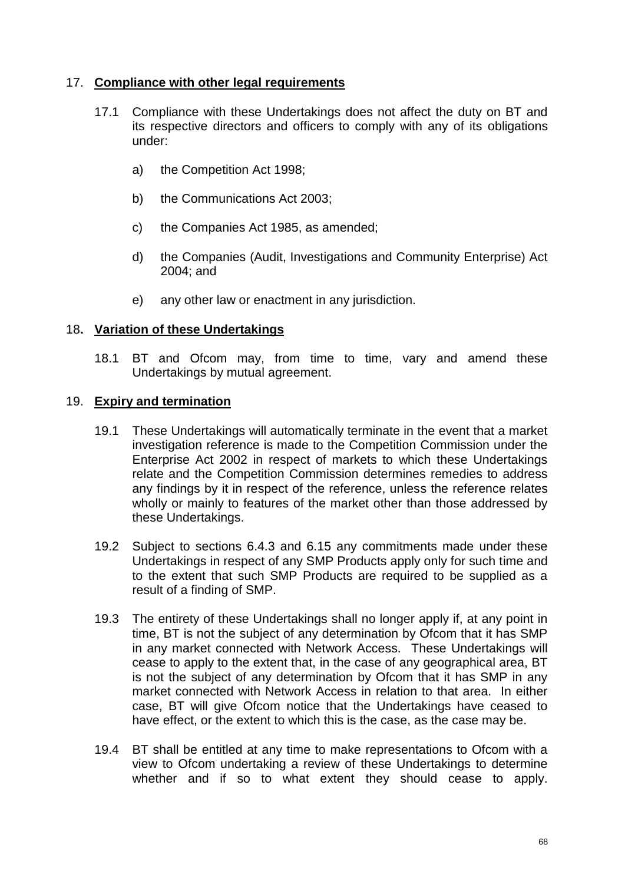## 17. **Compliance with other legal requirements**

- 17.1 Compliance with these Undertakings does not affect the duty on BT and its respective directors and officers to comply with any of its obligations under:
	- a) the Competition Act 1998;
	- b) the Communications Act 2003;
	- c) the Companies Act 1985, as amended;
	- d) the Companies (Audit, Investigations and Community Enterprise) Act 2004; and
	- e) any other law or enactment in any jurisdiction.

## 18**. Variation of these Undertakings**

18.1 BT and Ofcom may, from time to time, vary and amend these Undertakings by mutual agreement.

#### 19. **Expiry and termination**

- 19.1 These Undertakings will automatically terminate in the event that a market investigation reference is made to the Competition Commission under the Enterprise Act 2002 in respect of markets to which these Undertakings relate and the Competition Commission determines remedies to address any findings by it in respect of the reference, unless the reference relates wholly or mainly to features of the market other than those addressed by these Undertakings.
- 19.2 Subject to sections 6.4.3 and 6.15 any commitments made under these Undertakings in respect of any SMP Products apply only for such time and to the extent that such SMP Products are required to be supplied as a result of a finding of SMP.
- 19.3 The entirety of these Undertakings shall no longer apply if, at any point in time, BT is not the subject of any determination by Ofcom that it has SMP in any market connected with Network Access. These Undertakings will cease to apply to the extent that, in the case of any geographical area, BT is not the subject of any determination by Ofcom that it has SMP in any market connected with Network Access in relation to that area. In either case, BT will give Ofcom notice that the Undertakings have ceased to have effect, or the extent to which this is the case, as the case may be.
- 19.4 BT shall be entitled at any time to make representations to Ofcom with a view to Ofcom undertaking a review of these Undertakings to determine whether and if so to what extent they should cease to apply.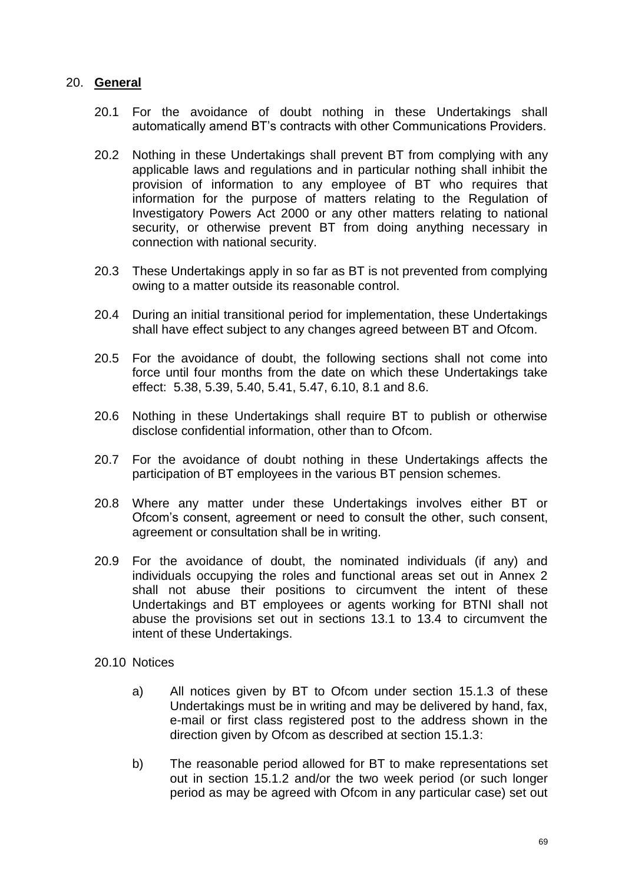## 20. **General**

- 20.1 For the avoidance of doubt nothing in these Undertakings shall automatically amend BT's contracts with other Communications Providers.
- 20.2 Nothing in these Undertakings shall prevent BT from complying with any applicable laws and regulations and in particular nothing shall inhibit the provision of information to any employee of BT who requires that information for the purpose of matters relating to the Regulation of Investigatory Powers Act 2000 or any other matters relating to national security, or otherwise prevent BT from doing anything necessary in connection with national security.
- 20.3 These Undertakings apply in so far as BT is not prevented from complying owing to a matter outside its reasonable control.
- 20.4 During an initial transitional period for implementation, these Undertakings shall have effect subject to any changes agreed between BT and Ofcom.
- 20.5 For the avoidance of doubt, the following sections shall not come into force until four months from the date on which these Undertakings take effect: 5.38, 5.39, 5.40, 5.41, 5.47, 6.10, 8.1 and 8.6.
- 20.6 Nothing in these Undertakings shall require BT to publish or otherwise disclose confidential information, other than to Ofcom.
- 20.7 For the avoidance of doubt nothing in these Undertakings affects the participation of BT employees in the various BT pension schemes.
- 20.8 Where any matter under these Undertakings involves either BT or Ofcom's consent, agreement or need to consult the other, such consent, agreement or consultation shall be in writing.
- 20.9 For the avoidance of doubt, the nominated individuals (if any) and individuals occupying the roles and functional areas set out in Annex 2 shall not abuse their positions to circumvent the intent of these Undertakings and BT employees or agents working for BTNI shall not abuse the provisions set out in sections 13.1 to 13.4 to circumvent the intent of these Undertakings.
- 20.10 Notices
	- a) All notices given by BT to Ofcom under section 15.1.3 of these Undertakings must be in writing and may be delivered by hand, fax, e-mail or first class registered post to the address shown in the direction given by Ofcom as described at section 15.1.3:
	- b) The reasonable period allowed for BT to make representations set out in section 15.1.2 and/or the two week period (or such longer period as may be agreed with Ofcom in any particular case) set out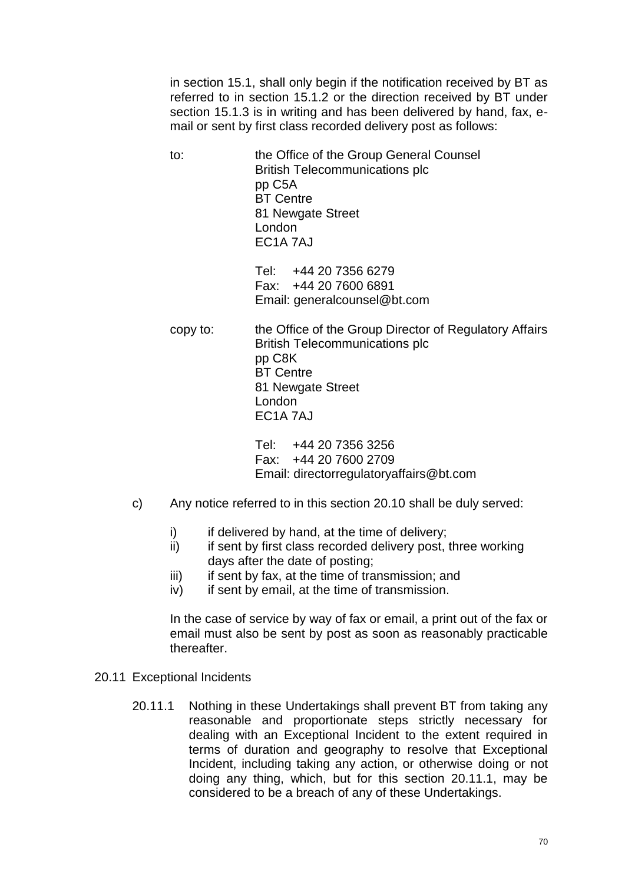in section 15.1, shall only begin if the notification received by BT as referred to in section 15.1.2 or the direction received by BT under section 15.1.3 is in writing and has been delivered by hand, fax, email or sent by first class recorded delivery post as follows:

to: the Office of the Group General Counsel British Telecommunications plc pp C5A BT Centre 81 Newgate Street London EC1A 7AJ

> Tel: +44 20 7356 6279 Fax: +44 20 7600 6891 Email: generalcounsel@bt.com

copy to: the Office of the Group Director of Regulatory Affairs British Telecommunications plc pp C8K BT Centre 81 Newgate Street London EC1A 7AJ

> Tel: +44 20 7356 3256 Fax: +44 20 7600 2709 Email: directorregulatoryaffairs@bt.com

- c) Any notice referred to in this section 20.10 shall be duly served:
	- i) if delivered by hand, at the time of delivery;
	- ii) if sent by first class recorded delivery post, three working days after the date of posting;
	- $iii)$  if sent by fax, at the time of transmission; and
	- iv) if sent by email, at the time of transmission.

In the case of service by way of fax or email, a print out of the fax or email must also be sent by post as soon as reasonably practicable thereafter.

- 20.11 Exceptional Incidents
	- 20.11.1 Nothing in these Undertakings shall prevent BT from taking any reasonable and proportionate steps strictly necessary for dealing with an Exceptional Incident to the extent required in terms of duration and geography to resolve that Exceptional Incident, including taking any action, or otherwise doing or not doing any thing, which, but for this section 20.11.1, may be considered to be a breach of any of these Undertakings.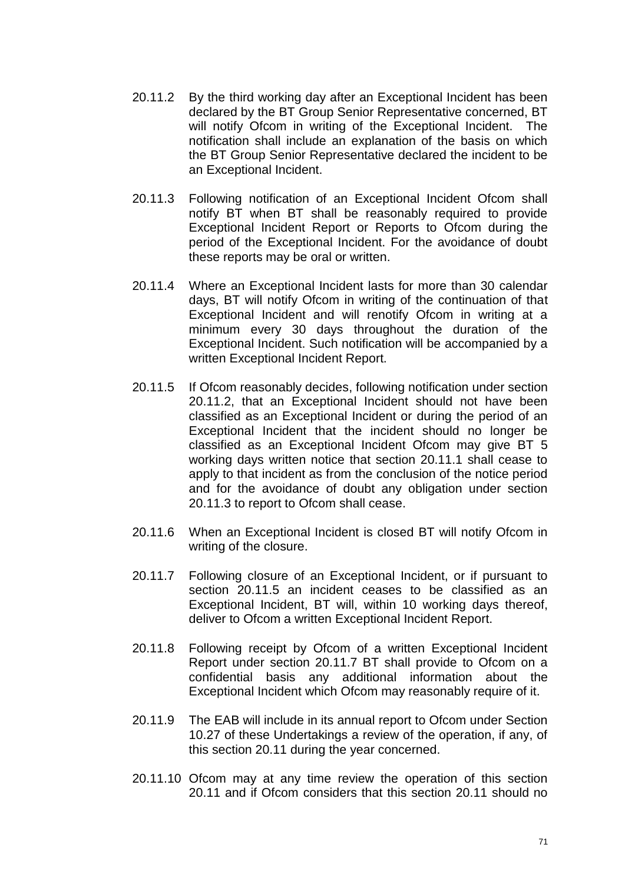- 20.11.2 By the third working day after an Exceptional Incident has been declared by the BT Group Senior Representative concerned, BT will notify Ofcom in writing of the Exceptional Incident. The notification shall include an explanation of the basis on which the BT Group Senior Representative declared the incident to be an Exceptional Incident.
- 20.11.3 Following notification of an Exceptional Incident Ofcom shall notify BT when BT shall be reasonably required to provide Exceptional Incident Report or Reports to Ofcom during the period of the Exceptional Incident. For the avoidance of doubt these reports may be oral or written.
- 20.11.4 Where an Exceptional Incident lasts for more than 30 calendar days, BT will notify Ofcom in writing of the continuation of that Exceptional Incident and will renotify Ofcom in writing at a minimum every 30 days throughout the duration of the Exceptional Incident. Such notification will be accompanied by a written Exceptional Incident Report.
- 20.11.5 If Ofcom reasonably decides, following notification under section 20.11.2, that an Exceptional Incident should not have been classified as an Exceptional Incident or during the period of an Exceptional Incident that the incident should no longer be classified as an Exceptional Incident Ofcom may give BT 5 working days written notice that section 20.11.1 shall cease to apply to that incident as from the conclusion of the notice period and for the avoidance of doubt any obligation under section 20.11.3 to report to Ofcom shall cease.
- 20.11.6 When an Exceptional Incident is closed BT will notify Ofcom in writing of the closure.
- 20.11.7 Following closure of an Exceptional Incident, or if pursuant to section 20.11.5 an incident ceases to be classified as an Exceptional Incident, BT will, within 10 working days thereof, deliver to Ofcom a written Exceptional Incident Report.
- 20.11.8 Following receipt by Ofcom of a written Exceptional Incident Report under section 20.11.7 BT shall provide to Ofcom on a confidential basis any additional information about the Exceptional Incident which Ofcom may reasonably require of it.
- 20.11.9 The EAB will include in its annual report to Ofcom under Section 10.27 of these Undertakings a review of the operation, if any, of this section 20.11 during the year concerned.
- 20.11.10 Ofcom may at any time review the operation of this section 20.11 and if Ofcom considers that this section 20.11 should no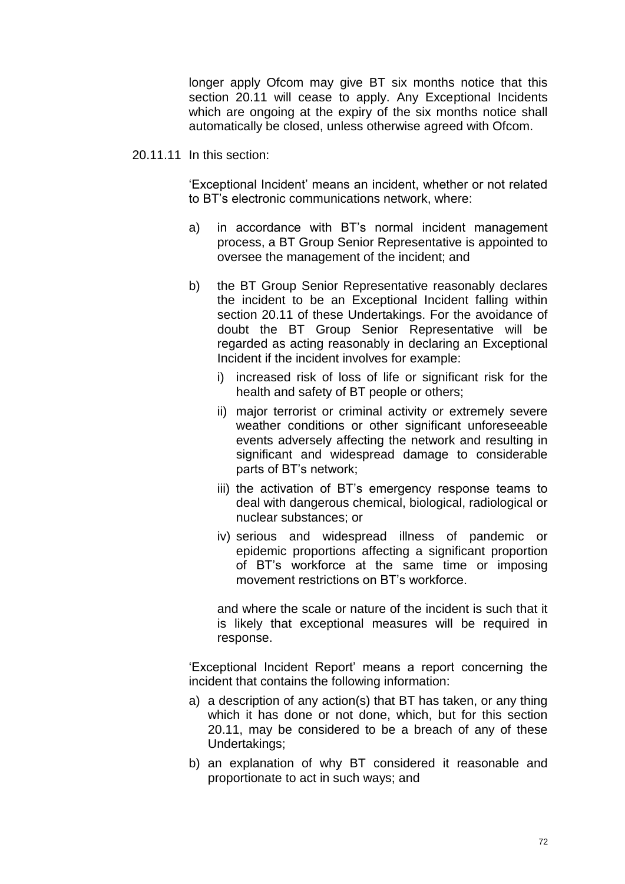longer apply Ofcom may give BT six months notice that this section 20.11 will cease to apply. Any Exceptional Incidents which are ongoing at the expiry of the six months notice shall automatically be closed, unless otherwise agreed with Ofcom.

20.11.11 In this section:

'Exceptional Incident' means an incident, whether or not related to BT's electronic communications network, where:

- a) in accordance with BT's normal incident management process, a BT Group Senior Representative is appointed to oversee the management of the incident; and
- b) the BT Group Senior Representative reasonably declares the incident to be an Exceptional Incident falling within section 20.11 of these Undertakings. For the avoidance of doubt the BT Group Senior Representative will be regarded as acting reasonably in declaring an Exceptional Incident if the incident involves for example:
	- i) increased risk of loss of life or significant risk for the health and safety of BT people or others;
	- ii) major terrorist or criminal activity or extremely severe weather conditions or other significant unforeseeable events adversely affecting the network and resulting in significant and widespread damage to considerable parts of BT's network;
	- iii) the activation of BT's emergency response teams to deal with dangerous chemical, biological, radiological or nuclear substances; or
	- iv) serious and widespread illness of pandemic or epidemic proportions affecting a significant proportion of BT's workforce at the same time or imposing movement restrictions on BT's workforce.

and where the scale or nature of the incident is such that it is likely that exceptional measures will be required in response.

'Exceptional Incident Report' means a report concerning the incident that contains the following information:

- a) a description of any action(s) that BT has taken, or any thing which it has done or not done, which, but for this section 20.11, may be considered to be a breach of any of these Undertakings;
- b) an explanation of why BT considered it reasonable and proportionate to act in such ways; and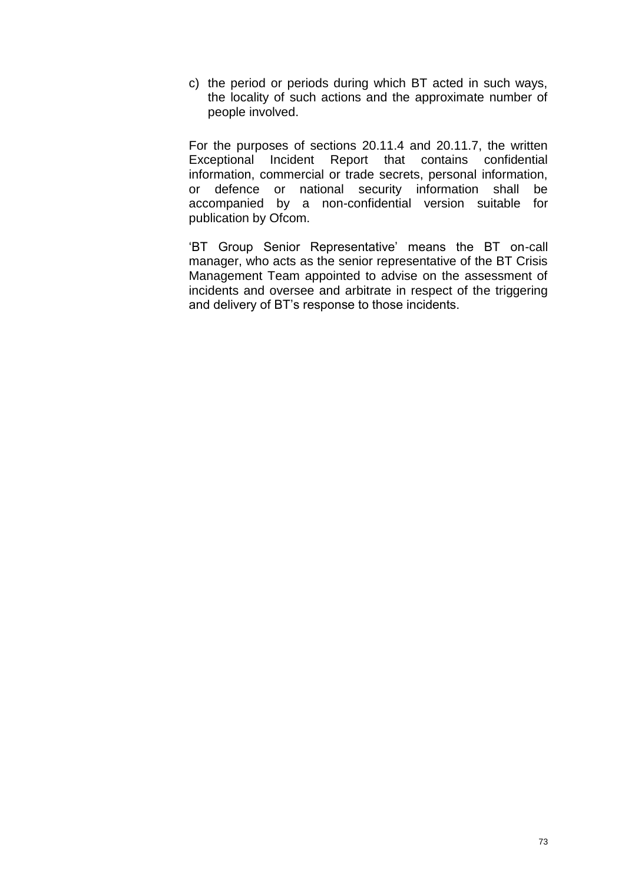c) the period or periods during which BT acted in such ways, the locality of such actions and the approximate number of people involved.

For the purposes of sections 20.11.4 and 20.11.7, the written Exceptional Incident Report that contains confidential information, commercial or trade secrets, personal information, or defence or national security information shall be accompanied by a non-confidential version suitable for publication by Ofcom.

'BT Group Senior Representative' means the BT on-call manager, who acts as the senior representative of the BT Crisis Management Team appointed to advise on the assessment of incidents and oversee and arbitrate in respect of the triggering and delivery of BT's response to those incidents.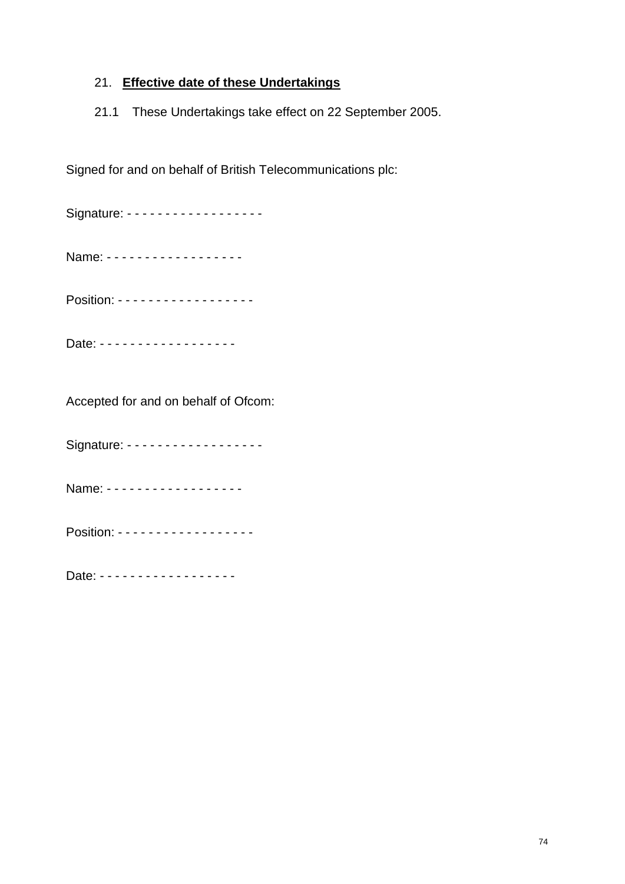### 21. **Effective date of these Undertakings**

21.1 These Undertakings take effect on 22 September 2005.

Signed for and on behalf of British Telecommunications plc:

Signature: - - - - - - - - - - - - - - - - - -Name: - - - - - - - - - - - - - - - - - -Position: - - - - - - - - - - - - - - - - -Date: - - - - - - - - - - - - - - - - - -

Accepted for and on behalf of Ofcom:

Signature: - - - - - - - - - - - - - - - - - -

Name: - - - - - - - - - - - - - - - - - -

Position: - - - - - - - - - - - - - - - - - -

Date: - - - - - - - - - - - - - - - - - -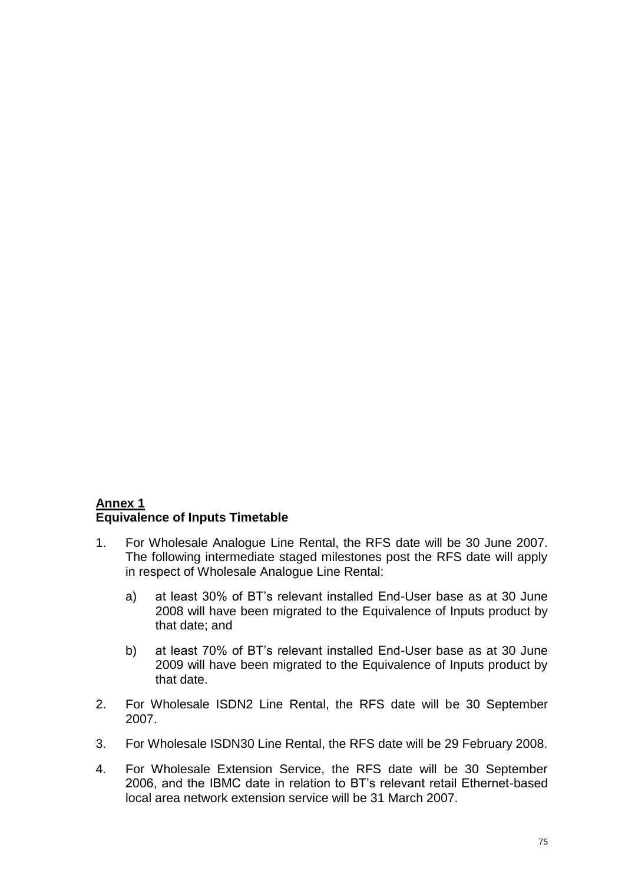#### **Annex 1 Equivalence of Inputs Timetable**

- 1. For Wholesale Analogue Line Rental, the RFS date will be 30 June 2007. The following intermediate staged milestones post the RFS date will apply in respect of Wholesale Analogue Line Rental:
	- a) at least 30% of BT's relevant installed End-User base as at 30 June 2008 will have been migrated to the Equivalence of Inputs product by that date; and
	- b) at least 70% of BT's relevant installed End-User base as at 30 June 2009 will have been migrated to the Equivalence of Inputs product by that date.
- 2. For Wholesale ISDN2 Line Rental, the RFS date will be 30 September 2007.
- 3. For Wholesale ISDN30 Line Rental, the RFS date will be 29 February 2008.
- 4. For Wholesale Extension Service, the RFS date will be 30 September 2006, and the IBMC date in relation to BT's relevant retail Ethernet-based local area network extension service will be 31 March 2007.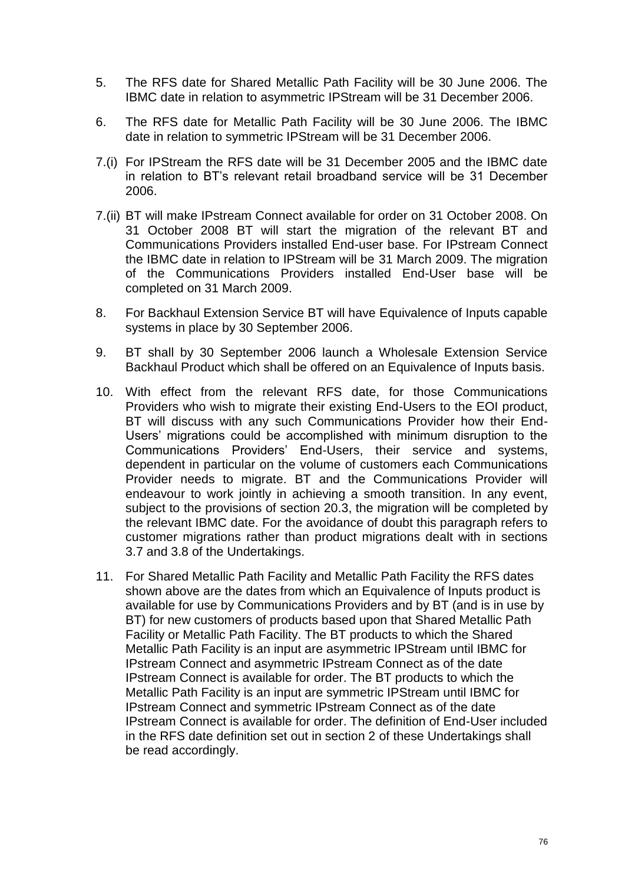- 5. The RFS date for Shared Metallic Path Facility will be 30 June 2006. The IBMC date in relation to asymmetric IPStream will be 31 December 2006.
- 6. The RFS date for Metallic Path Facility will be 30 June 2006. The IBMC date in relation to symmetric IPStream will be 31 December 2006.
- 7.(i) For IPStream the RFS date will be 31 December 2005 and the IBMC date in relation to BT's relevant retail broadband service will be 31 December 2006.
- 7.(ii) BT will make IPstream Connect available for order on 31 October 2008. On 31 October 2008 BT will start the migration of the relevant BT and Communications Providers installed End-user base. For IPstream Connect the IBMC date in relation to IPStream will be 31 March 2009. The migration of the Communications Providers installed End-User base will be completed on 31 March 2009.
- 8. For Backhaul Extension Service BT will have Equivalence of Inputs capable systems in place by 30 September 2006.
- 9. BT shall by 30 September 2006 launch a Wholesale Extension Service Backhaul Product which shall be offered on an Equivalence of Inputs basis.
- 10. With effect from the relevant RFS date, for those Communications Providers who wish to migrate their existing End-Users to the EOI product, BT will discuss with any such Communications Provider how their End-Users' migrations could be accomplished with minimum disruption to the Communications Providers' End-Users, their service and systems, dependent in particular on the volume of customers each Communications Provider needs to migrate. BT and the Communications Provider will endeavour to work jointly in achieving a smooth transition. In any event, subject to the provisions of section 20.3, the migration will be completed by the relevant IBMC date. For the avoidance of doubt this paragraph refers to customer migrations rather than product migrations dealt with in sections 3.7 and 3.8 of the Undertakings.
- 11. For Shared Metallic Path Facility and Metallic Path Facility the RFS dates shown above are the dates from which an Equivalence of Inputs product is available for use by Communications Providers and by BT (and is in use by BT) for new customers of products based upon that Shared Metallic Path Facility or Metallic Path Facility. The BT products to which the Shared Metallic Path Facility is an input are asymmetric IPStream until IBMC for IPstream Connect and asymmetric IPstream Connect as of the date IPstream Connect is available for order. The BT products to which the Metallic Path Facility is an input are symmetric IPStream until IBMC for IPstream Connect and symmetric IPstream Connect as of the date IPstream Connect is available for order. The definition of End-User included in the RFS date definition set out in section 2 of these Undertakings shall be read accordingly.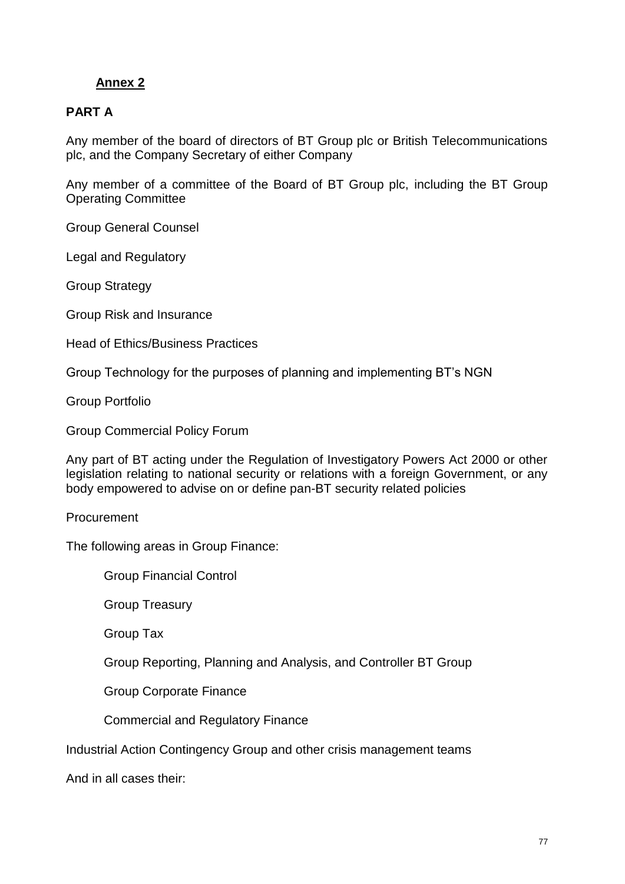### **PART A**

Any member of the board of directors of BT Group plc or British Telecommunications plc, and the Company Secretary of either Company

Any member of a committee of the Board of BT Group plc, including the BT Group Operating Committee

Group General Counsel

Legal and Regulatory

Group Strategy

Group Risk and Insurance

Head of Ethics/Business Practices

Group Technology for the purposes of planning and implementing BT's NGN

Group Portfolio

Group Commercial Policy Forum

Any part of BT acting under the Regulation of Investigatory Powers Act 2000 or other legislation relating to national security or relations with a foreign Government, or any body empowered to advise on or define pan-BT security related policies

Procurement

The following areas in Group Finance:

Group Financial Control

Group Treasury

Group Tax

Group Reporting, Planning and Analysis, and Controller BT Group

Group Corporate Finance

Commercial and Regulatory Finance

Industrial Action Contingency Group and other crisis management teams

And in all cases their: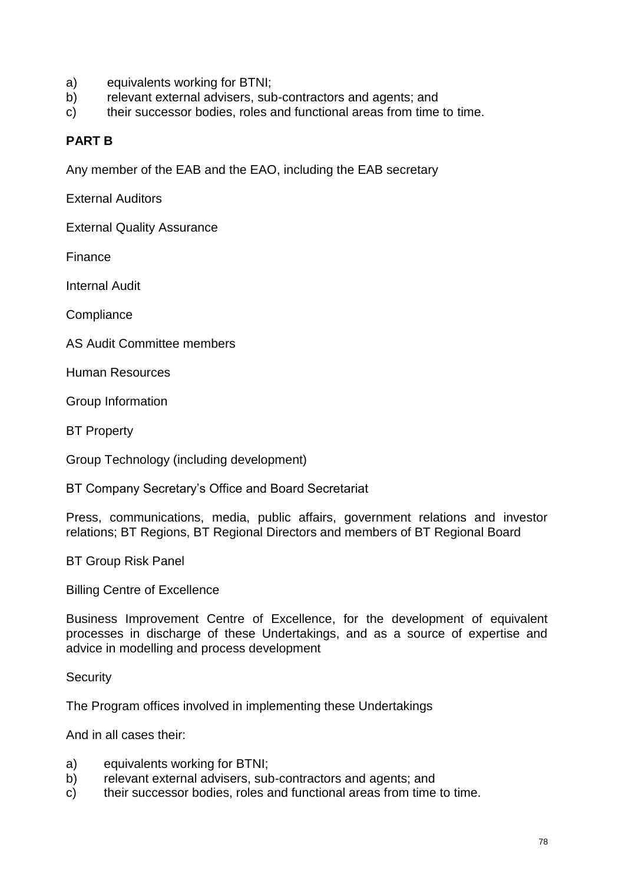- a) equivalents working for BTNI;
- b) relevant external advisers, sub-contractors and agents; and
- c) their successor bodies, roles and functional areas from time to time.

#### **PART B**

Any member of the EAB and the EAO, including the EAB secretary

External Auditors

External Quality Assurance

Finance

Internal Audit

**Compliance** 

AS Audit Committee members

Human Resources

Group Information

BT Property

Group Technology (including development)

BT Company Secretary's Office and Board Secretariat

Press, communications, media, public affairs, government relations and investor relations; BT Regions, BT Regional Directors and members of BT Regional Board

BT Group Risk Panel

Billing Centre of Excellence

Business Improvement Centre of Excellence, for the development of equivalent processes in discharge of these Undertakings, and as a source of expertise and advice in modelling and process development

**Security** 

The Program offices involved in implementing these Undertakings

And in all cases their:

- a) equivalents working for BTNI;
- b) relevant external advisers, sub-contractors and agents; and
- c) their successor bodies, roles and functional areas from time to time.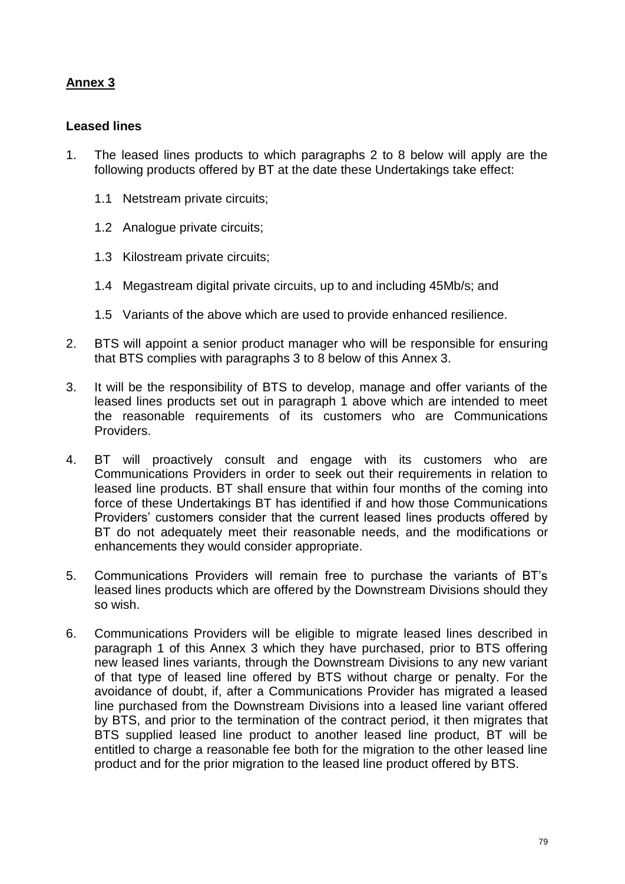#### **Leased lines**

- 1. The leased lines products to which paragraphs 2 to 8 below will apply are the following products offered by BT at the date these Undertakings take effect:
	- 1.1 Netstream private circuits;
	- 1.2 Analogue private circuits;
	- 1.3 Kilostream private circuits;
	- 1.4 Megastream digital private circuits, up to and including 45Mb/s; and
	- 1.5 Variants of the above which are used to provide enhanced resilience.
- 2. BTS will appoint a senior product manager who will be responsible for ensuring that BTS complies with paragraphs 3 to 8 below of this Annex 3.
- 3. It will be the responsibility of BTS to develop, manage and offer variants of the leased lines products set out in paragraph 1 above which are intended to meet the reasonable requirements of its customers who are Communications Providers.
- 4. BT will proactively consult and engage with its customers who are Communications Providers in order to seek out their requirements in relation to leased line products. BT shall ensure that within four months of the coming into force of these Undertakings BT has identified if and how those Communications Providers' customers consider that the current leased lines products offered by BT do not adequately meet their reasonable needs, and the modifications or enhancements they would consider appropriate.
- 5. Communications Providers will remain free to purchase the variants of BT's leased lines products which are offered by the Downstream Divisions should they so wish.
- 6. Communications Providers will be eligible to migrate leased lines described in paragraph 1 of this Annex 3 which they have purchased, prior to BTS offering new leased lines variants, through the Downstream Divisions to any new variant of that type of leased line offered by BTS without charge or penalty. For the avoidance of doubt, if, after a Communications Provider has migrated a leased line purchased from the Downstream Divisions into a leased line variant offered by BTS, and prior to the termination of the contract period, it then migrates that BTS supplied leased line product to another leased line product, BT will be entitled to charge a reasonable fee both for the migration to the other leased line product and for the prior migration to the leased line product offered by BTS.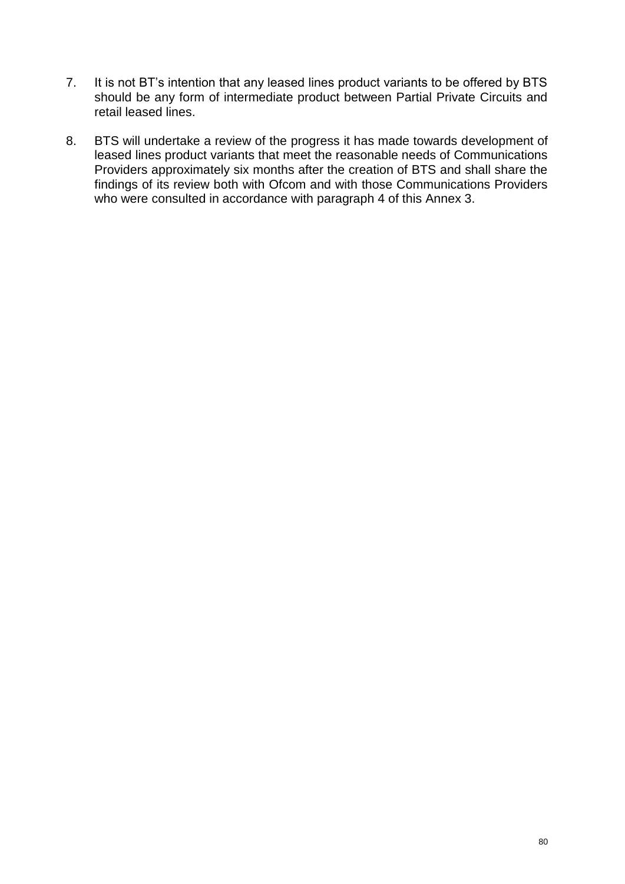- 7. It is not BT's intention that any leased lines product variants to be offered by BTS should be any form of intermediate product between Partial Private Circuits and retail leased lines.
- 8. BTS will undertake a review of the progress it has made towards development of leased lines product variants that meet the reasonable needs of Communications Providers approximately six months after the creation of BTS and shall share the findings of its review both with Ofcom and with those Communications Providers who were consulted in accordance with paragraph 4 of this Annex 3.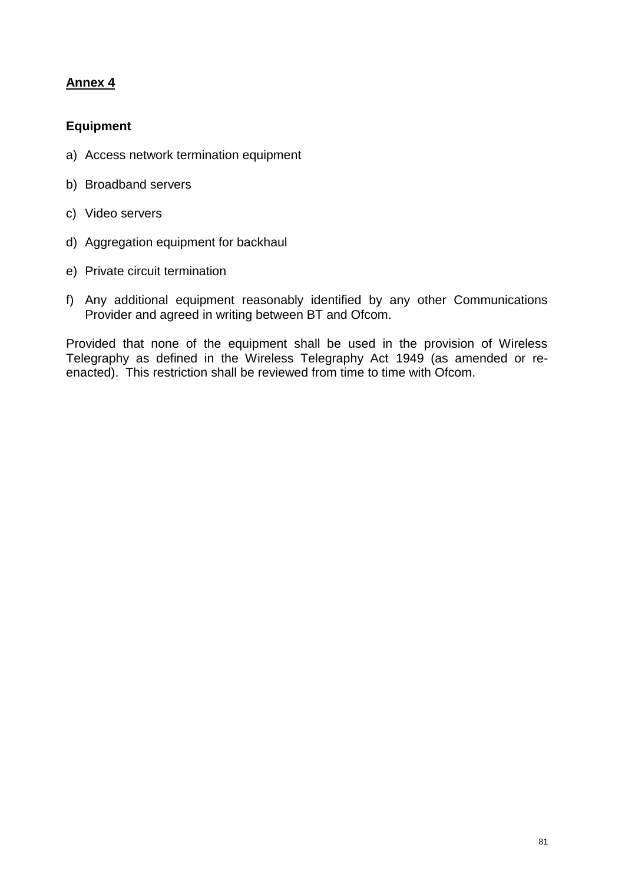## **Equipment**

- a) Access network termination equipment
- b) Broadband servers
- c) Video servers
- d) Aggregation equipment for backhaul
- e) Private circuit termination
- f) Any additional equipment reasonably identified by any other Communications Provider and agreed in writing between BT and Ofcom.

Provided that none of the equipment shall be used in the provision of Wireless Telegraphy as defined in the Wireless Telegraphy Act 1949 (as amended or reenacted). This restriction shall be reviewed from time to time with Ofcom.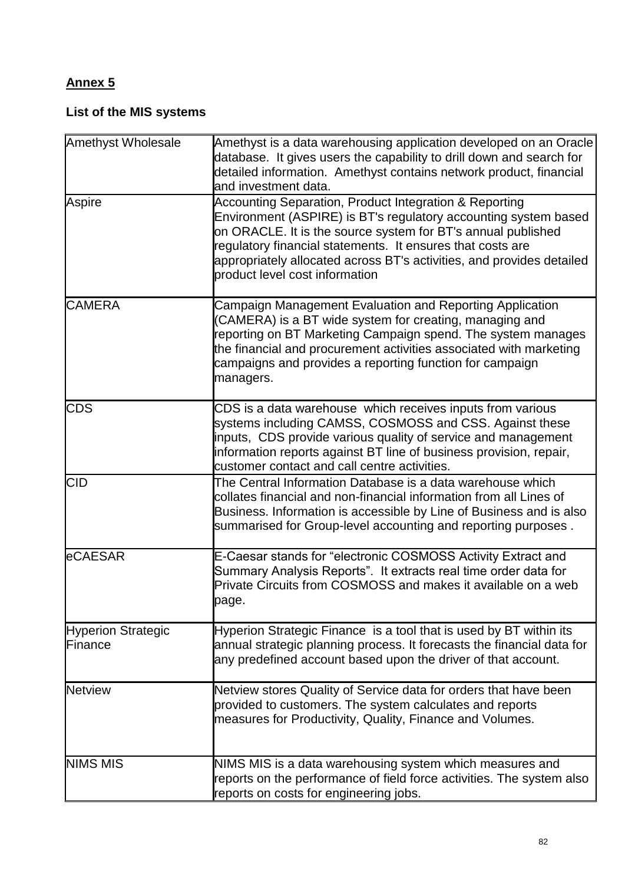## **List of the MIS systems**

| <b>Amethyst Wholesale</b>     | Amethyst is a data warehousing application developed on an Oracle<br>database. It gives users the capability to drill down and search for<br>detailed information. Amethyst contains network product, financial<br>and investment data.                                                                                                                            |
|-------------------------------|--------------------------------------------------------------------------------------------------------------------------------------------------------------------------------------------------------------------------------------------------------------------------------------------------------------------------------------------------------------------|
| Aspire                        | Accounting Separation, Product Integration & Reporting<br>Environment (ASPIRE) is BT's regulatory accounting system based<br>on ORACLE. It is the source system for BT's annual published<br>regulatory financial statements. It ensures that costs are<br>appropriately allocated across BT's activities, and provides detailed<br>product level cost information |
| <b>CAMERA</b>                 | Campaign Management Evaluation and Reporting Application<br>(CAMERA) is a BT wide system for creating, managing and<br>reporting on BT Marketing Campaign spend. The system manages<br>the financial and procurement activities associated with marketing<br>campaigns and provides a reporting function for campaign<br>managers.                                 |
| <b>CDS</b>                    | CDS is a data warehouse which receives inputs from various<br>systems including CAMSS, COSMOSS and CSS. Against these<br>inputs, CDS provide various quality of service and management<br>information reports against BT line of business provision, repair,<br>customer contact and call centre activities.                                                       |
| <b>CID</b>                    | The Central Information Database is a data warehouse which<br>collates financial and non-financial information from all Lines of<br>Business. Information is accessible by Line of Business and is also<br>summarised for Group-level accounting and reporting purposes.                                                                                           |
| eCAESAR                       | E-Caesar stands for "electronic COSMOSS Activity Extract and<br>Summary Analysis Reports". It extracts real time order data for<br>Private Circuits from COSMOSS and makes it available on a web<br>page.                                                                                                                                                          |
| Hyperion Strategic<br>Finance | Hyperion Strategic Finance is a tool that is used by BT within its<br>annual strategic planning process. It forecasts the financial data for<br>any predefined account based upon the driver of that account.                                                                                                                                                      |
| <b>Netview</b>                | Netview stores Quality of Service data for orders that have been<br>provided to customers. The system calculates and reports<br>measures for Productivity, Quality, Finance and Volumes.                                                                                                                                                                           |
| <b>NIMS MIS</b>               | NIMS MIS is a data warehousing system which measures and<br>reports on the performance of field force activities. The system also<br>reports on costs for engineering jobs.                                                                                                                                                                                        |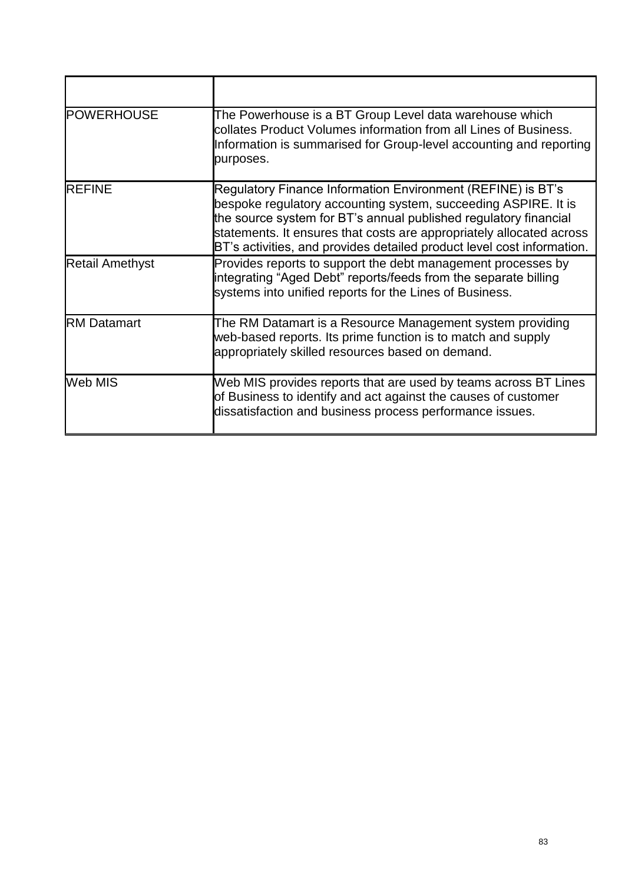| <b>POWERHOUSE</b>      | The Powerhouse is a BT Group Level data warehouse which<br>collates Product Volumes information from all Lines of Business.<br>Information is summarised for Group-level accounting and reporting<br>purposes.                                                                                                                                      |
|------------------------|-----------------------------------------------------------------------------------------------------------------------------------------------------------------------------------------------------------------------------------------------------------------------------------------------------------------------------------------------------|
| <b>REFINE</b>          | Regulatory Finance Information Environment (REFINE) is BT's<br>bespoke regulatory accounting system, succeeding ASPIRE. It is<br>the source system for BT's annual published regulatory financial<br>statements. It ensures that costs are appropriately allocated across<br>BT's activities, and provides detailed product level cost information. |
| <b>Retail Amethyst</b> | Provides reports to support the debt management processes by<br>integrating "Aged Debt" reports/feeds from the separate billing<br>systems into unified reports for the Lines of Business.                                                                                                                                                          |
| <b>RM Datamart</b>     | The RM Datamart is a Resource Management system providing<br>web-based reports. Its prime function is to match and supply<br>appropriately skilled resources based on demand.                                                                                                                                                                       |
| Web MIS                | Web MIS provides reports that are used by teams across BT Lines<br>of Business to identify and act against the causes of customer<br>dissatisfaction and business process performance issues.                                                                                                                                                       |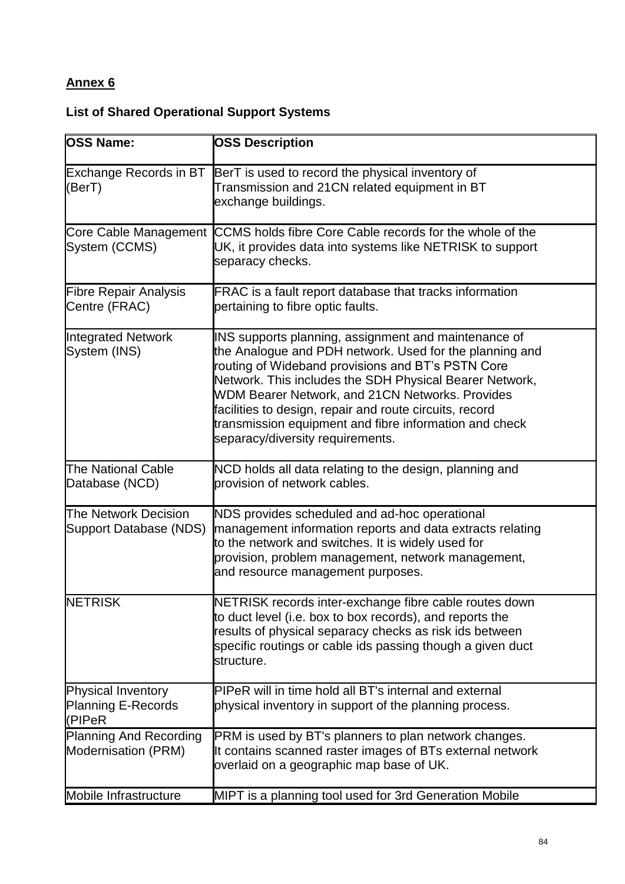# **List of Shared Operational Support Systems**

| <b>OSS Name:</b>                                             | <b>OSS Description</b>                                                                                                                                                                                                                                                                                                                                                                                                                             |
|--------------------------------------------------------------|----------------------------------------------------------------------------------------------------------------------------------------------------------------------------------------------------------------------------------------------------------------------------------------------------------------------------------------------------------------------------------------------------------------------------------------------------|
| <b>Exchange Records in BT</b><br>(BerT)                      | BerT is used to record the physical inventory of<br>Transmission and 21CN related equipment in BT<br>exchange buildings.                                                                                                                                                                                                                                                                                                                           |
| System (CCMS)                                                | Core Cable Management CCMS holds fibre Core Cable records for the whole of the<br>UK, it provides data into systems like NETRISK to support<br>separacy checks.                                                                                                                                                                                                                                                                                    |
| <b>Fibre Repair Analysis</b><br>Centre (FRAC)                | FRAC is a fault report database that tracks information<br>pertaining to fibre optic faults.                                                                                                                                                                                                                                                                                                                                                       |
| <b>Integrated Network</b><br>System (INS)                    | INS supports planning, assignment and maintenance of<br>the Analogue and PDH network. Used for the planning and<br>routing of Wideband provisions and BT's PSTN Core<br>Network. This includes the SDH Physical Bearer Network,<br><b>WDM Bearer Network, and 21CN Networks. Provides</b><br>facilities to design, repair and route circuits, record<br>transmission equipment and fibre information and check<br>separacy/diversity requirements. |
| The National Cable<br>Database (NCD)                         | NCD holds all data relating to the design, planning and<br>provision of network cables.                                                                                                                                                                                                                                                                                                                                                            |
| <b>The Network Decision</b><br><b>Support Database (NDS)</b> | NDS provides scheduled and ad-hoc operational<br>management information reports and data extracts relating<br>to the network and switches. It is widely used for<br>provision, problem management, network management,<br>and resource management purposes.                                                                                                                                                                                        |
| <b>NETRISK</b>                                               | NETRISK records inter-exchange fibre cable routes down<br>to duct level (i.e. box to box records), and reports the<br>results of physical separacy checks as risk ids between<br>specific routings or cable ids passing though a given duct<br>structure.                                                                                                                                                                                          |
| Physical Inventory<br><b>Planning E-Records</b><br>(PIPeR    | PIPeR will in time hold all BT's internal and external<br>physical inventory in support of the planning process.                                                                                                                                                                                                                                                                                                                                   |
| <b>Planning And Recording</b><br>Modernisation (PRM)         | PRM is used by BT's planners to plan network changes.<br>It contains scanned raster images of BTs external network<br>overlaid on a geographic map base of UK.                                                                                                                                                                                                                                                                                     |
| Mobile Infrastructure                                        | MIPT is a planning tool used for 3rd Generation Mobile                                                                                                                                                                                                                                                                                                                                                                                             |